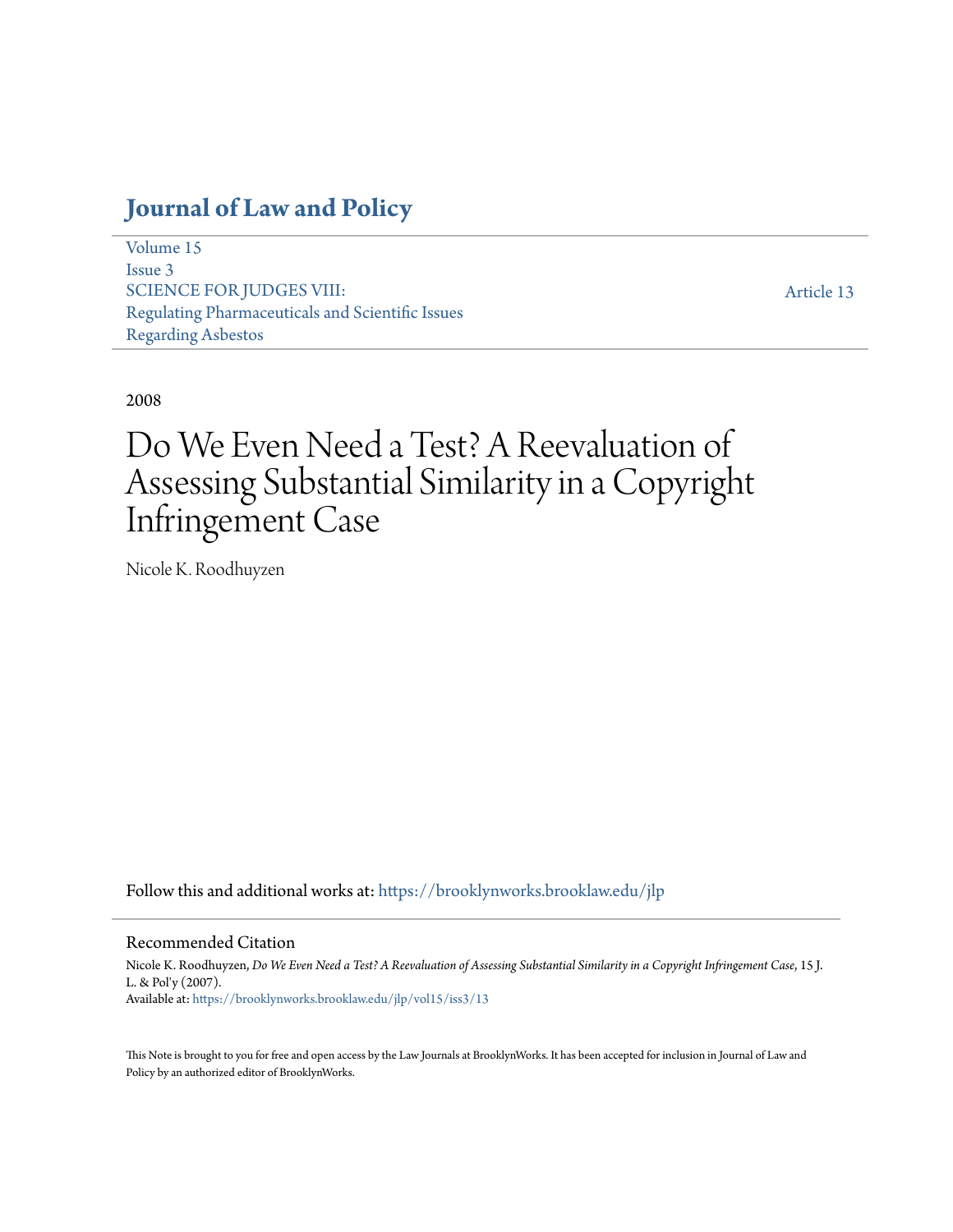## **[Journal of Law and Policy](https://brooklynworks.brooklaw.edu/jlp?utm_source=brooklynworks.brooklaw.edu%2Fjlp%2Fvol15%2Fiss3%2F13&utm_medium=PDF&utm_campaign=PDFCoverPages)**

[Volume 15](https://brooklynworks.brooklaw.edu/jlp/vol15?utm_source=brooklynworks.brooklaw.edu%2Fjlp%2Fvol15%2Fiss3%2F13&utm_medium=PDF&utm_campaign=PDFCoverPages) [Issue 3](https://brooklynworks.brooklaw.edu/jlp/vol15/iss3?utm_source=brooklynworks.brooklaw.edu%2Fjlp%2Fvol15%2Fiss3%2F13&utm_medium=PDF&utm_campaign=PDFCoverPages) SCIENCE FOR JUDGES VIII: Regulating Pharmaceuticals and Scientific Issues Regarding Asbestos

[Article 13](https://brooklynworks.brooklaw.edu/jlp/vol15/iss3/13?utm_source=brooklynworks.brooklaw.edu%2Fjlp%2Fvol15%2Fiss3%2F13&utm_medium=PDF&utm_campaign=PDFCoverPages)

#### 2008

# Do We Even Need a Test? A Reevaluation of Assessing Substantial Similarity in a Copyright Infringement Case

Nicole K. Roodhuyzen

Follow this and additional works at: [https://brooklynworks.brooklaw.edu/jlp](https://brooklynworks.brooklaw.edu/jlp?utm_source=brooklynworks.brooklaw.edu%2Fjlp%2Fvol15%2Fiss3%2F13&utm_medium=PDF&utm_campaign=PDFCoverPages)

#### Recommended Citation

Nicole K. Roodhuyzen, *Do We Even Need a Test? A Reevaluation of Assessing Substantial Similarity in a Copyright Infringement Case*, 15 J. L. & Pol'y (2007). Available at: [https://brooklynworks.brooklaw.edu/jlp/vol15/iss3/13](https://brooklynworks.brooklaw.edu/jlp/vol15/iss3/13?utm_source=brooklynworks.brooklaw.edu%2Fjlp%2Fvol15%2Fiss3%2F13&utm_medium=PDF&utm_campaign=PDFCoverPages)

This Note is brought to you for free and open access by the Law Journals at BrooklynWorks. It has been accepted for inclusion in Journal of Law and Policy by an authorized editor of BrooklynWorks.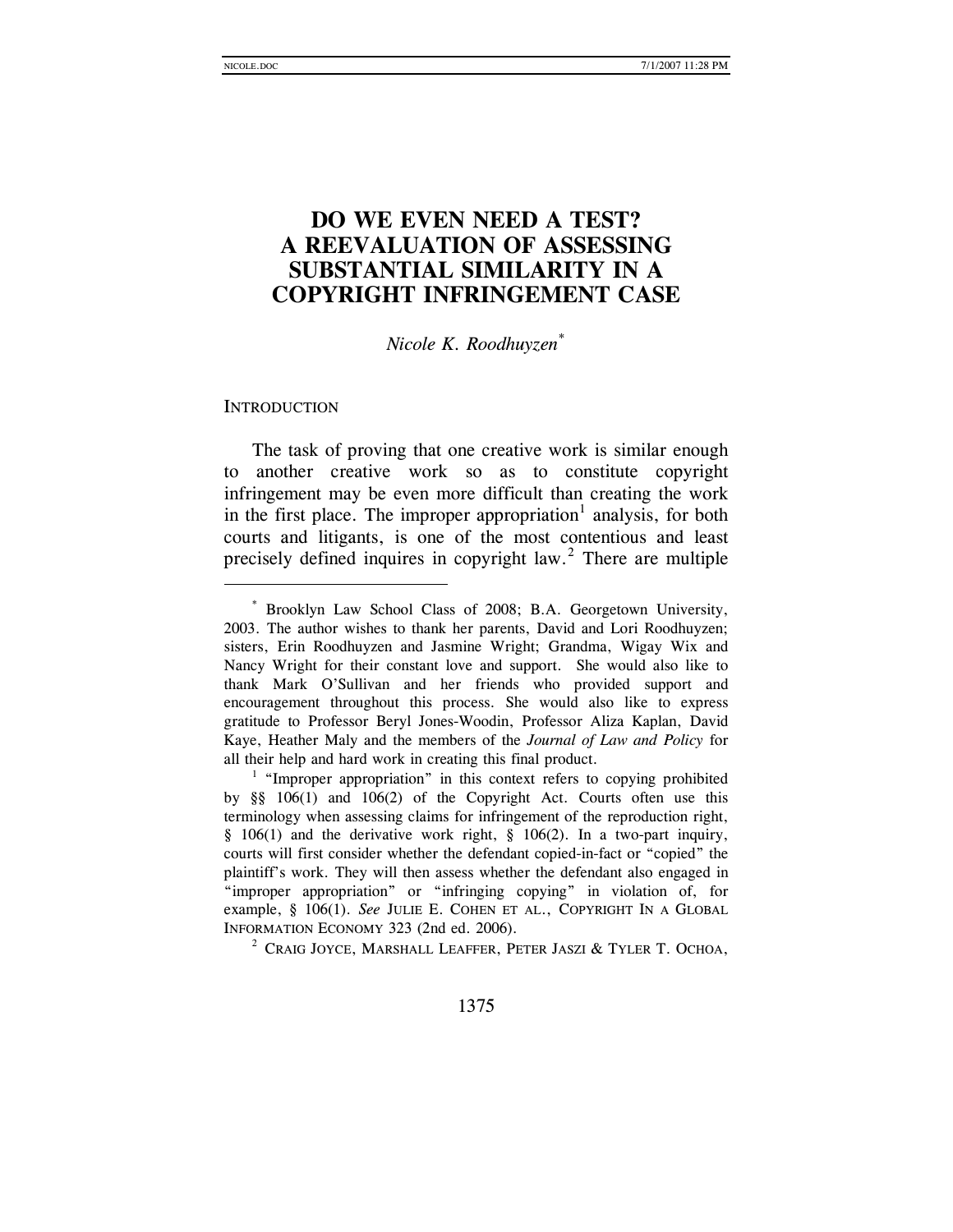### **DO WE EVEN NEED A TEST? A REEVALUATION OF ASSESSING SUBSTANTIAL SIMILARITY IN A COPYRIGHT INFRINGEMENT CASE**

*Nicole K. Roodhuyzen*[\\*](#page-1-0)

#### **INTRODUCTION**

 $\overline{a}$ 

 The task of proving that one creative work is similar enough to another creative work so as to constitute copyright infringement may be even more difficult than creating the work in the first place. The improper appropriation<sup>[1](#page-1-1)</sup> analysis, for both courts and litigants, is one of the most contentious and least precisely defined inquires in copyright law. $^2$  $^2$  There are multiple

<span id="page-1-2"></span>

<span id="page-1-0"></span><sup>\*</sup> Brooklyn Law School Class of 2008; B.A. Georgetown University, 2003. The author wishes to thank her parents, David and Lori Roodhuyzen; sisters, Erin Roodhuyzen and Jasmine Wright; Grandma, Wigay Wix and Nancy Wright for their constant love and support. She would also like to thank Mark O'Sullivan and her friends who provided support and encouragement throughout this process. She would also like to express gratitude to Professor Beryl Jones-Woodin, Professor Aliza Kaplan, David Kaye, Heather Maly and the members of the *Journal of Law and Policy* for all their help and hard work in creating this final product.<br><sup>1</sup> "Improper appropriation" in this context refers to copying prohibited

<span id="page-1-1"></span>by §§ 106(1) and 106(2) of the Copyright Act. Courts often use this terminology when assessing claims for infringement of the reproduction right, § 106(1) and the derivative work right, § 106(2). In a two-part inquiry, courts will first consider whether the defendant copied-in-fact or "copied" the plaintiff's work. They will then assess whether the defendant also engaged in "improper appropriation" or "infringing copying" in violation of, for example, § 106(1). *See* JULIE E. COHEN ET AL., COPYRIGHT IN A GLOBAL INFORMATION ECONOMY 323 (2nd ed. 2006).<br><sup>2</sup> CRAIG JOYCE, MARSHALL LEAFFER, PETER JASZI & TYLER T. OCHOA,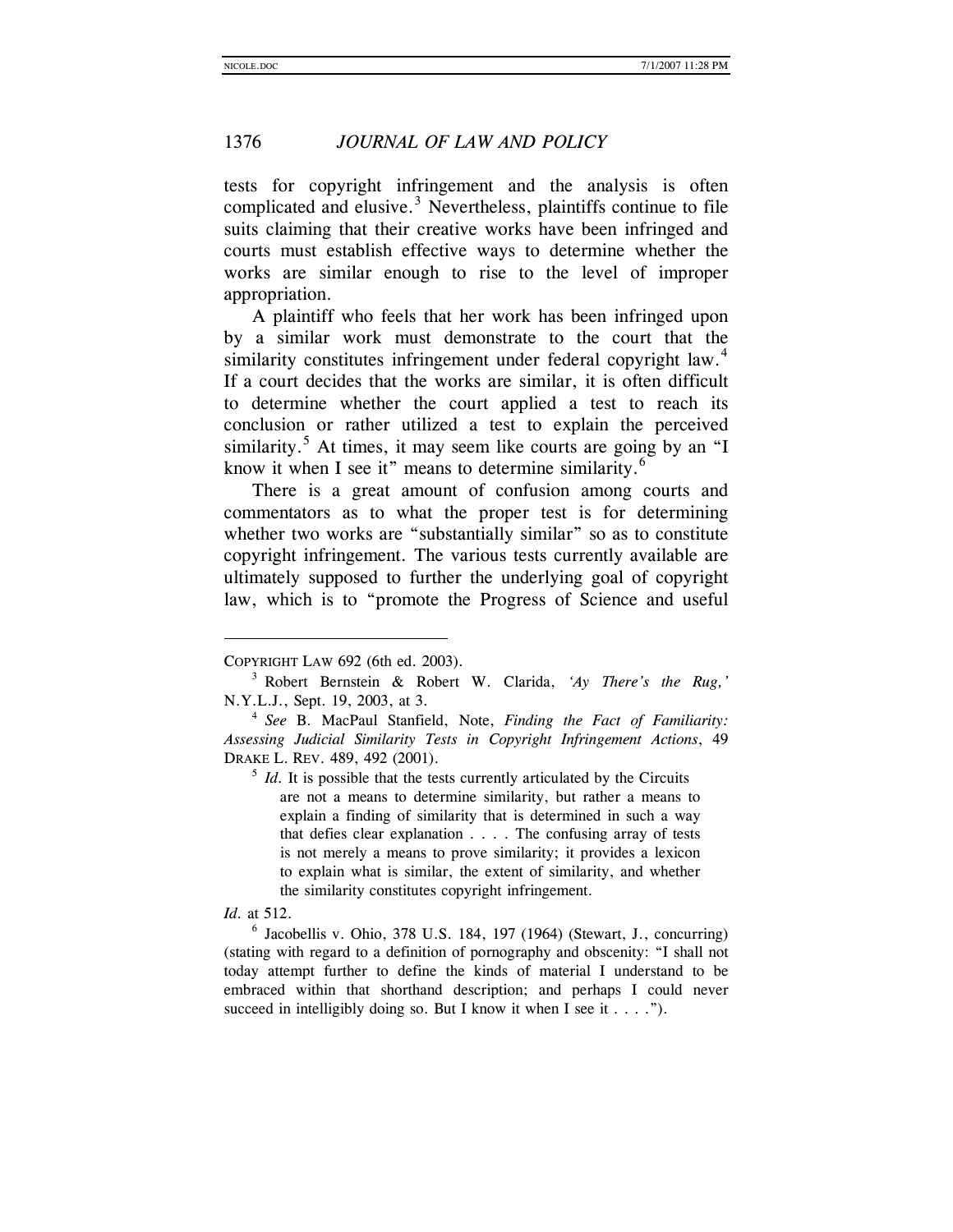tests for copyright infringement and the analysis is often complicated and elusive. $3$  Nevertheless, plaintiffs continue to file suits claiming that their creative works have been infringed and courts must establish effective ways to determine whether the works are similar enough to rise to the level of improper appropriation.

A plaintiff who feels that her work has been infringed upon by a similar work must demonstrate to the court that the similarity constitutes infringement under federal copyright law.<sup>[4](#page-2-1)</sup> If a court decides that the works are similar, it is often difficult to determine whether the court applied a test to reach its conclusion or rather utilized a test to explain the perceived similarity.<sup>[5](#page-2-2)</sup> At times, it may seem like courts are going by an "I know it when I see it" means to determine similarity. $^{\circ}$ 

There is a great amount of confusion among courts and commentators as to what the proper test is for determining whether two works are "substantially similar" so as to constitute copyright infringement. The various tests currently available are ultimately supposed to further the underlying goal of copyright law, which is to "promote the Progress of Science and useful

#### *Id.* at 512.

COPYRIGHT LAW 692 (6th ed. 2003).

<span id="page-2-0"></span><sup>3</sup> Robert Bernstein & Robert W. Clarida, *'Ay There's the Rug,'* N.Y.L.J., Sept. 19, 2003, at 3. 4 *See* B. MacPaul Stanfield, Note, *Finding the Fact of Familiarity:* 

<span id="page-2-2"></span><span id="page-2-1"></span>*Assessing Judicial Similarity Tests in Copyright Infringement Actions*, 49 DRAKE L. REV. 489, 492 (2001).

<sup>&</sup>lt;sup>5</sup> *Id.* It is possible that the tests currently articulated by the Circuits are not a means to determine similarity, but rather a means to explain a finding of similarity that is determined in such a way that defies clear explanation . . . . The confusing array of tests is not merely a means to prove similarity; it provides a lexicon to explain what is similar, the extent of similarity, and whether the similarity constitutes copyright infringement.

<span id="page-2-3"></span> $6$  Jacobellis v. Ohio, 378 U.S. 184, 197 (1964) (Stewart, J., concurring) (stating with regard to a definition of pornography and obscenity: "I shall not today attempt further to define the kinds of material I understand to be embraced within that shorthand description; and perhaps I could never succeed in intelligibly doing so. But I know it when I see it . . . .").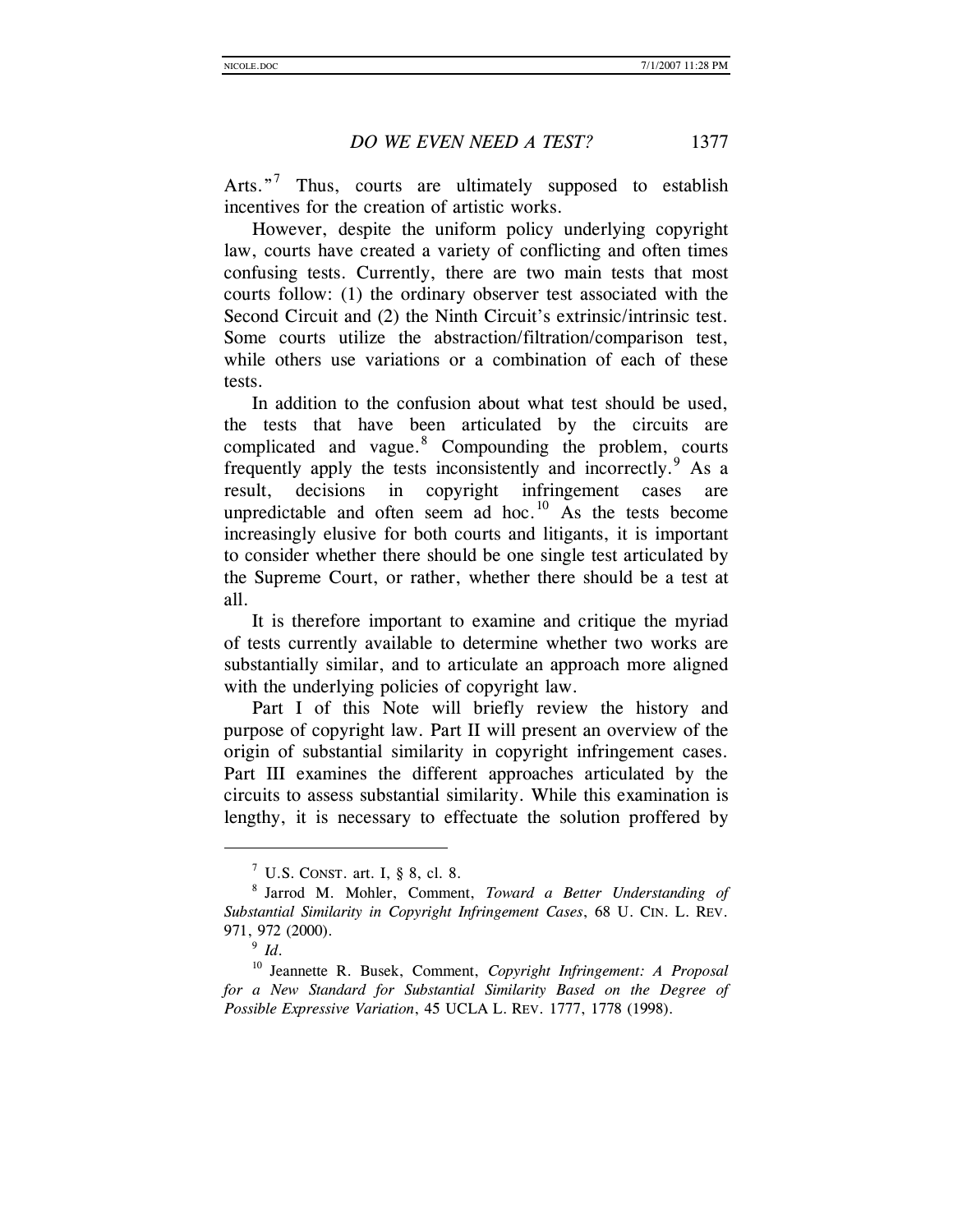Arts."<sup>[7](#page-3-0)</sup> Thus, courts are ultimately supposed to establish incentives for the creation of artistic works.

However, despite the uniform policy underlying copyright law, courts have created a variety of conflicting and often times confusing tests. Currently, there are two main tests that most courts follow: (1) the ordinary observer test associated with the Second Circuit and (2) the Ninth Circuit's extrinsic/intrinsic test. Some courts utilize the abstraction/filtration/comparison test, while others use variations or a combination of each of these tests.

In addition to the confusion about what test should be used, the tests that have been articulated by the circuits are complicated and vague.<sup>[8](#page-3-1)</sup> Compounding the problem, courts frequently apply the tests inconsistently and incorrectly.<sup>[9](#page-3-2)</sup> As a result, decisions in copyright infringement cases are unpredictable and often seem ad hoc. $^{10}$  $^{10}$  $^{10}$  As the tests become increasingly elusive for both courts and litigants, it is important to consider whether there should be one single test articulated by the Supreme Court, or rather, whether there should be a test at all.

It is therefore important to examine and critique the myriad of tests currently available to determine whether two works are substantially similar, and to articulate an approach more aligned with the underlying policies of copyright law.

Part I of this Note will briefly review the history and purpose of copyright law. Part II will present an overview of the origin of substantial similarity in copyright infringement cases. Part III examines the different approaches articulated by the circuits to assess substantial similarity. While this examination is lengthy, it is necessary to effectuate the solution proffered by

 $<sup>7</sup>$  U.S. CONST. art. I, § 8, cl. 8.</sup>

<span id="page-3-1"></span><span id="page-3-0"></span><sup>8</sup> Jarrod M. Mohler, Comment, *Toward a Better Understanding of Substantial Similarity in Copyright Infringement Cases*, 68 U. CIN. L. REV. 971, 972 (2000).<br> $\frac{9}{1}$ 

<span id="page-3-3"></span><span id="page-3-2"></span><sup>&</sup>lt;sup>10</sup> Jeannette R. Busek, Comment, *Copyright Infringement: A Proposal for a New Standard for Substantial Similarity Based on the Degree of Possible Expressive Variation*, 45 UCLA L. REV. 1777, 1778 (1998).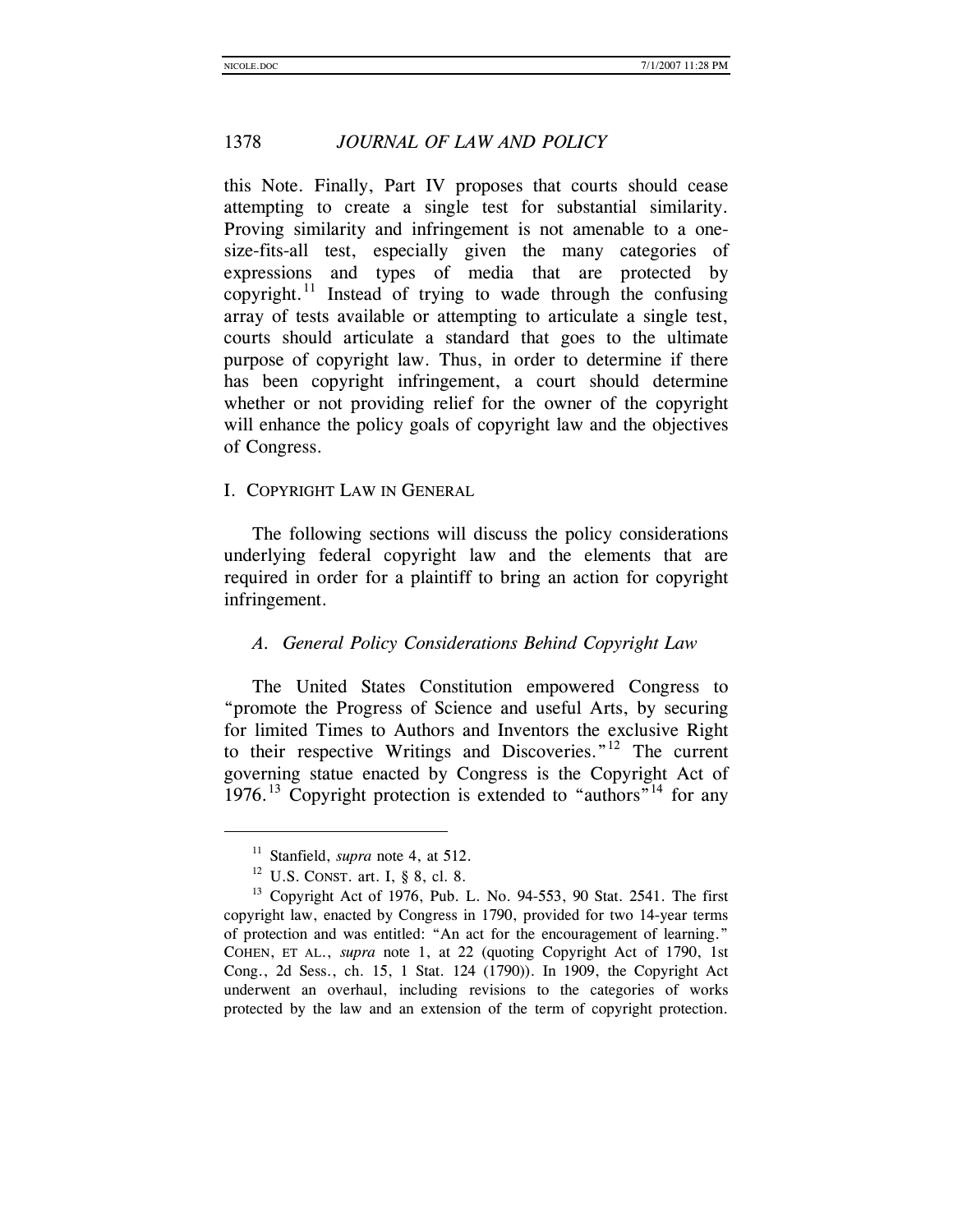this Note. Finally, Part IV proposes that courts should cease attempting to create a single test for substantial similarity. Proving similarity and infringement is not amenable to a onesize-fits-all test, especially given the many categories of expressions and types of media that are protected by copyright.<sup>[11](#page-4-0)</sup> Instead of trying to wade through the confusing array of tests available or attempting to articulate a single test, courts should articulate a standard that goes to the ultimate purpose of copyright law. Thus, in order to determine if there has been copyright infringement, a court should determine whether or not providing relief for the owner of the copyright will enhance the policy goals of copyright law and the objectives of Congress.

#### I. COPYRIGHT LAW IN GENERAL

<span id="page-4-3"></span>The following sections will discuss the policy considerations underlying federal copyright law and the elements that are required in order for a plaintiff to bring an action for copyright infringement.

#### *A. General Policy Considerations Behind Copyright Law*

The United States Constitution empowered Congress to "promote the Progress of Science and useful Arts, by securing for limited Times to Authors and Inventors the exclusive Right to their respective Writings and Discoveries."<sup>[12](#page-4-1)</sup> The current governing statue enacted by Congress is the Copyright Act of 1976.<sup>[13](#page-4-2)</sup> Copyright protection is extended to "authors"<sup>[14](#page-4-3)</sup> for any

<sup>&</sup>lt;sup>11</sup> Stanfield, *supra* note 4, at 512.<br><sup>12</sup> U.S. CONST. art. I, § 8, cl. 8.

<span id="page-4-2"></span><span id="page-4-1"></span><span id="page-4-0"></span> $13$  Copyright Act of 1976, Pub. L. No. 94-553, 90 Stat. 2541. The first copyright law, enacted by Congress in 1790, provided for two 14-year terms of protection and was entitled: "An act for the encouragement of learning." COHEN, ET AL., *supra* note 1, at 22 (quoting Copyright Act of 1790, 1st Cong., 2d Sess., ch. 15, 1 Stat. 124 (1790)). In 1909, the Copyright Act underwent an overhaul, including revisions to the categories of works protected by the law and an extension of the term of copyright protection.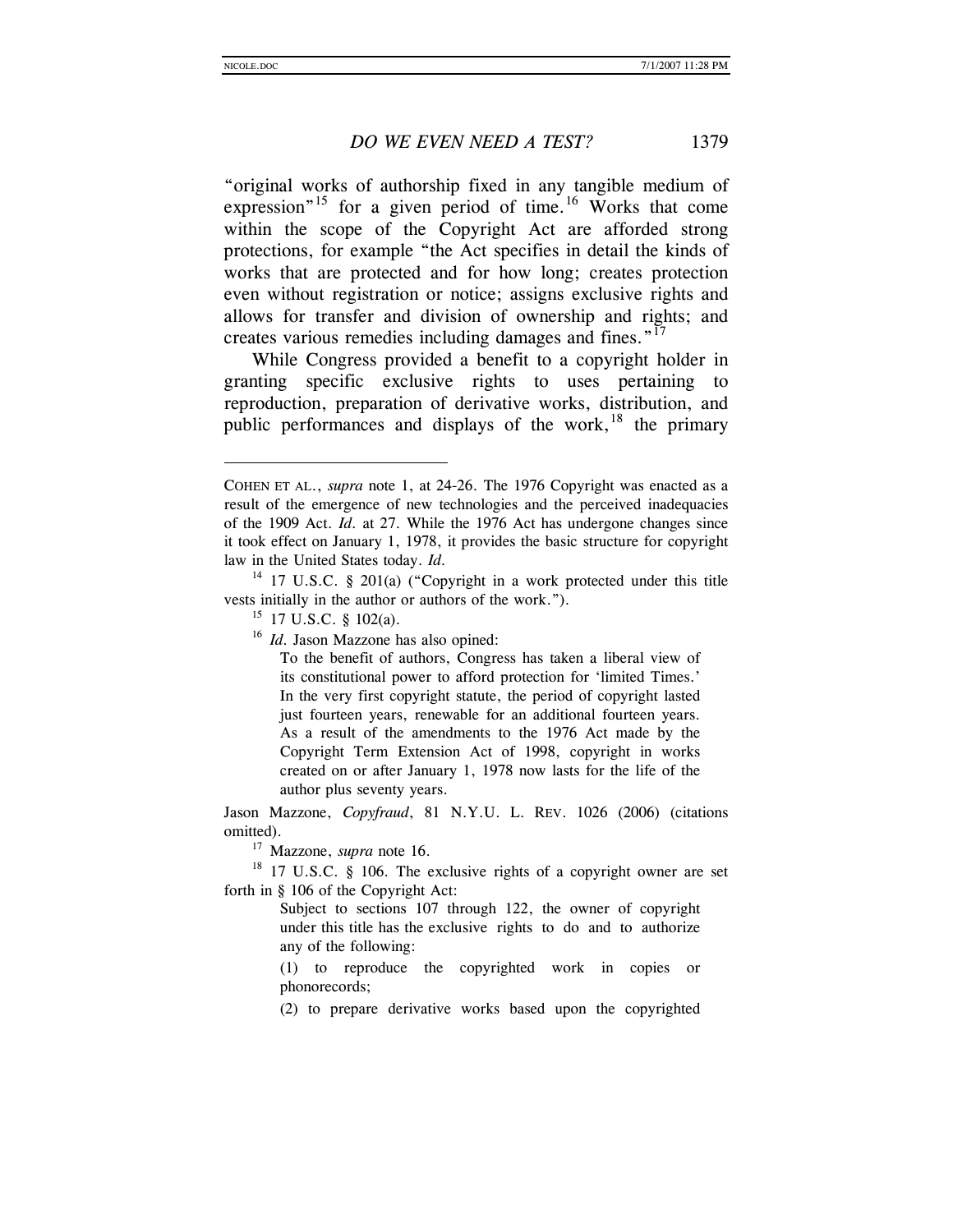$\overline{a}$ 

#### *DO WE EVEN NEED A TEST?* 1379

"original works of authorship fixed in any tangible medium of expression"<sup>[15](#page-5-0)</sup> for a given period of time.<sup>[16](#page-5-1)</sup> Works that come within the scope of the Copyright Act are afforded strong protections, for example "the Act specifies in detail the kinds of works that are protected and for how long; creates protection even without registration or notice; assigns exclusive rights and allows for transfer and division of ownership and rights; and creates various remedies including damages and fines."<sup>[17](#page-5-2)</sup>

While Congress provided a benefit to a copyright holder in granting specific exclusive rights to uses pertaining to reproduction, preparation of derivative works, distribution, and public performances and displays of the work,<sup>[18](#page-5-3)</sup> the primary

To the benefit of authors, Congress has taken a liberal view of its constitutional power to afford protection for 'limited Times.' In the very first copyright statute, the period of copyright lasted just fourteen years, renewable for an additional fourteen years. As a result of the amendments to the 1976 Act made by the Copyright Term Extension Act of 1998, copyright in works created on or after January 1, 1978 now lasts for the life of the author plus seventy years.

Jason Mazzone, *Copyfraud*, 81 N.Y.U. L. REV. 1026 (2006) (citations omitted). 17 Mazzone, *supra* note 16.

<span id="page-5-3"></span><span id="page-5-2"></span><sup>18</sup> 17 U.S.C. § 106. The exclusive rights of a copyright owner are set forth in § 106 of the Copyright Act:

> Subject to sections 107 through 122, the owner of copyright under this title has the exclusive rights to do and to authorize any of the following:

> (1) to reproduce the copyrighted work in copies or phonorecords;

> (2) to prepare derivative works based upon the copyrighted

COHEN ET AL., *supra* note 1, at 24-26. The 1976 Copyright was enacted as a result of the emergence of new technologies and the perceived inadequacies of the 1909 Act. *Id.* at 27. While the 1976 Act has undergone changes since it took effect on January 1, 1978, it provides the basic structure for copyright law in the United States today. *Id.* 

<span id="page-5-1"></span><span id="page-5-0"></span><sup>&</sup>lt;sup>14</sup> 17 U.S.C. § 201(a) ("Copyright in a work protected under this title vests initially in the author or authors of the work.").

 $15$  17 U.S.C. § 102(a).

<sup>&</sup>lt;sup>16</sup> *Id.* Jason Mazzone has also opined: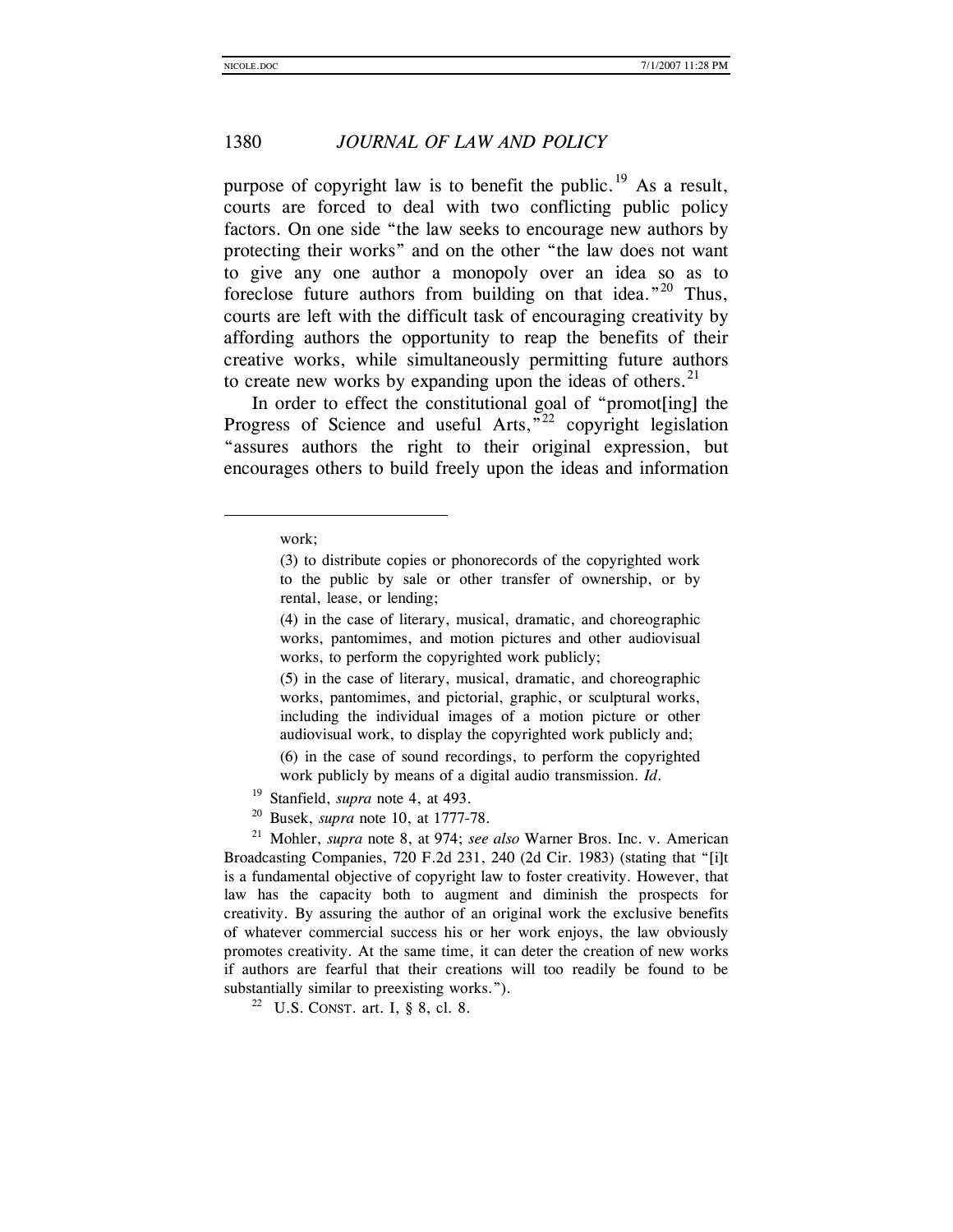purpose of copyright law is to benefit the public.<sup>[19](#page-6-0)</sup> As a result, courts are forced to deal with two conflicting public policy factors. On one side "the law seeks to encourage new authors by protecting their works" and on the other "the law does not want to give any one author a monopoly over an idea so as to foreclose future authors from building on that idea.<sup> $20$ </sup> Thus, courts are left with the difficult task of encouraging creativity by affording authors the opportunity to reap the benefits of their creative works, while simultaneously permitting future authors to create new works by expanding upon the ideas of others.<sup>[21](#page-6-2)</sup>

In order to effect the constitutional goal of "promot[ing] the Progress of Science and useful Arts,<sup>5[22](#page-6-3)</sup> copyright legislation "assures authors the right to their original expression, but encourages others to build freely upon the ideas and information

l

(5) in the case of literary, musical, dramatic, and choreographic works, pantomimes, and pictorial, graphic, or sculptural works, including the individual images of a motion picture or other audiovisual work, to display the copyrighted work publicly and;

(6) in the case of sound recordings, to perform the copyrighted work publicly by means of a digital audio transmission. *Id.*

<sup>19</sup> Stanfield, *supra* note 4, at 493.

<span id="page-6-2"></span><span id="page-6-1"></span><span id="page-6-0"></span><sup>20</sup> Busek, *supra* note 10, at 1777-78. 21 Mohler, *supra* note 8, at 974; *see also* Warner Bros. Inc. v. American Broadcasting Companies, 720 F.2d 231, 240 (2d Cir. 1983) (stating that "[i]t is a fundamental objective of copyright law to foster creativity. However, that law has the capacity both to augment and diminish the prospects for creativity. By assuring the author of an original work the exclusive benefits of whatever commercial success his or her work enjoys, the law obviously promotes creativity. At the same time, it can deter the creation of new works if authors are fearful that their creations will too readily be found to be substantially similar to preexisting works."). <sup>22</sup> U.S. CONST. art. I, § 8, cl. 8.

<span id="page-6-3"></span>

work;

<sup>(3)</sup> to distribute copies or phonorecords of the copyrighted work to the public by sale or other transfer of ownership, or by rental, lease, or lending;

<sup>(4)</sup> in the case of literary, musical, dramatic, and choreographic works, pantomimes, and motion pictures and other audiovisual works, to perform the copyrighted work publicly;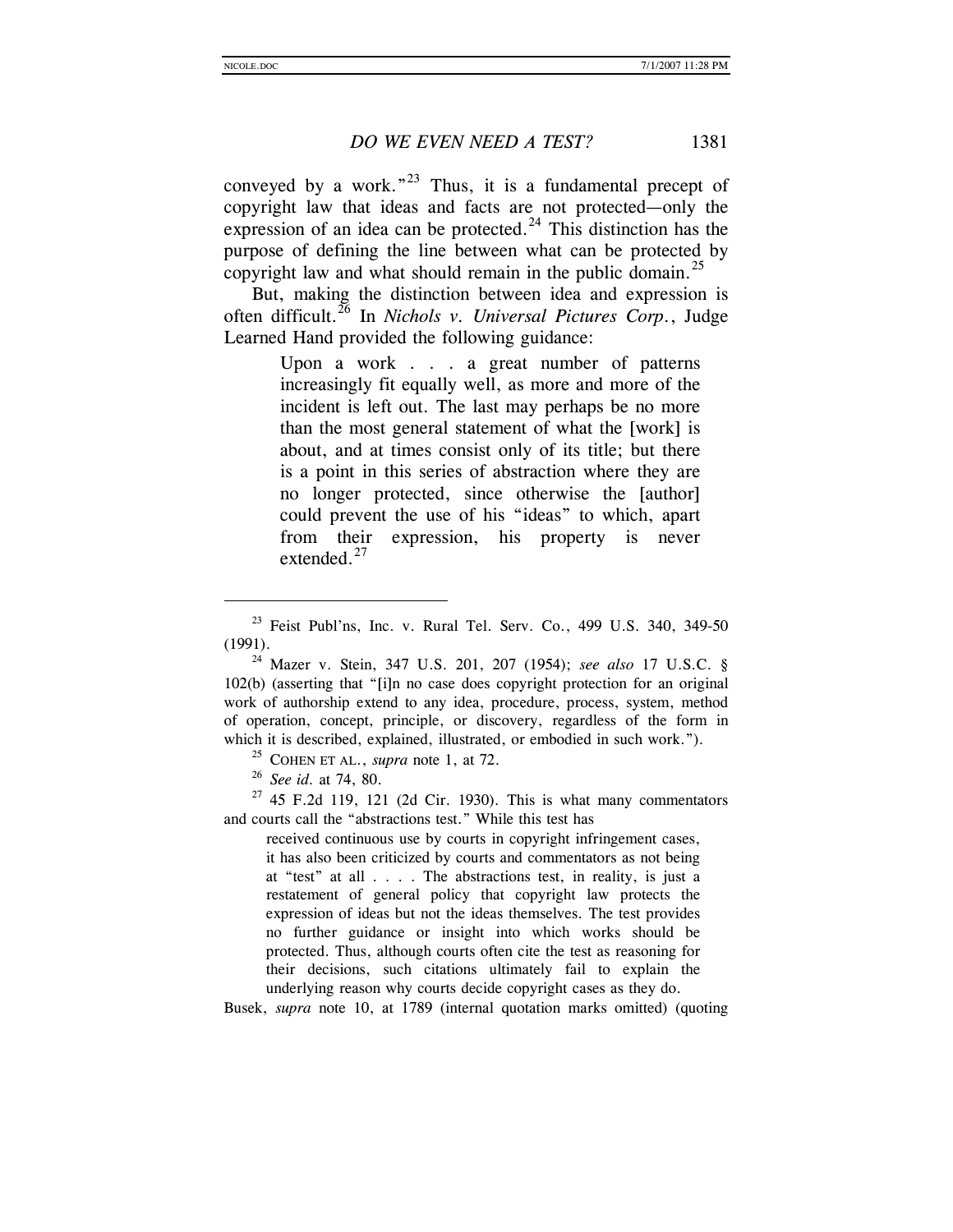conveyed by a work."<sup>[23](#page-7-0)</sup> Thus, it is a fundamental precept of copyright law that ideas and facts are not protected—only the expression of an idea can be protected.<sup>[24](#page-7-1)</sup> This distinction has the purpose of defining the line between what can be protected by copyright law and what should remain in the public domain.<sup>[25](#page-7-2)</sup>

But, making the distinction between idea and expression is often difficult.[26](#page-7-3) In *Nichols v. Universal Pictures Corp.*, Judge Learned Hand provided the following guidance:

> Upon a work . . . a great number of patterns increasingly fit equally well, as more and more of the incident is left out. The last may perhaps be no more than the most general statement of what the [work] is about, and at times consist only of its title; but there is a point in this series of abstraction where they are no longer protected, since otherwise the [author] could prevent the use of his "ideas" to which, apart from their expression, his property is never extended.<sup>[27](#page-7-4)</sup>

<span id="page-7-1"></span>102(b) (asserting that "[i]n no case does copyright protection for an original work of authorship extend to any idea, procedure, process, system, method of operation, concept, principle, or discovery, regardless of the form in which it is described, explained, illustrated, or embodied in such work.").

<sup>25</sup> COHEN ET AL., *supra* note 1, at 72.

 $\overline{a}$ 

<span id="page-7-4"></span><span id="page-7-3"></span><span id="page-7-2"></span><sup>26</sup> *See id.* at 74, 80. 27 45 F.2d 119, 121 (2d Cir. 1930). This is what many commentators and courts call the "abstractions test." While this test has

received continuous use by courts in copyright infringement cases, it has also been criticized by courts and commentators as not being at "test" at all . . . . The abstractions test, in reality, is just a restatement of general policy that copyright law protects the expression of ideas but not the ideas themselves. The test provides no further guidance or insight into which works should be protected. Thus, although courts often cite the test as reasoning for their decisions, such citations ultimately fail to explain the underlying reason why courts decide copyright cases as they do.

Busek, *supra* note 10, at 1789 (internal quotation marks omitted) (quoting

<span id="page-7-0"></span> $^{23}$  Feist Publ'ns, Inc. v. Rural Tel. Serv. Co., 499 U.S. 340, 349-50 (1991). 24 Mazer v. Stein, 347 U.S. 201, 207 (1954); *see also* 17 U.S.C. §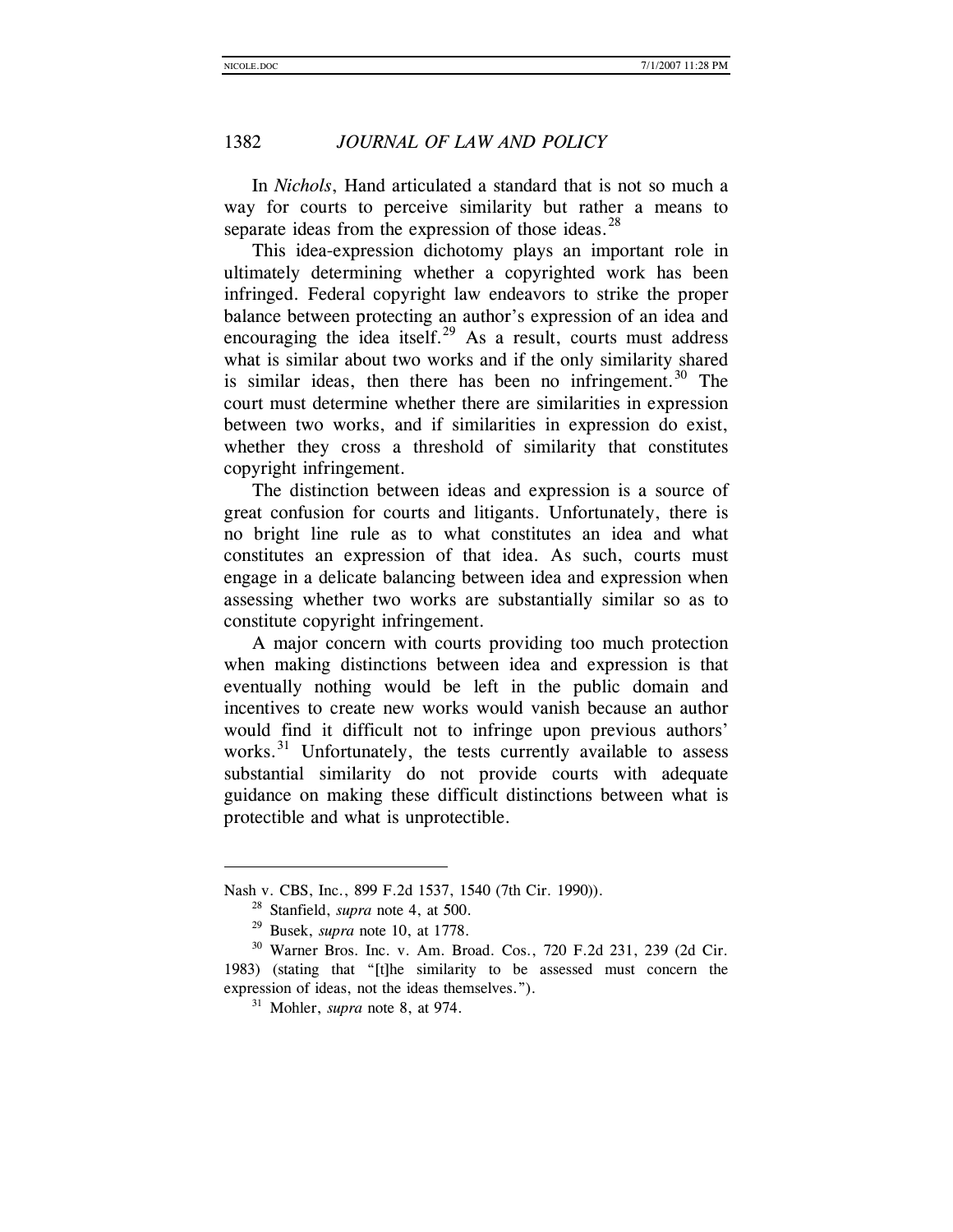In *Nichols*, Hand articulated a standard that is not so much a way for courts to perceive similarity but rather a means to separate ideas from the expression of those ideas. $28$ 

This idea-expression dichotomy plays an important role in ultimately determining whether a copyrighted work has been infringed. Federal copyright law endeavors to strike the proper balance between protecting an author's expression of an idea and encouraging the idea itself.<sup>[29](#page-8-1)</sup> As a result, courts must address what is similar about two works and if the only similarity shared is similar ideas, then there has been no infringement.<sup>[30](#page-8-2)</sup> The court must determine whether there are similarities in expression between two works, and if similarities in expression do exist, whether they cross a threshold of similarity that constitutes copyright infringement.

The distinction between ideas and expression is a source of great confusion for courts and litigants. Unfortunately, there is no bright line rule as to what constitutes an idea and what constitutes an expression of that idea. As such, courts must engage in a delicate balancing between idea and expression when assessing whether two works are substantially similar so as to constitute copyright infringement.

A major concern with courts providing too much protection when making distinctions between idea and expression is that eventually nothing would be left in the public domain and incentives to create new works would vanish because an author would find it difficult not to infringe upon previous authors' works.<sup>[31](#page-8-3)</sup> Unfortunately, the tests currently available to assess substantial similarity do not provide courts with adequate guidance on making these difficult distinctions between what is protectible and what is unprotectible.

<span id="page-8-0"></span>Nash v. CBS, Inc., 899 F.2d 1537, 1540 (7th Cir. 1990)).

<sup>28</sup> Stanfield, *supra* note 4, at 500.

<sup>29</sup> Busek, *supra* note 10, at 1778.

<span id="page-8-3"></span><span id="page-8-2"></span><span id="page-8-1"></span><sup>30</sup> Warner Bros. Inc. v. Am. Broad. Cos., 720 F.2d 231, 239 (2d Cir. 1983) (stating that "[t]he similarity to be assessed must concern the expression of ideas, not the ideas themselves.").

<sup>31</sup> Mohler, *supra* note 8, at 974.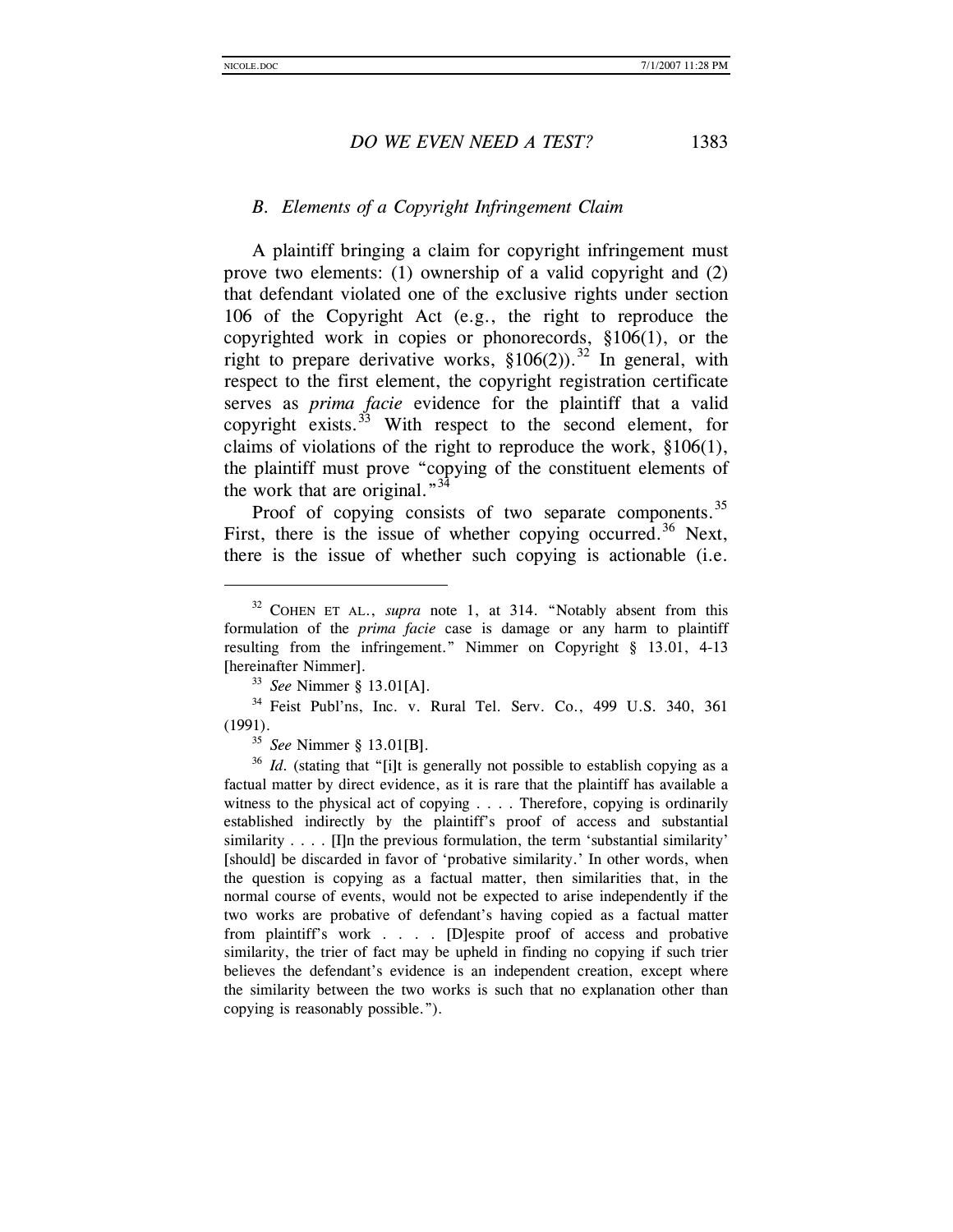l

#### *DO WE EVEN NEED A TEST?* 1383

#### *B. Elements of a Copyright Infringement Claim*

A plaintiff bringing a claim for copyright infringement must prove two elements: (1) ownership of a valid copyright and (2) that defendant violated one of the exclusive rights under section 106 of the Copyright Act (e.g., the right to reproduce the copyrighted work in copies or phonorecords, §106(1), or the right to prepare derivative works,  $\S 106(2)$ .<sup>[32](#page-9-0)</sup> In general, with respect to the first element, the copyright registration certificate serves as *prima facie* evidence for the plaintiff that a valid copyright exists. $33$  With respect to the second element, for claims of violations of the right to reproduce the work, §106(1), the plaintiff must prove "copying of the constituent elements of the work that are original."<sup>3</sup>

Proof of copying consists of two separate components.<sup>[35](#page-9-3)</sup> First, there is the issue of whether copying occurred.<sup>[36](#page-9-4)</sup> Next, there is the issue of whether such copying is actionable (i.e.

<sup>35</sup> *See* Nimmer § 13.01[B].

<span id="page-9-4"></span><span id="page-9-3"></span><sup>36</sup> *Id.* (stating that "[i]t is generally not possible to establish copying as a factual matter by direct evidence, as it is rare that the plaintiff has available a witness to the physical act of copying . . . . Therefore, copying is ordinarily established indirectly by the plaintiff's proof of access and substantial similarity  $\ldots$ . [I]n the previous formulation, the term 'substantial similarity' [should] be discarded in favor of 'probative similarity.' In other words, when the question is copying as a factual matter, then similarities that, in the normal course of events, would not be expected to arise independently if the two works are probative of defendant's having copied as a factual matter from plaintiff's work . . . . [D]espite proof of access and probative similarity, the trier of fact may be upheld in finding no copying if such trier believes the defendant's evidence is an independent creation, except where the similarity between the two works is such that no explanation other than copying is reasonably possible.").

<span id="page-9-0"></span><sup>32</sup> COHEN ET AL., *supra* note 1, at 314. "Notably absent from this formulation of the *prima facie* case is damage or any harm to plaintiff resulting from the infringement." Nimmer on Copyright § 13.01, 4-13 [hereinafter Nimmer].

<sup>33</sup> *See* Nimmer § 13.01[A].

<span id="page-9-2"></span><span id="page-9-1"></span><sup>34</sup> Feist Publ'ns, Inc. v. Rural Tel. Serv. Co., 499 U.S. 340, 361 (1991).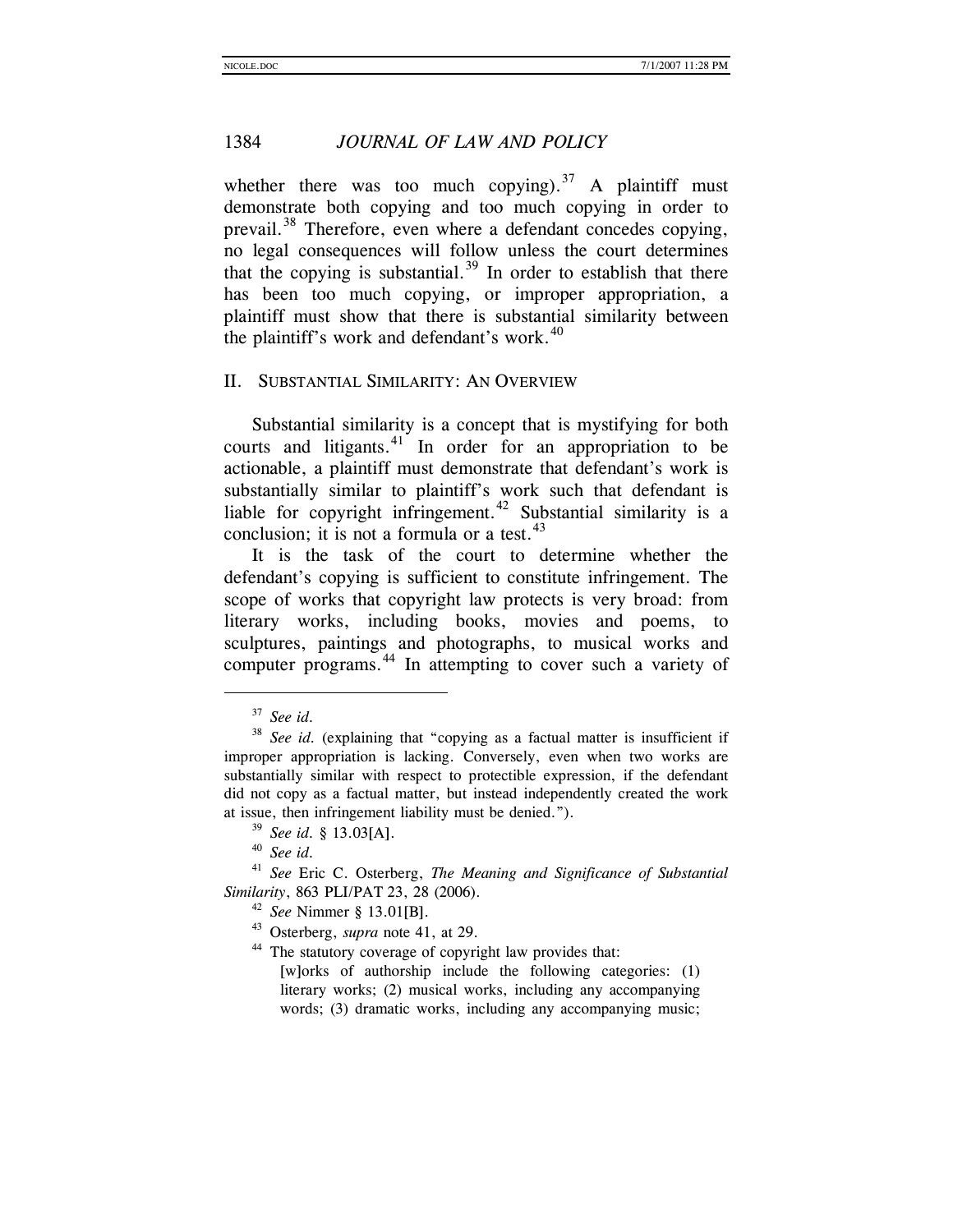whether there was too much copying).<sup>[37](#page-10-0)</sup> A plaintiff must demonstrate both copying and too much copying in order to prevail.<sup>[38](#page-10-1)</sup> Therefore, even where a defendant concedes copying, no legal consequences will follow unless the court determines that the copying is substantial. $39$  In order to establish that there has been too much copying, or improper appropriation, a plaintiff must show that there is substantial similarity between the plaintiff's work and defendant's work. $40$ 

#### II. SUBSTANTIAL SIMILARITY: AN OVERVIEW

Substantial similarity is a concept that is mystifying for both courts and litigants.<sup>[41](#page-10-4)</sup> In order for an appropriation to be actionable, a plaintiff must demonstrate that defendant's work is substantially similar to plaintiff's work such that defendant is liable for copyright infringement.<sup>[42](#page-10-5)</sup> Substantial similarity is a conclusion; it is not a formula or a test. $43$ 

It is the task of the court to determine whether the defendant's copying is sufficient to constitute infringement. The scope of works that copyright law protects is very broad: from literary works, including books, movies and poems, to sculptures, paintings and photographs, to musical works and computer programs.[44](#page-10-7) In attempting to cover such a variety of

l

<sup>37</sup> *See id.* 

<span id="page-10-1"></span><span id="page-10-0"></span><sup>38</sup> *See id.* (explaining that "copying as a factual matter is insufficient if improper appropriation is lacking. Conversely, even when two works are substantially similar with respect to protectible expression, if the defendant did not copy as a factual matter, but instead independently created the work at issue, then infringement liability must be denied.").

<sup>39</sup> *See id.* § 13.03[A].

<sup>40</sup> *See id.*

<span id="page-10-7"></span><span id="page-10-6"></span><span id="page-10-5"></span><span id="page-10-4"></span><span id="page-10-3"></span><span id="page-10-2"></span><sup>41</sup> *See* Eric C. Osterberg, *The Meaning and Significance of Substantial Similarity*, 863 PLI/PAT 23, 28 (2006). 42 *See* Nimmer § 13.01[B].

<sup>&</sup>lt;sup>43</sup> Osterberg, *supra* note 41, at 29.<br><sup>44</sup> The statutory coverage of copyright law provides that:

<sup>[</sup>w]orks of authorship include the following categories: (1) literary works; (2) musical works, including any accompanying words; (3) dramatic works, including any accompanying music;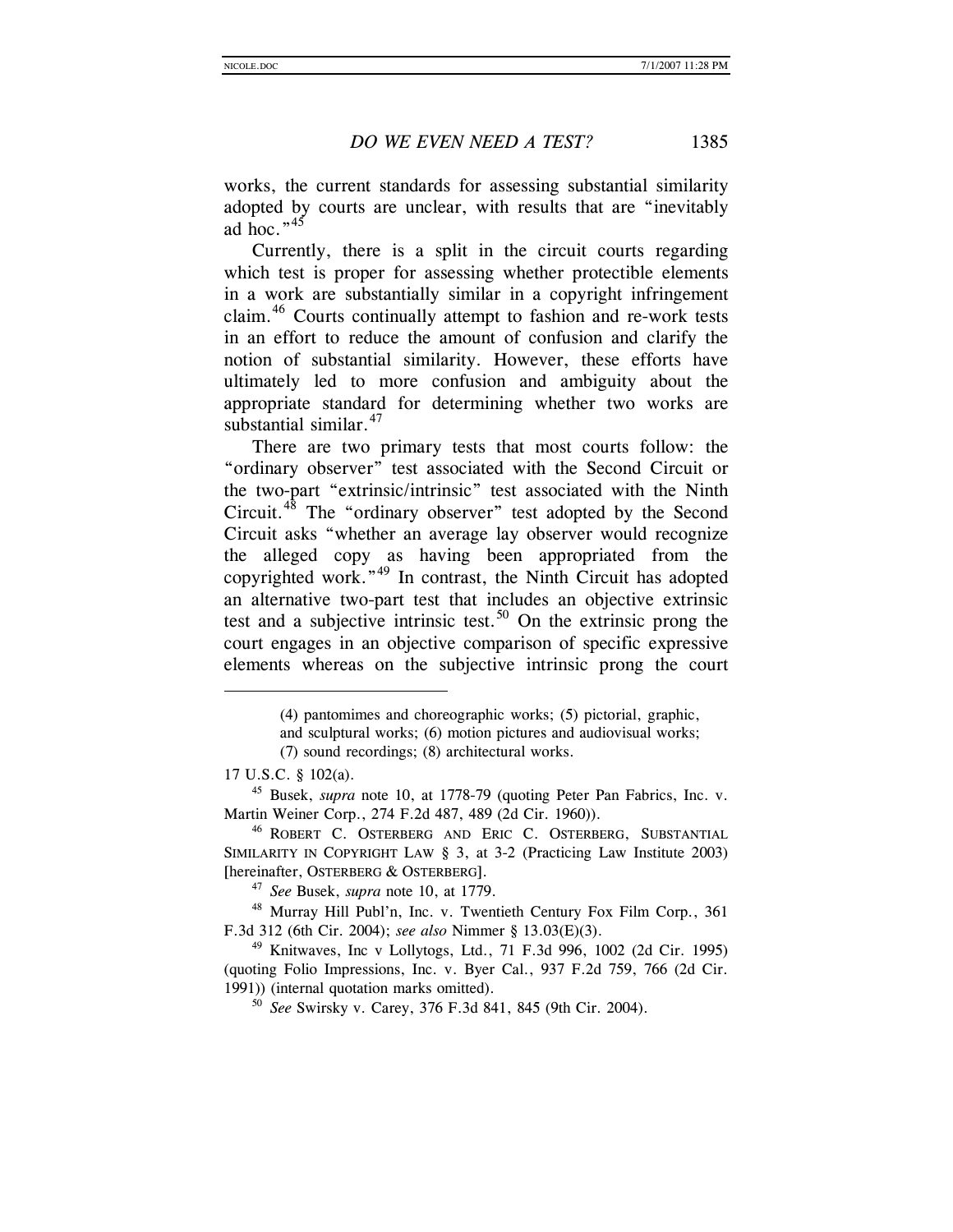works, the current standards for assessing substantial similarity adopted by courts are unclear, with results that are "inevitably ad hoc."<sup>[45](#page-11-0)</sup>

Currently, there is a split in the circuit courts regarding which test is proper for assessing whether protectible elements in a work are substantially similar in a copyright infringement claim.[46](#page-11-1) Courts continually attempt to fashion and re-work tests in an effort to reduce the amount of confusion and clarify the notion of substantial similarity. However, these efforts have ultimately led to more confusion and ambiguity about the appropriate standard for determining whether two works are substantial similar. $47$ 

There are two primary tests that most courts follow: the "ordinary observer" test associated with the Second Circuit or the two-part "extrinsic/intrinsic" test associated with the Ninth Circuit.<sup>[48](#page-11-3)</sup> The "ordinary observer" test adopted by the Second Circuit asks "whether an average lay observer would recognize the alleged copy as having been appropriated from the copyrighted work."[49](#page-11-4) In contrast, the Ninth Circuit has adopted an alternative two-part test that includes an objective extrinsic test and a subjective intrinsic test.<sup>[50](#page-11-5)</sup> On the extrinsic prong the court engages in an objective comparison of specific expressive elements whereas on the subjective intrinsic prong the court

(7) sound recordings; (8) architectural works.

17 U.S.C. § 102(a).

 $\overline{a}$ 

<span id="page-11-0"></span><sup>45</sup> Busek, *supra* note 10, at 1778-79 (quoting Peter Pan Fabrics, Inc. v. Martin Weiner Corp., 274 F.2d 487, 489 (2d Cir. 1960)).

<span id="page-11-1"></span><sup>46</sup> ROBERT C. OSTERBERG AND ERIC C. OSTERBERG, SUBSTANTIAL SIMILARITY IN COPYRIGHT LAW § 3, at 3-2 (Practicing Law Institute 2003) [hereinafter, OSTERBERG & OSTERBERG]. 47 *See* Busek, *supra* note 10, at 1779.

<span id="page-11-3"></span><span id="page-11-2"></span><sup>48</sup> Murray Hill Publ'n, Inc. v. Twentieth Century Fox Film Corp., 361 F.3d 312 (6th Cir. 2004); *see also* Nimmer § 13.03(E)(3).

<sup>(4)</sup> pantomimes and choreographic works; (5) pictorial, graphic,

and sculptural works; (6) motion pictures and audiovisual works;

<span id="page-11-5"></span><span id="page-11-4"></span> $49$  Knitwaves, Inc v Lollytogs, Ltd., 71 F.3d 996, 1002 (2d Cir. 1995) (quoting Folio Impressions, Inc. v. Byer Cal., 937 F.2d 759, 766 (2d Cir. 1991)) (internal quotation marks omitted).

<sup>50</sup> *See* Swirsky v. Carey, 376 F.3d 841, 845 (9th Cir. 2004).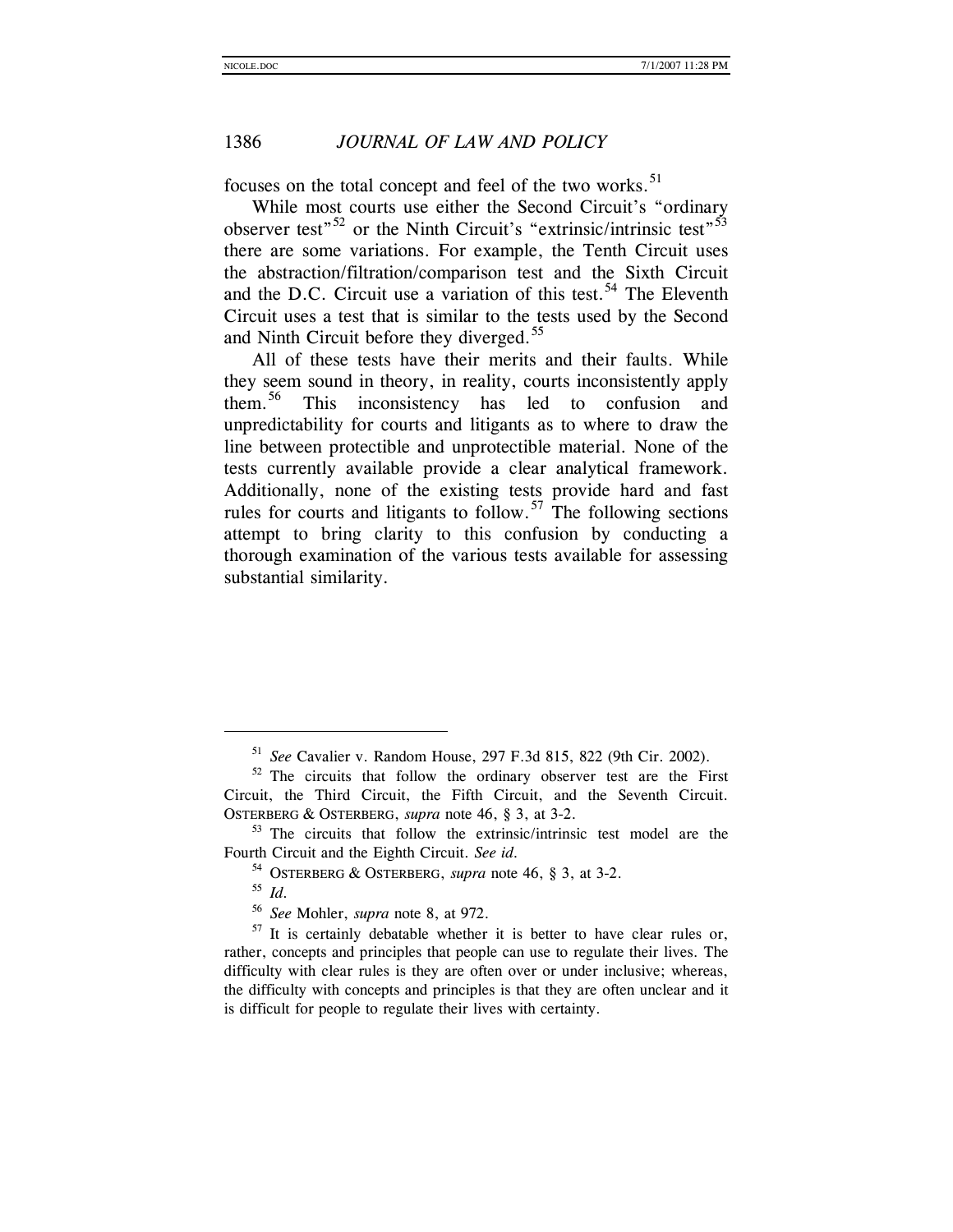focuses on the total concept and feel of the two works. $51$ 

While most courts use either the Second Circuit's "ordinary observer test"<sup>[52](#page-12-1)</sup> or the Ninth Circuit's "extrinsic/intrinsic test"<sup>53</sup> there are some variations. For example, the Tenth Circuit uses the abstraction/filtration/comparison test and the Sixth Circuit and the D.C. Circuit use a variation of this test.<sup>[54](#page-12-3)</sup> The Eleventh Circuit uses a test that is similar to the tests used by the Second and Ninth Circuit before they diverged.<sup>[55](#page-12-4)</sup>

All of these tests have their merits and their faults. While they seem sound in theory, in reality, courts inconsistently apply them.[56](#page-12-5) This inconsistency has led to confusion and unpredictability for courts and litigants as to where to draw the line between protectible and unprotectible material. None of the tests currently available provide a clear analytical framework. Additionally, none of the existing tests provide hard and fast rules for courts and litigants to follow.<sup>[57](#page-12-6)</sup> The following sections attempt to bring clarity to this confusion by conducting a thorough examination of the various tests available for assessing substantial similarity.

<sup>51</sup> *See* Cavalier v. Random House, 297 F.3d 815, 822 (9th Cir. 2002).

<span id="page-12-1"></span><span id="page-12-0"></span> $52$  The circuits that follow the ordinary observer test are the First Circuit, the Third Circuit, the Fifth Circuit, and the Seventh Circuit. OSTERBERG & OSTERBERG, *supra* note 46, § 3, at 3-2.

<span id="page-12-3"></span><span id="page-12-2"></span> $53$  The circuits that follow the extrinsic/intrinsic test model are the Fourth Circuit and the Eighth Circuit. *See id.* 

<sup>54</sup> OSTERBERG & OSTERBERG, *supra* note 46, § 3, at 3-2.

<sup>55</sup> *Id.*

<sup>56</sup> *See* Mohler, *supra* note 8, at 972.

<span id="page-12-6"></span><span id="page-12-5"></span><span id="page-12-4"></span> $57$  It is certainly debatable whether it is better to have clear rules or, rather, concepts and principles that people can use to regulate their lives. The difficulty with clear rules is they are often over or under inclusive; whereas, the difficulty with concepts and principles is that they are often unclear and it is difficult for people to regulate their lives with certainty.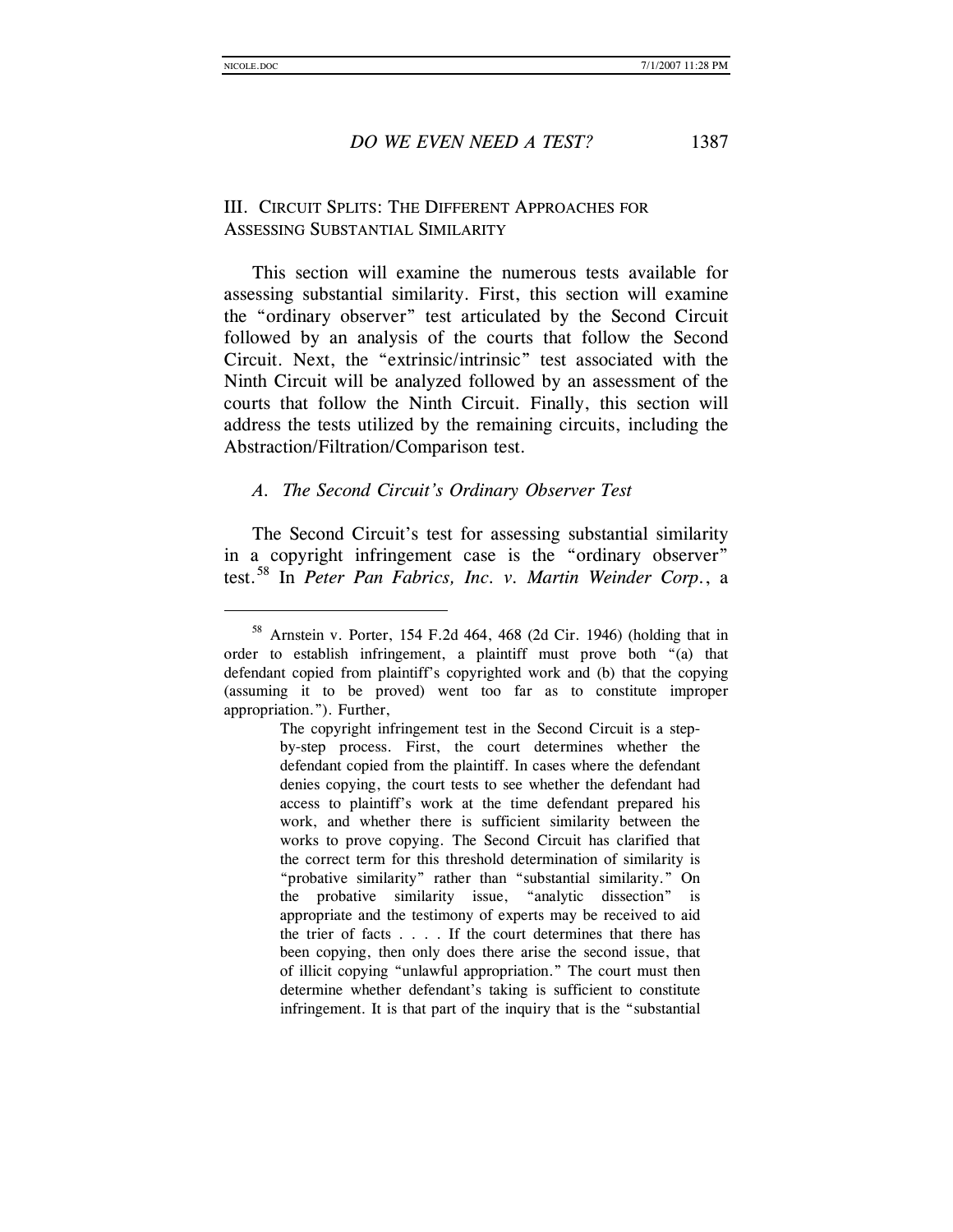$\overline{a}$ 

#### *DO WE EVEN NEED A TEST?* 1387

### III. CIRCUIT SPLITS: THE DIFFERENT APPROACHES FOR ASSESSING SUBSTANTIAL SIMILARITY

This section will examine the numerous tests available for assessing substantial similarity. First, this section will examine the "ordinary observer" test articulated by the Second Circuit followed by an analysis of the courts that follow the Second Circuit. Next, the "extrinsic/intrinsic" test associated with the Ninth Circuit will be analyzed followed by an assessment of the courts that follow the Ninth Circuit. Finally, this section will address the tests utilized by the remaining circuits, including the Abstraction/Filtration/Comparison test.

#### *A. The Second Circuit's Ordinary Observer Test*

The Second Circuit's test for assessing substantial similarity in a copyright infringement case is the "ordinary observer" test.[58](#page-13-0) In *Peter Pan Fabrics, Inc. v. Martin Weinder Corp.*, a

<span id="page-13-0"></span><sup>58</sup> Arnstein v. Porter, 154 F.2d 464, 468 (2d Cir. 1946) (holding that in order to establish infringement, a plaintiff must prove both "(a) that defendant copied from plaintiff's copyrighted work and (b) that the copying (assuming it to be proved) went too far as to constitute improper appropriation."). Further,

The copyright infringement test in the Second Circuit is a stepby-step process. First, the court determines whether the defendant copied from the plaintiff. In cases where the defendant denies copying, the court tests to see whether the defendant had access to plaintiff's work at the time defendant prepared his work, and whether there is sufficient similarity between the works to prove copying. The Second Circuit has clarified that the correct term for this threshold determination of similarity is "probative similarity" rather than "substantial similarity." On the probative similarity issue, "analytic dissection" is appropriate and the testimony of experts may be received to aid the trier of facts . . . . If the court determines that there has been copying, then only does there arise the second issue, that of illicit copying "unlawful appropriation." The court must then determine whether defendant's taking is sufficient to constitute infringement. It is that part of the inquiry that is the "substantial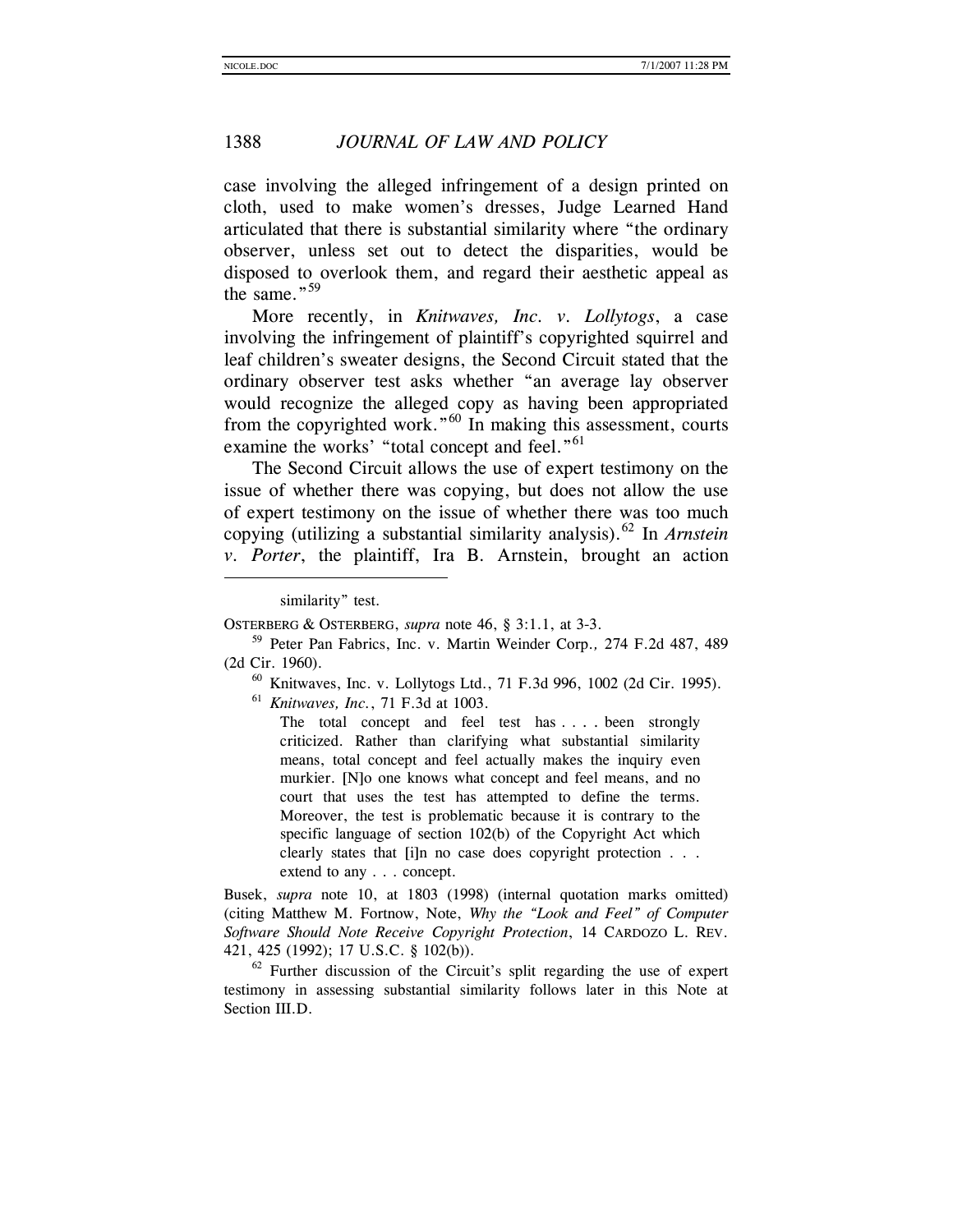case involving the alleged infringement of a design printed on cloth, used to make women's dresses, Judge Learned Hand articulated that there is substantial similarity where "the ordinary observer, unless set out to detect the disparities, would be disposed to overlook them, and regard their aesthetic appeal as the same."<sup>[59](#page-14-0)</sup>

More recently, in *Knitwaves, Inc. v. Lollytogs*, a case involving the infringement of plaintiff's copyrighted squirrel and leaf children's sweater designs, the Second Circuit stated that the ordinary observer test asks whether "an average lay observer would recognize the alleged copy as having been appropriated from the copyrighted work."<sup>[60](#page-14-1)</sup> In making this assessment, courts examine the works' "total concept and feel."<sup>[61](#page-14-2)</sup>

The Second Circuit allows the use of expert testimony on the issue of whether there was copying, but does not allow the use of expert testimony on the issue of whether there was too much copying (utilizing a substantial similarity analysis).[62](#page-14-3) In *Arnstein v. Porter*, the plaintiff, Ira B. Arnstein, brought an action

similarity" test.

 $\overline{a}$ 

<sup>61</sup> *Knitwaves, Inc.*, 71 F.3d at 1003.

The total concept and feel test has . . . . been strongly criticized. Rather than clarifying what substantial similarity means, total concept and feel actually makes the inquiry even murkier. [N]o one knows what concept and feel means, and no court that uses the test has attempted to define the terms. Moreover, the test is problematic because it is contrary to the specific language of section 102(b) of the Copyright Act which clearly states that [i]n no case does copyright protection . . . extend to any . . . concept.

Busek, *supra* note 10, at 1803 (1998) (internal quotation marks omitted) (citing Matthew M. Fortnow, Note, *Why the "Look and Feel" of Computer Software Should Note Receive Copyright Protection*, 14 CARDOZO L. REV. 421, 425 (1992); 17 U.S.C. § 102(b)).

<span id="page-14-3"></span> $62$  Further discussion of the Circuit's split regarding the use of expert testimony in assessing substantial similarity follows later in this Note at Section III.D.

OSTERBERG & OSTERBERG, *supra* note 46, § 3:1.1, at 3-3.

<span id="page-14-2"></span><span id="page-14-1"></span><span id="page-14-0"></span><sup>59</sup> Peter Pan Fabrics, Inc. v. Martin Weinder Corp.*,* 274 F.2d 487, 489 (2d Cir. 1960).

<sup>60</sup> Knitwaves, Inc. v. Lollytogs Ltd., 71 F.3d 996, 1002 (2d Cir. 1995).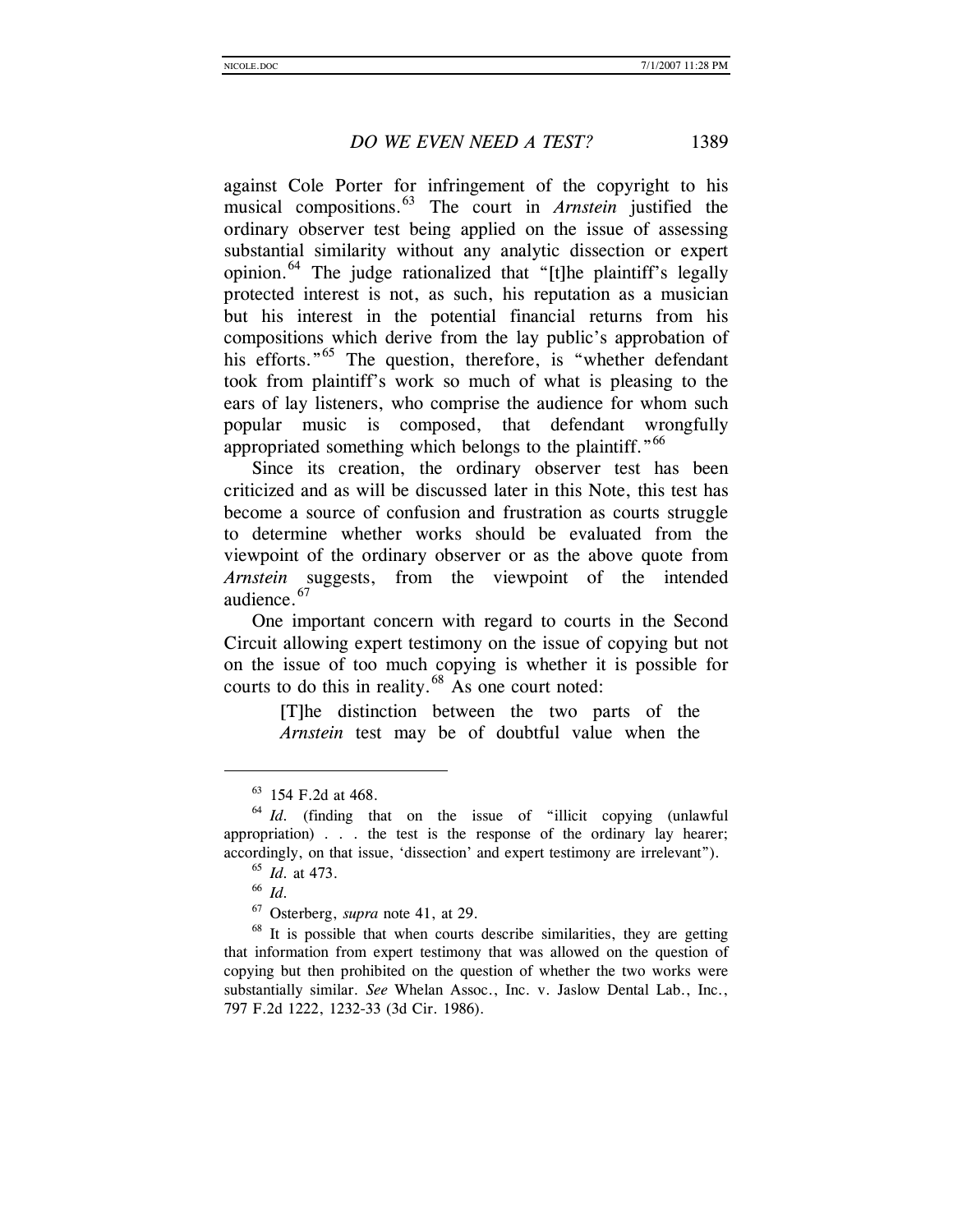against Cole Porter for infringement of the copyright to his musical compositions.[63](#page-15-0) The court in *Arnstein* justified the ordinary observer test being applied on the issue of assessing substantial similarity without any analytic dissection or expert opinion.[64](#page-15-1) The judge rationalized that "[t]he plaintiff's legally protected interest is not, as such, his reputation as a musician but his interest in the potential financial returns from his compositions which derive from the lay public's approbation of his efforts."<sup>[65](#page-15-2)</sup> The question, therefore, is "whether defendant took from plaintiff's work so much of what is pleasing to the ears of lay listeners, who comprise the audience for whom such popular music is composed, that defendant wrongfully appropriated something which belongs to the plaintiff."<sup>[66](#page-15-3)</sup>

Since its creation, the ordinary observer test has been criticized and as will be discussed later in this Note, this test has become a source of confusion and frustration as courts struggle to determine whether works should be evaluated from the viewpoint of the ordinary observer or as the above quote from *Arnstein* suggests, from the viewpoint of the intended audience.<sup>[67](#page-15-4)</sup>

One important concern with regard to courts in the Second Circuit allowing expert testimony on the issue of copying but not on the issue of too much copying is whether it is possible for courts to do this in reality.<sup>[68](#page-15-5)</sup> As one court noted:

> [T]he distinction between the two parts of the *Arnstein* test may be of doubtful value when the

<sup>63</sup> 154 F.2d at 468.

<span id="page-15-2"></span><span id="page-15-1"></span><span id="page-15-0"></span><sup>64</sup> *Id.* (finding that on the issue of "illicit copying (unlawful appropriation) . . . the test is the response of the ordinary lay hearer; accordingly, on that issue, 'dissection' and expert testimony are irrelevant").

<sup>65</sup> *Id.* at 473.

<sup>66</sup> *Id.*

<sup>67</sup> Osterberg, *supra* note 41, at 29.

<span id="page-15-5"></span><span id="page-15-4"></span><span id="page-15-3"></span> $68$  It is possible that when courts describe similarities, they are getting that information from expert testimony that was allowed on the question of copying but then prohibited on the question of whether the two works were substantially similar. *See* Whelan Assoc., Inc. v. Jaslow Dental Lab., Inc., 797 F.2d 1222, 1232-33 (3d Cir. 1986).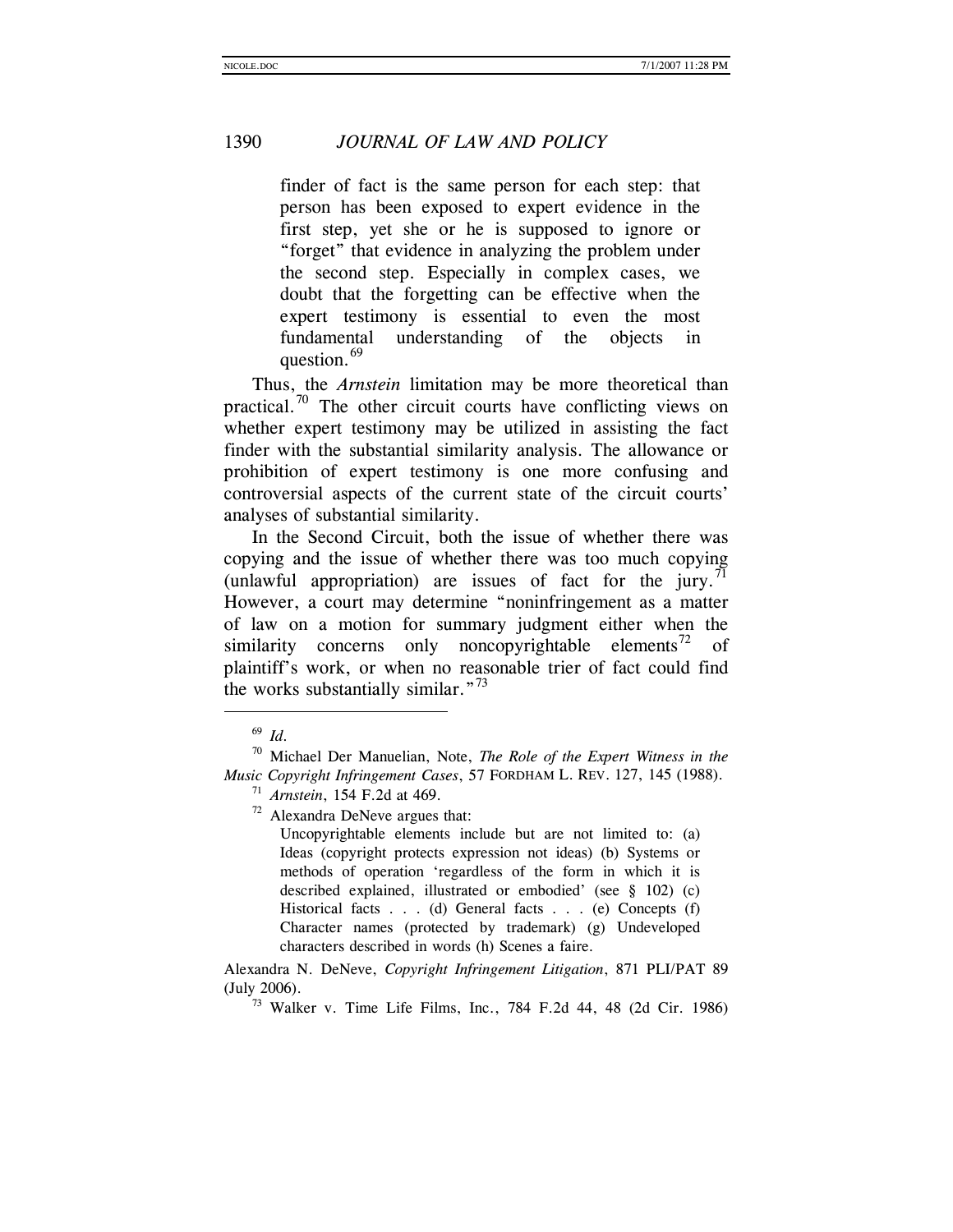finder of fact is the same person for each step: that person has been exposed to expert evidence in the first step, yet she or he is supposed to ignore or "forget" that evidence in analyzing the problem under the second step. Especially in complex cases, we doubt that the forgetting can be effective when the expert testimony is essential to even the most fundamental understanding of the objects in question.<sup>[69](#page-16-0)</sup>

Thus, the *Arnstein* limitation may be more theoretical than practical.<sup>[70](#page-16-1)</sup> The other circuit courts have conflicting views on whether expert testimony may be utilized in assisting the fact finder with the substantial similarity analysis. The allowance or prohibition of expert testimony is one more confusing and controversial aspects of the current state of the circuit courts' analyses of substantial similarity.

In the Second Circuit, both the issue of whether there was copying and the issue of whether there was too much copying (unlawful appropriation) are issues of fact for the jury.<sup>[71](#page-16-2)</sup> However, a court may determine "noninfringement as a matter of law on a motion for summary judgment either when the similarity concerns only noncopyrightable elements<sup>[72](#page-16-3)</sup> of plaintiff's work, or when no reasonable trier of fact could find the works substantially similar." $73$ 

l

Uncopyrightable elements include but are not limited to: (a) Ideas (copyright protects expression not ideas) (b) Systems or methods of operation 'regardless of the form in which it is described explained, illustrated or embodied' (see § 102) (c) Historical facts . . . (d) General facts . . . (e) Concepts (f) Character names (protected by trademark) (g) Undeveloped characters described in words (h) Scenes a faire.

<span id="page-16-4"></span>Alexandra N. DeNeve, *Copyright Infringement Litigation*, 871 PLI/PAT 89 (July 2006).

 $73$  Walker v. Time Life Films, Inc., 784 F.2d 44, 48 (2d Cir. 1986)

<sup>69</sup> *Id.*

<span id="page-16-3"></span><span id="page-16-2"></span><span id="page-16-1"></span><span id="page-16-0"></span><sup>70</sup> Michael Der Manuelian, Note, *The Role of the Expert Witness in the Music Copyright Infringement Cases*, 57 FORDHAM L. REV. 127, 145 (1988).<br><sup>71</sup> *Arnstein*, 154 F.2d at 469.<br><sup>72</sup> Alexandra DeNeve argues that: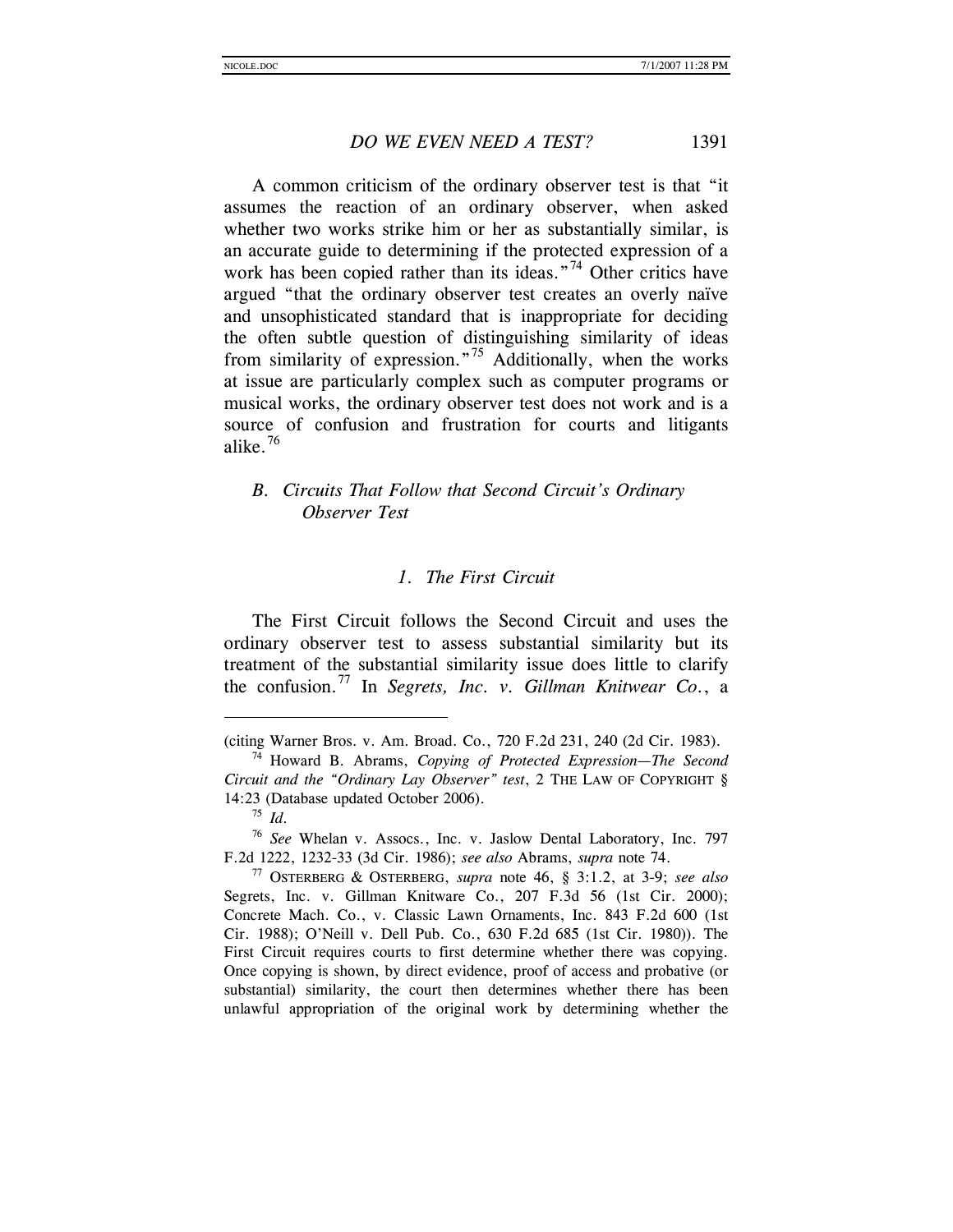A common criticism of the ordinary observer test is that "it assumes the reaction of an ordinary observer, when asked whether two works strike him or her as substantially similar, is an accurate guide to determining if the protected expression of a work has been copied rather than its ideas."<sup>[74](#page-17-0)</sup> Other critics have argued "that the ordinary observer test creates an overly naïve and unsophisticated standard that is inappropriate for deciding the often subtle question of distinguishing similarity of ideas from similarity of expression."<sup>[75](#page-17-1)</sup> Additionally, when the works at issue are particularly complex such as computer programs or musical works, the ordinary observer test does not work and is a source of confusion and frustration for courts and litigants alike.[76](#page-17-2)

#### *B. Circuits That Follow that Second Circuit's Ordinary Observer Test*

#### *1. The First Circuit*

The First Circuit follows the Second Circuit and uses the ordinary observer test to assess substantial similarity but its treatment of the substantial similarity issue does little to clarify the confusion.[77](#page-17-3) In *Segrets, Inc. v. Gillman Knitwear Co.*, a

<span id="page-17-0"></span><sup>(</sup>citing Warner Bros. v. Am. Broad. Co., 720 F.2d 231, 240 (2d Cir. 1983). 74 Howard B. Abrams, *Copying of Protected Expression*—*The Second Circuit and the "Ordinary Lay Observer" test*, 2 THE LAW OF COPYRIGHT § 14:23 (Database updated October 2006).

<sup>75</sup> *Id.*

<span id="page-17-2"></span><span id="page-17-1"></span><sup>76</sup> *See* Whelan v. Assocs., Inc. v. Jaslow Dental Laboratory, Inc. 797 F.2d 1222, 1232-33 (3d Cir. 1986); *see also* Abrams, *supra* note 74. 77 OSTERBERG & OSTERBERG, *supra* note 46, § 3:1.2, at 3-9; *see also*

<span id="page-17-3"></span>Segrets, Inc. v. Gillman Knitware Co., 207 F.3d 56 (1st Cir. 2000); Concrete Mach. Co., v. Classic Lawn Ornaments, Inc. 843 F.2d 600 (1st Cir. 1988); O'Neill v. Dell Pub. Co., 630 F.2d 685 (1st Cir. 1980)). The First Circuit requires courts to first determine whether there was copying. Once copying is shown, by direct evidence, proof of access and probative (or substantial) similarity, the court then determines whether there has been unlawful appropriation of the original work by determining whether the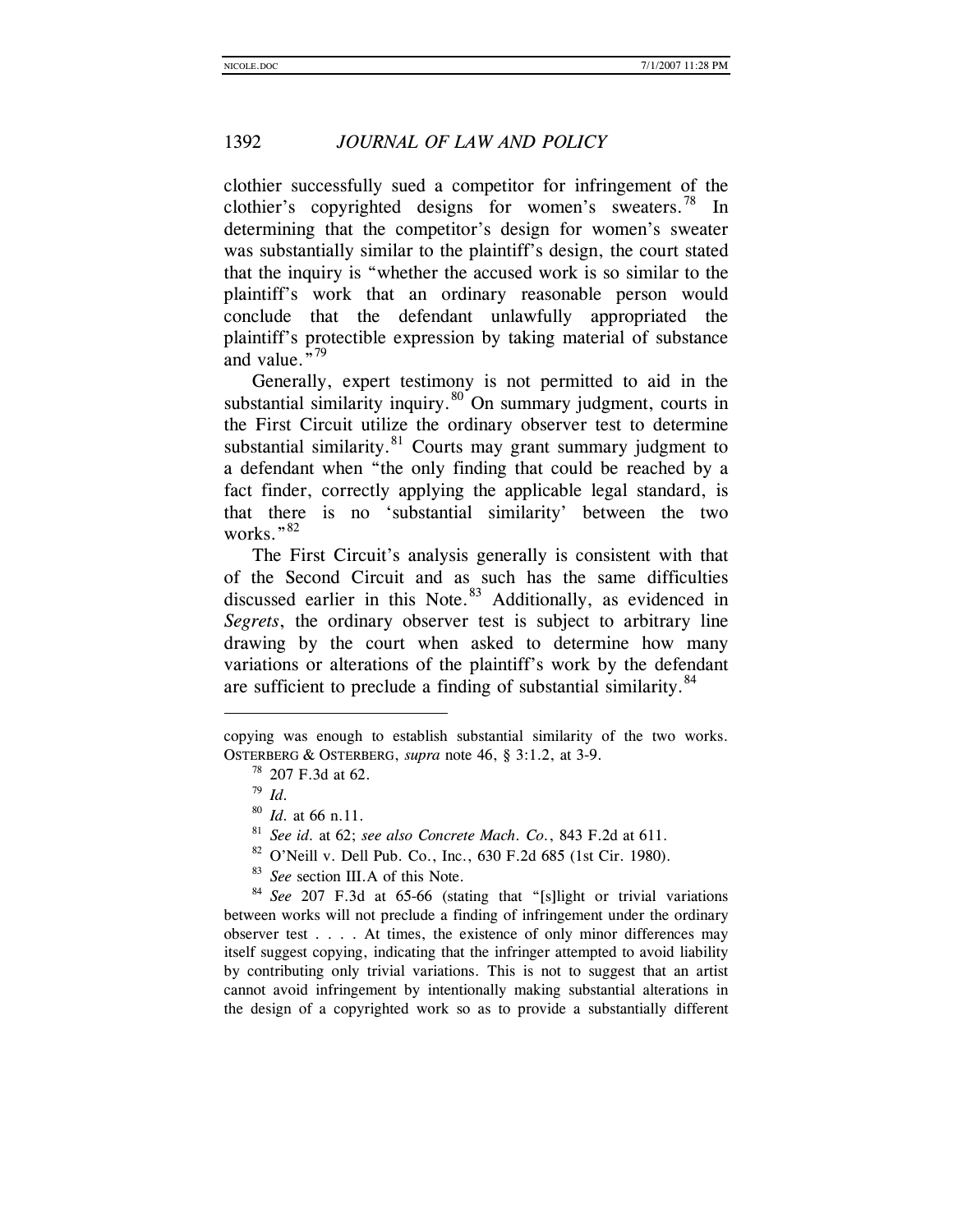clothier successfully sued a competitor for infringement of the clothier's copyrighted designs for women's sweaters.<sup>[78](#page-18-0)</sup> In determining that the competitor's design for women's sweater was substantially similar to the plaintiff's design, the court stated that the inquiry is "whether the accused work is so similar to the plaintiff's work that an ordinary reasonable person would conclude that the defendant unlawfully appropriated the plaintiff's protectible expression by taking material of substance and value."<sup>[79](#page-18-1)</sup>

Generally, expert testimony is not permitted to aid in the substantial similarity inquiry. $80$  On summary judgment, courts in the First Circuit utilize the ordinary observer test to determine substantial similarity.<sup>[81](#page-18-3)</sup> Courts may grant summary judgment to a defendant when "the only finding that could be reached by a fact finder, correctly applying the applicable legal standard, is that there is no 'substantial similarity' between the two works. $"$ <sup>[82](#page-18-4)</sup>

The First Circuit's analysis generally is consistent with that of the Second Circuit and as such has the same difficulties discussed earlier in this Note. $83$  Additionally, as evidenced in *Segrets*, the ordinary observer test is subject to arbitrary line drawing by the court when asked to determine how many variations or alterations of the plaintiff's work by the defendant are sufficient to preclude a finding of substantial similarity.<sup>[84](#page-18-6)</sup>

 $\overline{a}$ 

- <sup>80</sup> *Id.* at 66 n.11.
- <sup>81</sup> *See id.* at 62; *see also Concrete Mach. Co.*, 843 F.2d at 611.
- <sup>82</sup> O'Neill v. Dell Pub. Co., Inc., 630 F.2d 685 (1st Cir. 1980).
- <sup>83</sup> *See* section III.A of this Note.

<span id="page-18-6"></span><span id="page-18-5"></span><span id="page-18-4"></span><span id="page-18-3"></span><sup>84</sup> *See* 207 F.3d at 65-66 (stating that "[s]light or trivial variations between works will not preclude a finding of infringement under the ordinary observer test . . . . At times, the existence of only minor differences may itself suggest copying, indicating that the infringer attempted to avoid liability by contributing only trivial variations. This is not to suggest that an artist cannot avoid infringement by intentionally making substantial alterations in the design of a copyrighted work so as to provide a substantially different

<span id="page-18-2"></span><span id="page-18-1"></span><span id="page-18-0"></span>copying was enough to establish substantial similarity of the two works. OSTERBERG & OSTERBERG, *supra* note 46, § 3:1.2, at 3-9.

 $78$  207 F.3d at 62.

<sup>79</sup> *Id.*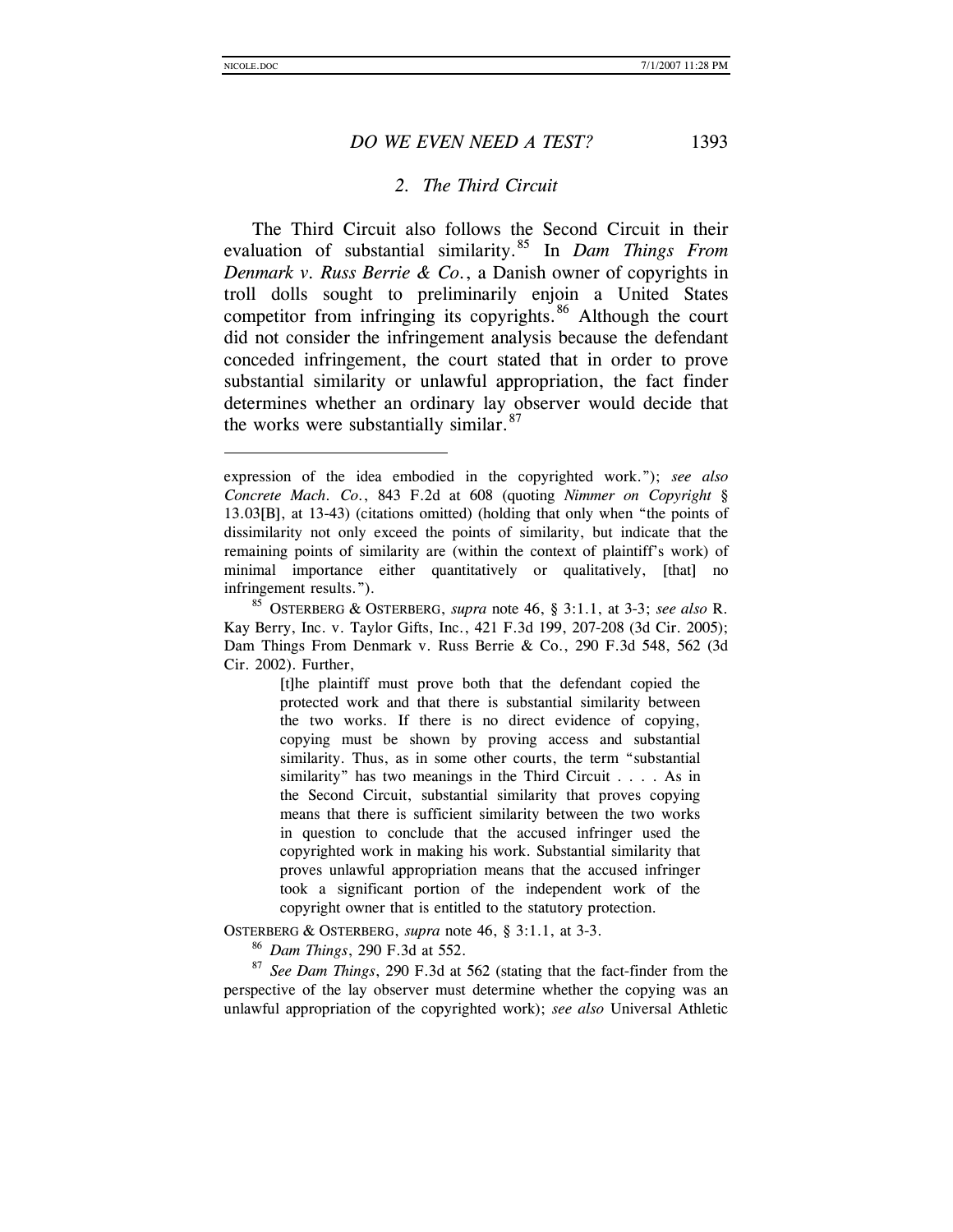$\overline{a}$ 

#### *DO WE EVEN NEED A TEST?* 1393

#### *2. The Third Circuit*

The Third Circuit also follows the Second Circuit in their evaluation of substantial similarity.[85](#page-19-0) In *Dam Things From Denmark v. Russ Berrie & Co.*, a Danish owner of copyrights in troll dolls sought to preliminarily enjoin a United States competitor from infringing its copyrights. $86$  Although the court did not consider the infringement analysis because the defendant conceded infringement, the court stated that in order to prove substantial similarity or unlawful appropriation, the fact finder determines whether an ordinary lay observer would decide that the works were substantially similar. $87$ 

[t]he plaintiff must prove both that the defendant copied the protected work and that there is substantial similarity between the two works. If there is no direct evidence of copying, copying must be shown by proving access and substantial similarity. Thus, as in some other courts, the term "substantial similarity" has two meanings in the Third Circuit . . . . As in the Second Circuit, substantial similarity that proves copying means that there is sufficient similarity between the two works in question to conclude that the accused infringer used the copyrighted work in making his work. Substantial similarity that proves unlawful appropriation means that the accused infringer took a significant portion of the independent work of the copyright owner that is entitled to the statutory protection.

<span id="page-19-1"></span>OSTERBERG & OSTERBERG, *supra* note 46, § 3:1.1, at 3-3.

<sup>86</sup> *Dam Things*, 290 F.3d at 552.

<span id="page-19-2"></span><sup>87</sup> *See Dam Things*, 290 F.3d at 562 (stating that the fact-finder from the perspective of the lay observer must determine whether the copying was an unlawful appropriation of the copyrighted work); *see also* Universal Athletic

expression of the idea embodied in the copyrighted work."); *see also Concrete Mach. Co.*, 843 F.2d at 608 (quoting *Nimmer on Copyright* § 13.03[B], at 13-43) (citations omitted) (holding that only when "the points of dissimilarity not only exceed the points of similarity, but indicate that the remaining points of similarity are (within the context of plaintiff's work) of minimal importance either quantitatively or qualitatively, [that] no infringement results.").

<span id="page-19-0"></span><sup>85</sup> OSTERBERG & OSTERBERG, *supra* note 46, § 3:1.1, at 3-3; *see also* R. Kay Berry, Inc. v. Taylor Gifts, Inc., 421 F.3d 199, 207-208 (3d Cir. 2005); Dam Things From Denmark v. Russ Berrie & Co., 290 F.3d 548, 562 (3d Cir. 2002). Further,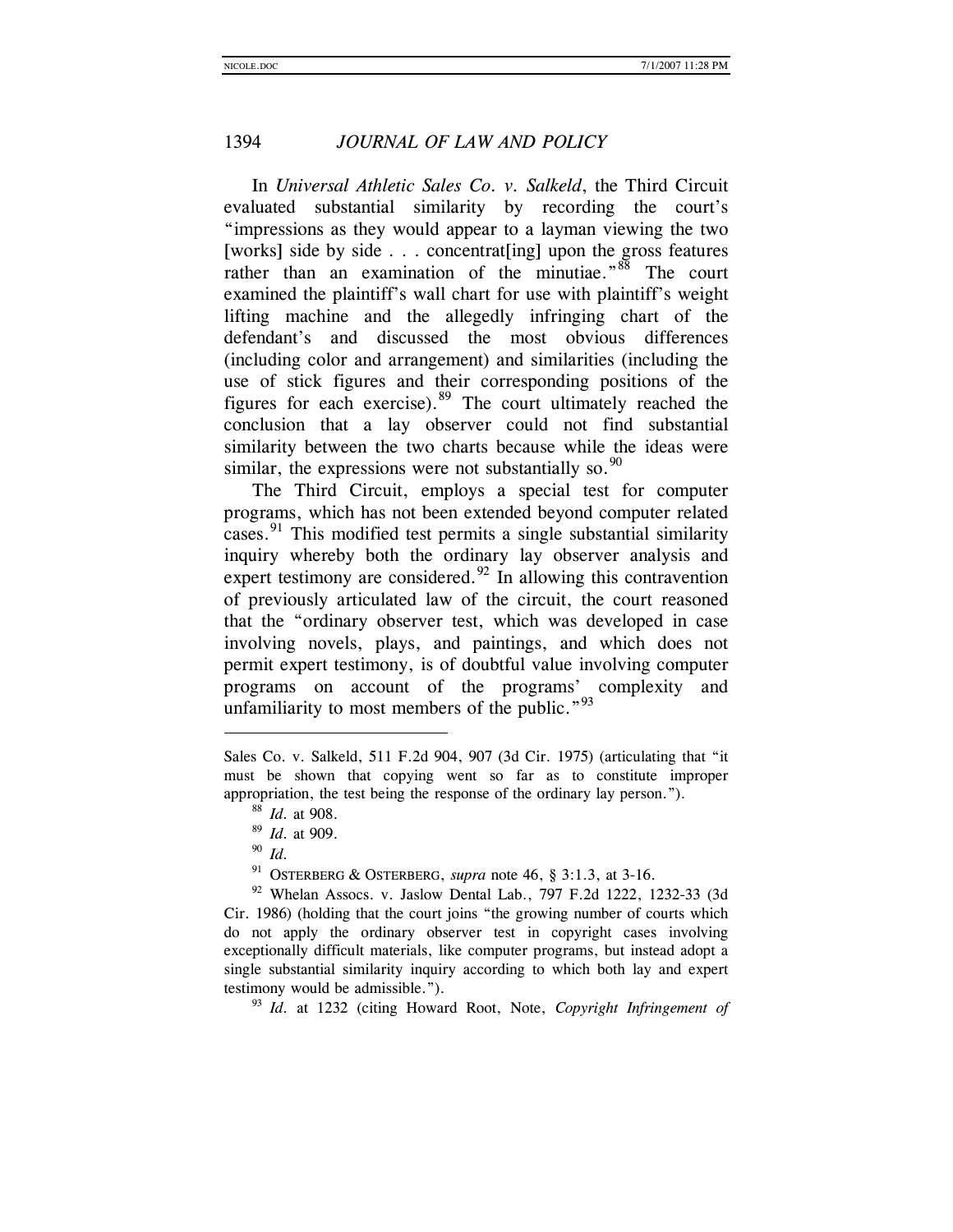In *Universal Athletic Sales Co. v. Salkeld*, the Third Circuit evaluated substantial similarity by recording the court's "impressions as they would appear to a layman viewing the two [works] side by side . . . concentrat [ing] upon the gross features rather than an examination of the minutiae."<sup>[88](#page-20-0)</sup> The court examined the plaintiff's wall chart for use with plaintiff's weight lifting machine and the allegedly infringing chart of the defendant's and discussed the most obvious differences (including color and arrangement) and similarities (including the use of stick figures and their corresponding positions of the figures for each exercise).[89](#page-20-1) The court ultimately reached the conclusion that a lay observer could not find substantial similarity between the two charts because while the ideas were similar, the expressions were not substantially so. $90$ 

The Third Circuit, employs a special test for computer programs, which has not been extended beyond computer related cases.<sup>[91](#page-20-3)</sup> This modified test permits a single substantial similarity inquiry whereby both the ordinary lay observer analysis and expert testimony are considered.<sup>[92](#page-20-4)</sup> In allowing this contravention of previously articulated law of the circuit, the court reasoned that the "ordinary observer test, which was developed in case involving novels, plays, and paintings, and which does not permit expert testimony, is of doubtful value involving computer programs on account of the programs' complexity and unfamiliarity to most members of the public." $93$ 

 $\overline{a}$ 

<sup>93</sup> *Id.* at 1232 (citing Howard Root, Note, *Copyright Infringement of* 

<span id="page-20-0"></span>Sales Co. v. Salkeld, 511 F.2d 904, 907 (3d Cir. 1975) (articulating that "it must be shown that copying went so far as to constitute improper appropriation, the test being the response of the ordinary lay person.").

<sup>88</sup> *Id.* at 908.

<sup>89</sup> *Id.* at 909.

<sup>90</sup> *Id.*

<sup>91</sup> OSTERBERG & OSTERBERG, *supra* note 46, § 3:1.3, at 3-16.

<span id="page-20-5"></span><span id="page-20-4"></span><span id="page-20-3"></span><span id="page-20-2"></span><span id="page-20-1"></span><sup>92</sup> Whelan Assocs. v. Jaslow Dental Lab., 797 F.2d 1222, 1232-33 (3d Cir. 1986) (holding that the court joins "the growing number of courts which do not apply the ordinary observer test in copyright cases involving exceptionally difficult materials, like computer programs, but instead adopt a single substantial similarity inquiry according to which both lay and expert testimony would be admissible.").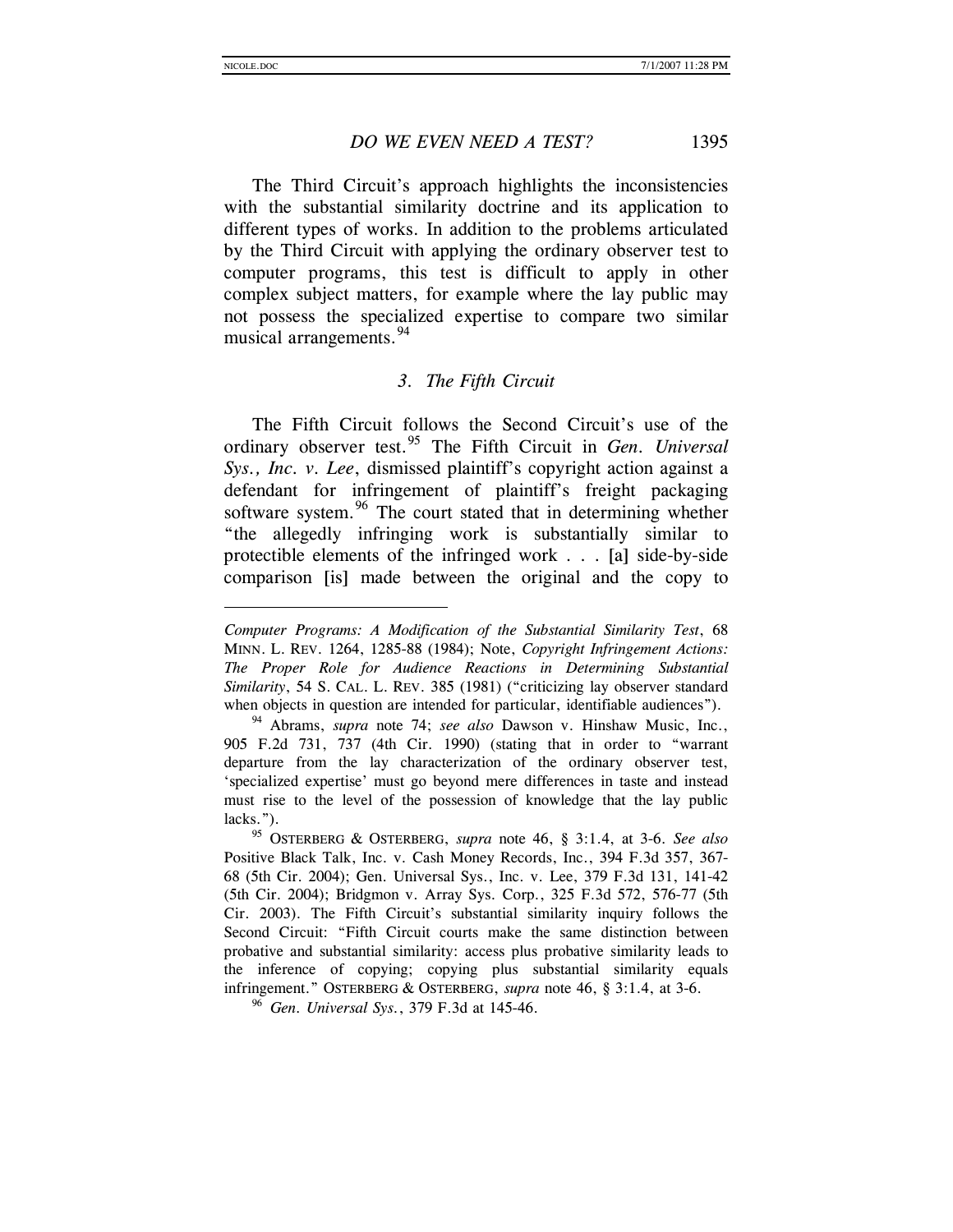$\overline{a}$ 

#### *DO WE EVEN NEED A TEST?* 1395

The Third Circuit's approach highlights the inconsistencies with the substantial similarity doctrine and its application to different types of works. In addition to the problems articulated by the Third Circuit with applying the ordinary observer test to computer programs, this test is difficult to apply in other complex subject matters, for example where the lay public may not possess the specialized expertise to compare two similar musical arrangements.<sup>[94](#page-21-0)</sup>

#### *3. The Fifth Circuit*

The Fifth Circuit follows the Second Circuit's use of the ordinary observer test.[95](#page-21-1) The Fifth Circuit in *Gen. Universal Sys., Inc. v. Lee*, dismissed plaintiff's copyright action against a defendant for infringement of plaintiff's freight packaging software system.<sup>[96](#page-21-2)</sup> The court stated that in determining whether "the allegedly infringing work is substantially similar to protectible elements of the infringed work . . . [a] side-by-side comparison [is] made between the original and the copy to

<span id="page-21-2"></span><sup>96</sup> *Gen. Universal Sys.*, 379 F.3d at 145-46.

*Computer Programs: A Modification of the Substantial Similarity Test*, 68 MINN. L. REV. 1264, 1285-88 (1984); Note, *Copyright Infringement Actions: The Proper Role for Audience Reactions in Determining Substantial Similarity*, 54 S. CAL. L. REV. 385 (1981) ("criticizing lay observer standard when objects in question are intended for particular, identifiable audiences").

<span id="page-21-0"></span><sup>94</sup> Abrams, *supra* note 74; *see also* Dawson v. Hinshaw Music, Inc., 905 F.2d 731, 737 (4th Cir. 1990) (stating that in order to "warrant departure from the lay characterization of the ordinary observer test, 'specialized expertise' must go beyond mere differences in taste and instead must rise to the level of the possession of knowledge that the lay public lacks.").

<span id="page-21-1"></span><sup>95</sup> OSTERBERG & OSTERBERG, *supra* note 46, § 3:1.4, at 3-6. *See also* Positive Black Talk, Inc. v. Cash Money Records, Inc., 394 F.3d 357, 367- 68 (5th Cir. 2004); Gen. Universal Sys., Inc. v. Lee, 379 F.3d 131, 141-42 (5th Cir. 2004); Bridgmon v. Array Sys. Corp., 325 F.3d 572, 576-77 (5th Cir. 2003). The Fifth Circuit's substantial similarity inquiry follows the Second Circuit: "Fifth Circuit courts make the same distinction between probative and substantial similarity: access plus probative similarity leads to the inference of copying; copying plus substantial similarity equals infringement." OSTERBERG & OSTERBERG, *supra* note 46, § 3:1.4, at 3-6.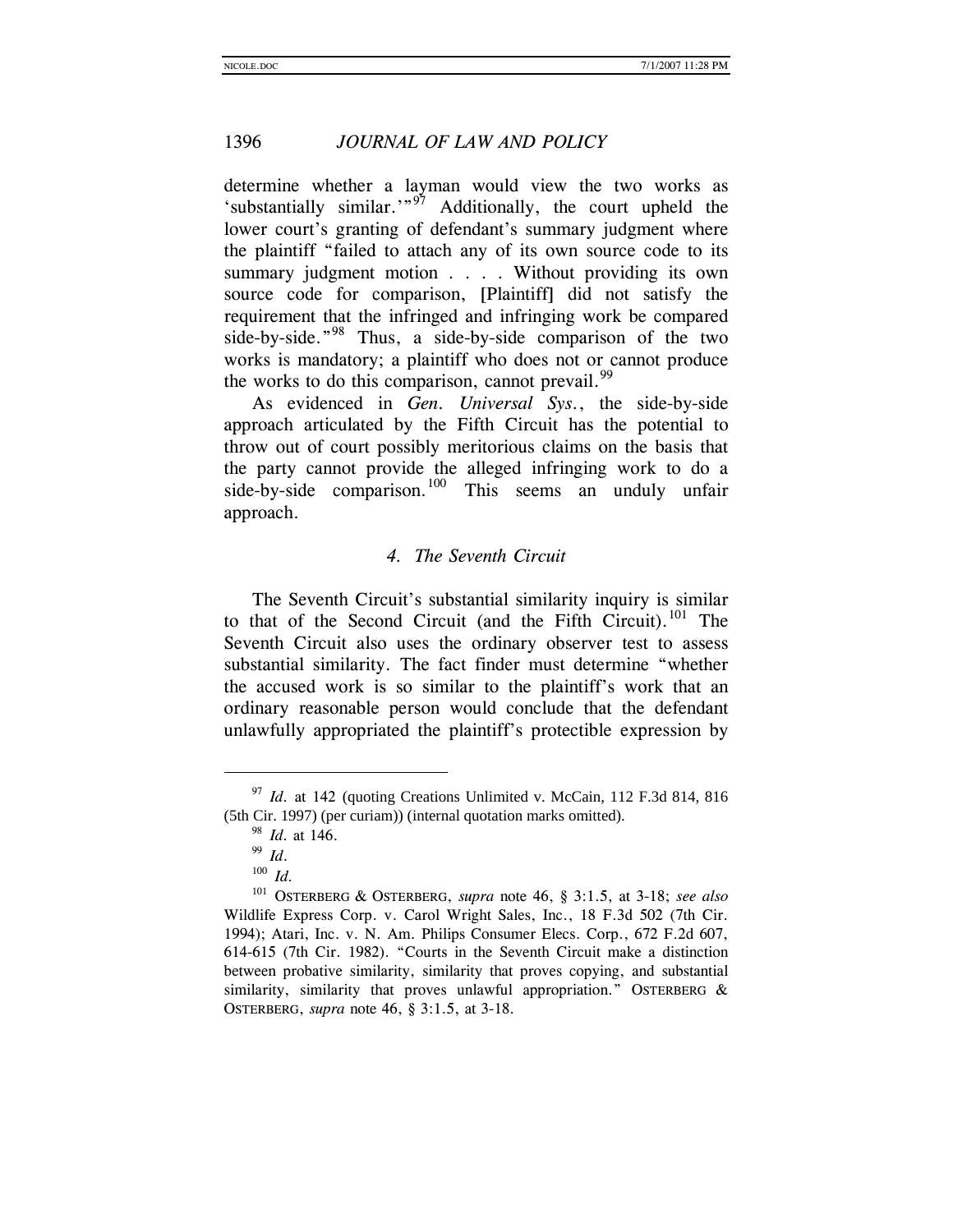determine whether a layman would view the two works as 'substantially similar.'"<sup>[97](#page-22-0)</sup> Additionally, the court upheld the lower court's granting of defendant's summary judgment where the plaintiff "failed to attach any of its own source code to its summary judgment motion . . . . Without providing its own source code for comparison, [Plaintiff] did not satisfy the requirement that the infringed and infringing work be compared side-by-side."<sup>[98](#page-22-1)</sup> Thus, a side-by-side comparison of the two works is mandatory; a plaintiff who does not or cannot produce the works to do this comparison, cannot prevail.  $99$ 

As evidenced in *Gen. Universal Sys.*, the side-by-side approach articulated by the Fifth Circuit has the potential to throw out of court possibly meritorious claims on the basis that the party cannot provide the alleged infringing work to do a side-by-side comparison.<sup>[100](#page-22-3)</sup> This seems an unduly unfair approach.

#### *4. The Seventh Circuit*

The Seventh Circuit's substantial similarity inquiry is similar to that of the Second Circuit (and the Fifth Circuit).<sup>[101](#page-22-4)</sup> The Seventh Circuit also uses the ordinary observer test to assess substantial similarity. The fact finder must determine "whether the accused work is so similar to the plaintiff's work that an ordinary reasonable person would conclude that the defendant unlawfully appropriated the plaintiff's protectible expression by

l

<span id="page-22-1"></span><span id="page-22-0"></span><sup>&</sup>lt;sup>97</sup> *Id.* at 142 (quoting Creations Unlimited v. McCain, 112 F.3d 814, 816 (5th Cir. 1997) (per curiam)) (internal quotation marks omitted).

 $\frac{98}{99}$  *Id.* at 146.

 $100$  *Id.* 

<span id="page-22-4"></span><span id="page-22-3"></span><span id="page-22-2"></span><sup>101</sup> OSTERBERG & OSTERBERG, *supra* note 46, § 3:1.5, at 3-18; *see also* Wildlife Express Corp. v. Carol Wright Sales, Inc., 18 F.3d 502 (7th Cir. 1994); Atari, Inc. v. N. Am. Philips Consumer Elecs. Corp., 672 F.2d 607, 614-615 (7th Cir. 1982). "Courts in the Seventh Circuit make a distinction between probative similarity, similarity that proves copying, and substantial similarity, similarity that proves unlawful appropriation." OSTERBERG & OSTERBERG, *supra* note 46, § 3:1.5, at 3-18*.*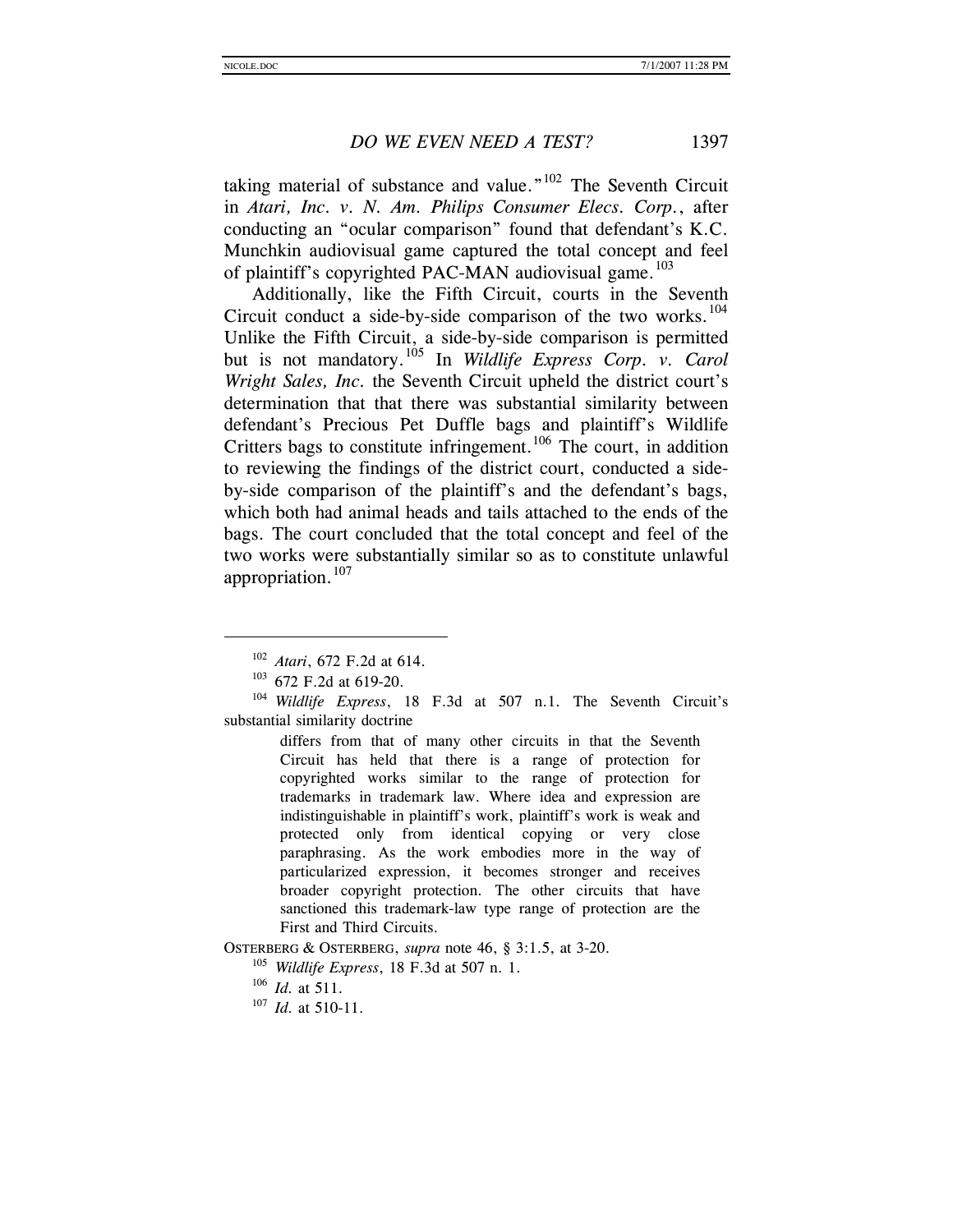taking material of substance and value." $102$  The Seventh Circuit in *Atari, Inc. v. N. Am. Philips Consumer Elecs. Corp.*, after conducting an "ocular comparison" found that defendant's K.C. Munchkin audiovisual game captured the total concept and feel of plaintiff's copyrighted PAC-MAN audiovisual game.<sup>[103](#page-23-1)</sup>

Additionally, like the Fifth Circuit, courts in the Seventh Circuit conduct a side-by-side comparison of the two works.<sup>[104](#page-23-2)</sup> Unlike the Fifth Circuit, a side-by-side comparison is permitted but is not mandatory.[105](#page-23-3) In *Wildlife Express Corp. v. Carol Wright Sales, Inc.* the Seventh Circuit upheld the district court's determination that that there was substantial similarity between defendant's Precious Pet Duffle bags and plaintiff's Wildlife Critters bags to constitute infringement.<sup>[106](#page-23-4)</sup> The court, in addition to reviewing the findings of the district court, conducted a sideby-side comparison of the plaintiff's and the defendant's bags, which both had animal heads and tails attached to the ends of the bags. The court concluded that the total concept and feel of the two works were substantially similar so as to constitute unlawful appropriation.<sup>[107](#page-23-5)</sup>

<span id="page-23-0"></span>l

differs from that of many other circuits in that the Seventh Circuit has held that there is a range of protection for copyrighted works similar to the range of protection for trademarks in trademark law. Where idea and expression are indistinguishable in plaintiff's work, plaintiff's work is weak and protected only from identical copying or very close paraphrasing. As the work embodies more in the way of particularized expression, it becomes stronger and receives broader copyright protection. The other circuits that have sanctioned this trademark-law type range of protection are the First and Third Circuits.

<span id="page-23-5"></span><span id="page-23-4"></span><span id="page-23-3"></span>OSTERBERG & OSTERBERG, *supra* note 46, § 3:1.5, at 3-20.

<sup>102</sup> *Atari*, 672 F.2d at 614.

 $103$  672 F.2d at 619-20.

<span id="page-23-2"></span><span id="page-23-1"></span><sup>104</sup> *Wildlife Express*, 18 F.3d at 507 n.1. The Seventh Circuit's substantial similarity doctrine

<sup>105</sup> *Wildlife Express*, 18 F.3d at 507 n. 1.

<sup>106</sup> *Id.* at 511.

<sup>107</sup> *Id.* at 510-11.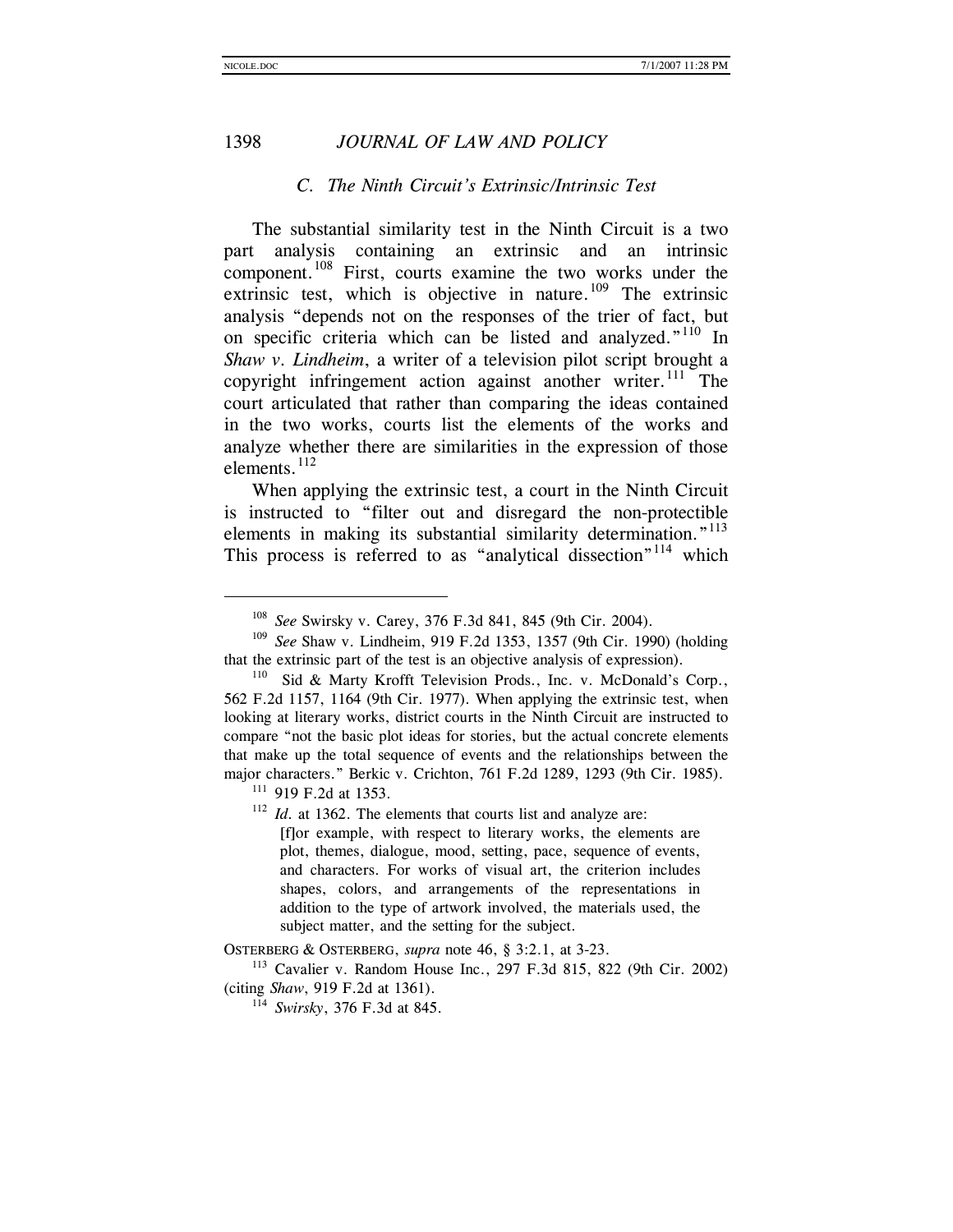$\overline{a}$ 

#### 1398 *JOURNAL OF LAW AND POLICY*

#### *C. The Ninth Circuit's Extrinsic/Intrinsic Test*

The substantial similarity test in the Ninth Circuit is a two part analysis containing an extrinsic and an intrinsic component.[108](#page-24-0) First, courts examine the two works under the extrinsic test, which is objective in nature.<sup>[109](#page-24-1)</sup> The extrinsic analysis "depends not on the responses of the trier of fact, but on specific criteria which can be listed and analyzed."<sup>[110](#page-24-2)</sup> In *Shaw v. Lindheim*, a writer of a television pilot script brought a copyright infringement action against another writer.<sup>[111](#page-24-3)</sup> The court articulated that rather than comparing the ideas contained in the two works, courts list the elements of the works and analyze whether there are similarities in the expression of those elements.<sup>[112](#page-24-4)</sup>

When applying the extrinsic test, a court in the Ninth Circuit is instructed to "filter out and disregard the non-protectible elements in making its substantial similarity determination. $113$ This process is referred to as "analytical dissection"<sup>[114](#page-24-6)</sup> which

<span id="page-24-4"></span><sup>111</sup> 919 F.2d at 1353.

<sup>112</sup> *Id.* at 1362. The elements that courts list and analyze are: [f]or example, with respect to literary works, the elements are plot, themes, dialogue, mood, setting, pace, sequence of events, and characters. For works of visual art, the criterion includes shapes, colors, and arrangements of the representations in addition to the type of artwork involved, the materials used, the subject matter, and the setting for the subject.

OSTERBERG & OSTERBERG, *supra* note 46, § 3:2.1, at 3-23.

<span id="page-24-6"></span><span id="page-24-5"></span><sup>113</sup> Cavalier v. Random House Inc., 297 F.3d 815, 822 (9th Cir. 2002) (citing *Shaw*, 919 F.2d at 1361).

<sup>108</sup> *See* Swirsky v. Carey, 376 F.3d 841, 845 (9th Cir. 2004).

<span id="page-24-1"></span><span id="page-24-0"></span><sup>109</sup> *See* Shaw v. Lindheim, 919 F.2d 1353, 1357 (9th Cir. 1990) (holding that the extrinsic part of the test is an objective analysis of expression).

<span id="page-24-3"></span><span id="page-24-2"></span><sup>&</sup>lt;sup>110</sup> Sid & Marty Krofft Television Prods., Inc. v. McDonald's Corp., 562 F.2d 1157, 1164 (9th Cir. 1977). When applying the extrinsic test, when looking at literary works, district courts in the Ninth Circuit are instructed to compare "not the basic plot ideas for stories, but the actual concrete elements that make up the total sequence of events and the relationships between the major characters." Berkic v. Crichton, 761 F.2d 1289, 1293 (9th Cir. 1985).

<sup>114</sup> *Swirsky*, 376 F.3d at 845.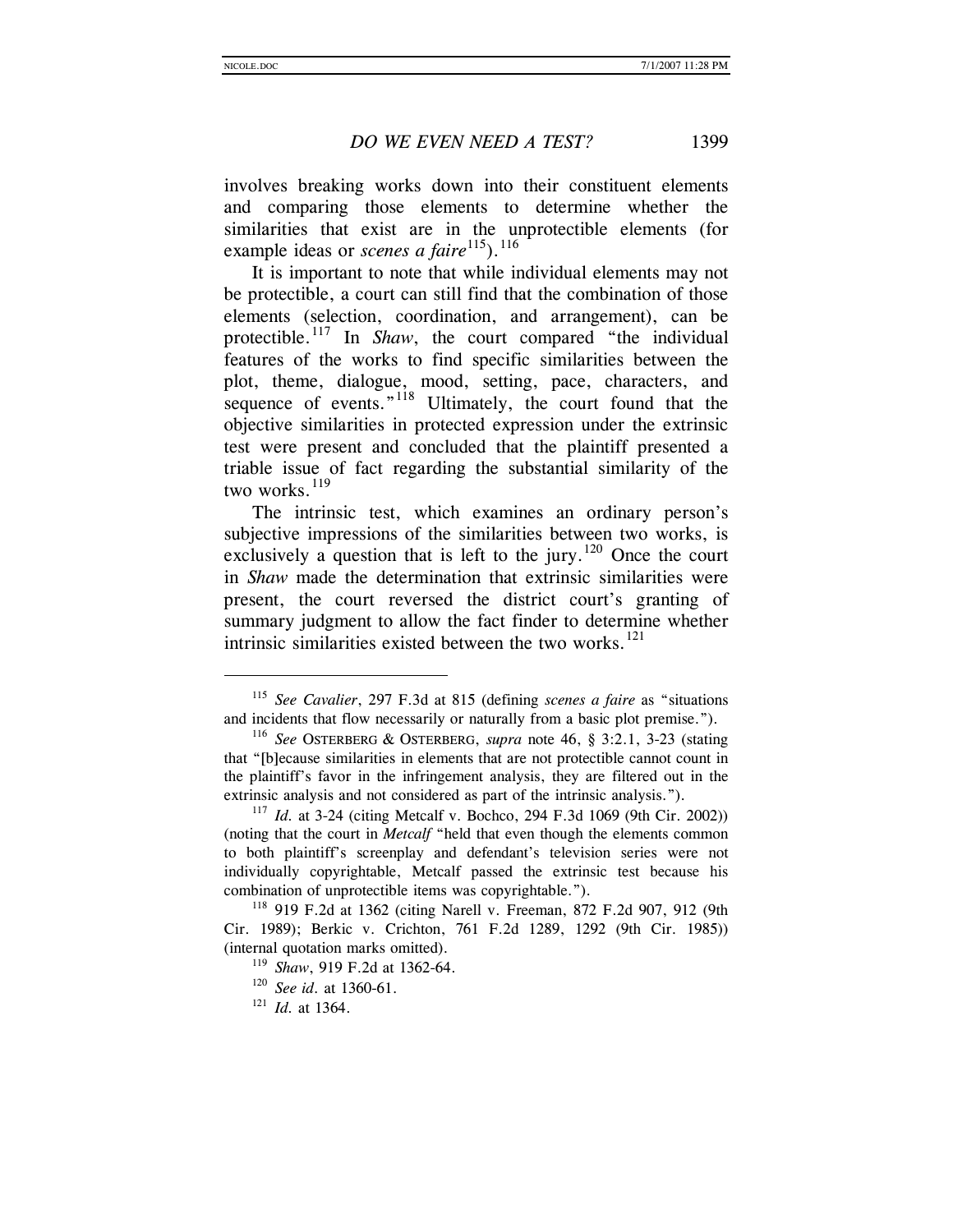$\overline{a}$ 

#### *DO WE EVEN NEED A TEST?* 1399

involves breaking works down into their constituent elements and comparing those elements to determine whether the similarities that exist are in the unprotectible elements (for example ideas or *scenes a faire*<sup>[115](#page-25-0)</sup>).<sup>[116](#page-25-1)</sup>

It is important to note that while individual elements may not be protectible, a court can still find that the combination of those elements (selection, coordination, and arrangement), can be protectible.[117](#page-25-2) In *Shaw*, the court compared "the individual features of the works to find specific similarities between the plot, theme, dialogue, mood, setting, pace, characters, and sequence of events."<sup>[118](#page-25-3)</sup> Ultimately, the court found that the objective similarities in protected expression under the extrinsic test were present and concluded that the plaintiff presented a triable issue of fact regarding the substantial similarity of the two works.<sup>[119](#page-25-4)</sup>

The intrinsic test, which examines an ordinary person's subjective impressions of the similarities between two works, is exclusively a question that is left to the jury.<sup>[120](#page-25-5)</sup> Once the court in *Shaw* made the determination that extrinsic similarities were present, the court reversed the district court's granting of summary judgment to allow the fact finder to determine whether intrinsic similarities existed between the two works.<sup>[121](#page-25-6)</sup>

<span id="page-25-0"></span><sup>115</sup> *See Cavalier*, 297 F.3d at 815 (defining *scenes a faire* as "situations and incidents that flow necessarily or naturally from a basic plot premise.").

<span id="page-25-1"></span><sup>116</sup> *See* OSTERBERG & OSTERBERG, *supra* note 46, § 3:2.1, 3-23 (stating that "[b]ecause similarities in elements that are not protectible cannot count in the plaintiff's favor in the infringement analysis, they are filtered out in the extrinsic analysis and not considered as part of the intrinsic analysis.").<br><sup>117</sup> *Id.* at 3-24 (citing Metcalf v. Bochco, 294 F.3d 1069 (9th Cir. 2002))

<span id="page-25-2"></span><sup>(</sup>noting that the court in *Metcalf* "held that even though the elements common to both plaintiff's screenplay and defendant's television series were not individually copyrightable, Metcalf passed the extrinsic test because his combination of unprotectible items was copyrightable.").

<span id="page-25-6"></span><span id="page-25-5"></span><span id="page-25-4"></span><span id="page-25-3"></span><sup>118</sup> 919 F.2d at 1362 (citing Narell v. Freeman, 872 F.2d 907, 912 (9th Cir. 1989); Berkic v. Crichton, 761 F.2d 1289, 1292 (9th Cir. 1985)) (internal quotation marks omitted).

<sup>119</sup> *Shaw*, 919 F.2d at 1362-64.

<sup>120</sup> *See id.* at 1360-61.

<sup>121</sup> *Id.* at 1364.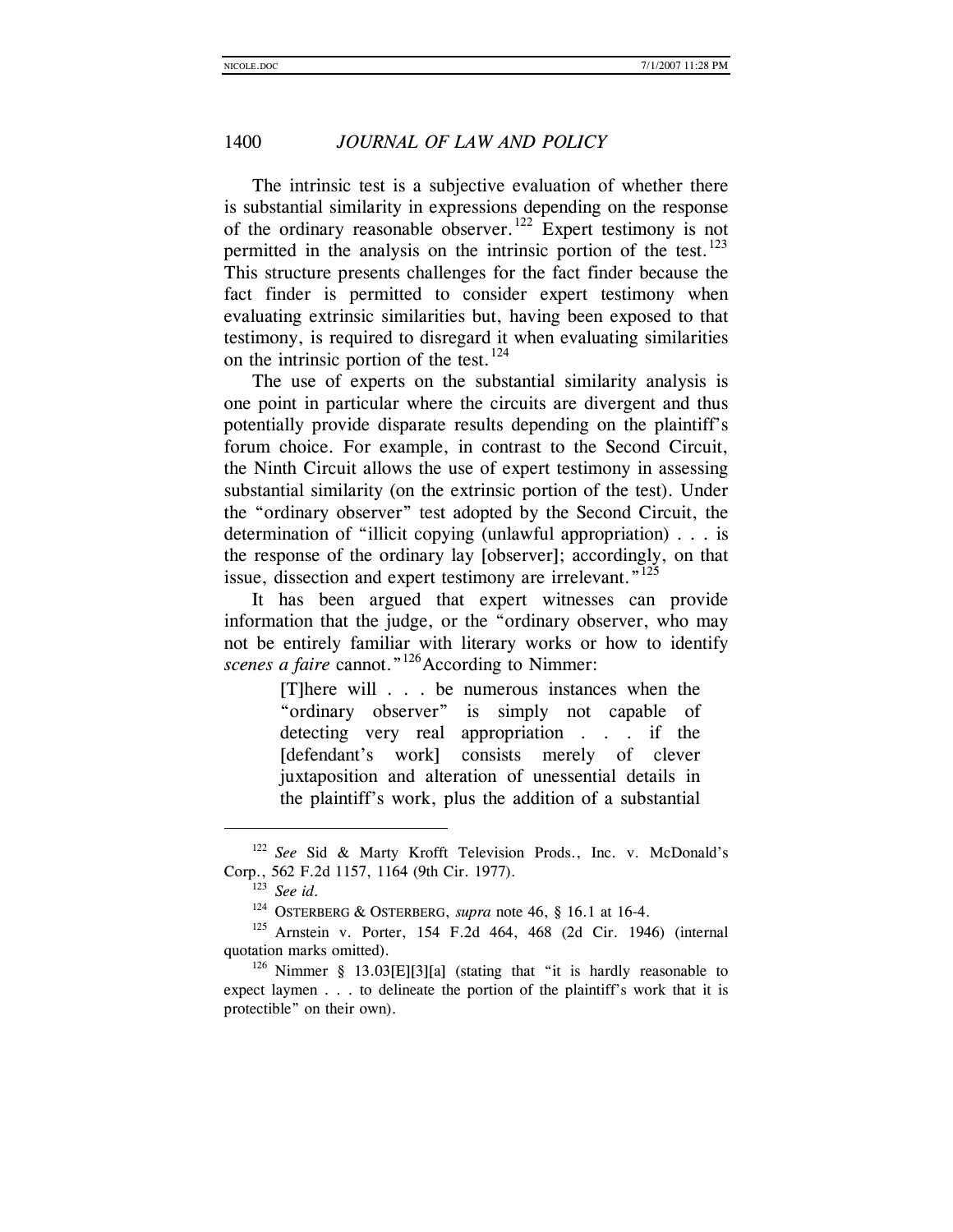The intrinsic test is a subjective evaluation of whether there is substantial similarity in expressions depending on the response of the ordinary reasonable observer.<sup>[122](#page-26-0)</sup> Expert testimony is not permitted in the analysis on the intrinsic portion of the test.<sup>[123](#page-26-1)</sup> This structure presents challenges for the fact finder because the fact finder is permitted to consider expert testimony when evaluating extrinsic similarities but, having been exposed to that testimony, is required to disregard it when evaluating similarities on the intrinsic portion of the test.<sup>[124](#page-26-2)</sup>

The use of experts on the substantial similarity analysis is one point in particular where the circuits are divergent and thus potentially provide disparate results depending on the plaintiff's forum choice. For example, in contrast to the Second Circuit, the Ninth Circuit allows the use of expert testimony in assessing substantial similarity (on the extrinsic portion of the test). Under the "ordinary observer" test adopted by the Second Circuit, the determination of "illicit copying (unlawful appropriation) . . . is the response of the ordinary lay [observer]; accordingly, on that issue, dissection and expert testimony are irrelevant."<sup>[125](#page-26-3)</sup>

It has been argued that expert witnesses can provide information that the judge, or the "ordinary observer, who may not be entirely familiar with literary works or how to identify *scenes a faire* cannot."<sup>[126](#page-26-4)</sup>According to Nimmer:

> [T]here will . . . be numerous instances when the "ordinary observer" is simply not capable of detecting very real appropriation . . . if the [defendant's work] consists merely of clever juxtaposition and alteration of unessential details in the plaintiff's work, plus the addition of a substantial

l

<span id="page-26-1"></span><span id="page-26-0"></span><sup>122</sup> *See* Sid & Marty Krofft Television Prods., Inc. v. McDonald's Corp., 562 F.2d 1157, 1164 (9th Cir. 1977).

<sup>123</sup> *See id.* 

<sup>124</sup> OSTERBERG & OSTERBERG, *supra* note 46, § 16.1 at 16-4.

<span id="page-26-3"></span><span id="page-26-2"></span><sup>125</sup> Arnstein v. Porter, 154 F.2d 464, 468 (2d Cir. 1946) (internal quotation marks omitted).

<span id="page-26-4"></span><sup>&</sup>lt;sup>126</sup> Nimmer § 13.03[E][3][a] (stating that "it is hardly reasonable to expect laymen . . . to delineate the portion of the plaintiff's work that it is protectible" on their own).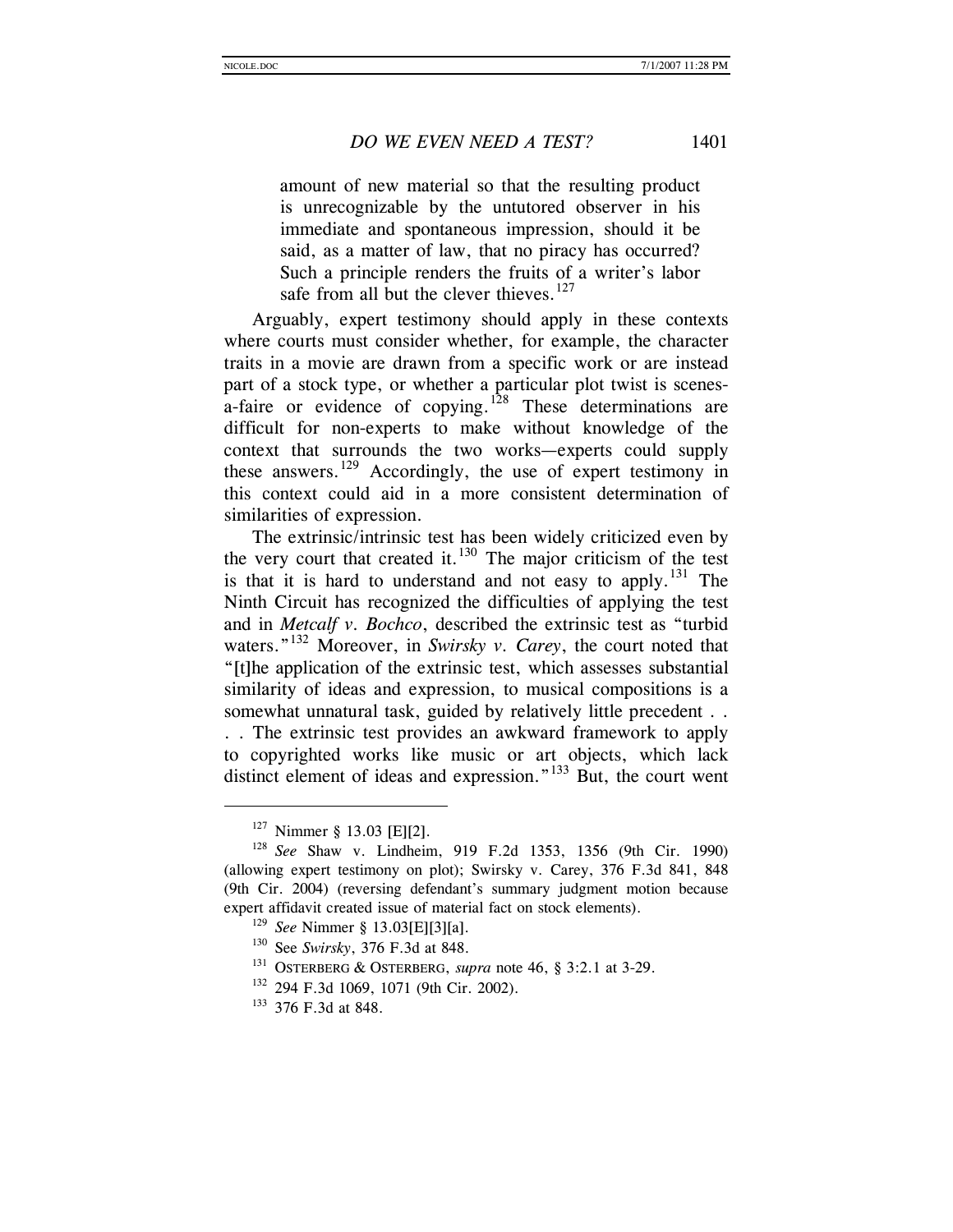amount of new material so that the resulting product is unrecognizable by the untutored observer in his immediate and spontaneous impression, should it be said, as a matter of law, that no piracy has occurred? Such a principle renders the fruits of a writer's labor safe from all but the clever thieves. $127$ 

Arguably, expert testimony should apply in these contexts where courts must consider whether, for example, the character traits in a movie are drawn from a specific work or are instead part of a stock type, or whether a particular plot twist is scenes-a-faire or evidence of copying.<sup>[128](#page-27-1)</sup> These determinations are difficult for non-experts to make without knowledge of the context that surrounds the two works—experts could supply these answers.[129](#page-27-2) Accordingly, the use of expert testimony in this context could aid in a more consistent determination of similarities of expression.

The extrinsic/intrinsic test has been widely criticized even by the very court that created it. $130$  The major criticism of the test is that it is hard to understand and not easy to apply.<sup>[131](#page-27-4)</sup> The Ninth Circuit has recognized the difficulties of applying the test and in *Metcalf v. Bochco*, described the extrinsic test as "turbid waters."<sup>[132](#page-27-5)</sup> Moreover, in *Swirsky v. Carey*, the court noted that "[t]he application of the extrinsic test, which assesses substantial similarity of ideas and expression, to musical compositions is a somewhat unnatural task, guided by relatively little precedent . .

. . The extrinsic test provides an awkward framework to apply to copyrighted works like music or art objects, which lack distinct element of ideas and expression."<sup>[133](#page-27-6)</sup> But, the court went

- <sup>130</sup> See *Swirsky*, 376 F.3d at 848.
- <sup>131</sup> OSTERBERG & OSTERBERG, *supra* note 46, § 3:2.1 at 3-29.
- <span id="page-27-5"></span><sup>132</sup> 294 F.3d 1069, 1071 (9th Cir. 2002).
- <span id="page-27-6"></span><sup>133</sup> 376 F.3d at 848.

<sup>127</sup> Nimmer § 13.03 [E][2].

<span id="page-27-4"></span><span id="page-27-3"></span><span id="page-27-2"></span><span id="page-27-1"></span><span id="page-27-0"></span><sup>128</sup> *See* Shaw v. Lindheim, 919 F.2d 1353, 1356 (9th Cir. 1990) (allowing expert testimony on plot); Swirsky v. Carey, 376 F.3d 841, 848 (9th Cir. 2004) (reversing defendant's summary judgment motion because expert affidavit created issue of material fact on stock elements).

<sup>129</sup> *See* Nimmer § 13.03[E][3][a].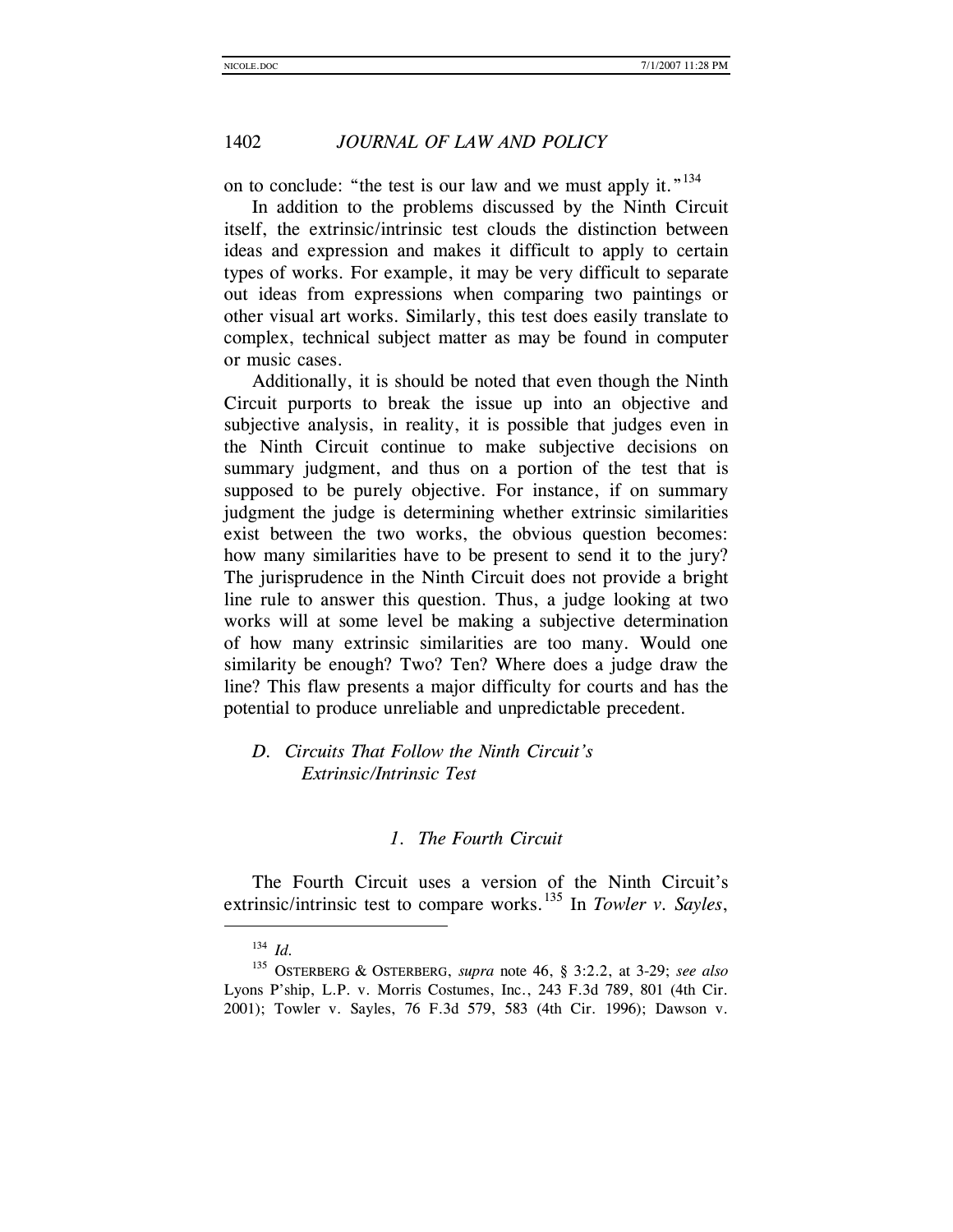on to conclude: "the test is our law and we must apply it."<sup>[134](#page-28-0)</sup>

In addition to the problems discussed by the Ninth Circuit itself, the extrinsic/intrinsic test clouds the distinction between ideas and expression and makes it difficult to apply to certain types of works. For example, it may be very difficult to separate out ideas from expressions when comparing two paintings or other visual art works. Similarly, this test does easily translate to complex, technical subject matter as may be found in computer or music cases.

Additionally, it is should be noted that even though the Ninth Circuit purports to break the issue up into an objective and subjective analysis, in reality, it is possible that judges even in the Ninth Circuit continue to make subjective decisions on summary judgment, and thus on a portion of the test that is supposed to be purely objective. For instance, if on summary judgment the judge is determining whether extrinsic similarities exist between the two works, the obvious question becomes: how many similarities have to be present to send it to the jury? The jurisprudence in the Ninth Circuit does not provide a bright line rule to answer this question. Thus, a judge looking at two works will at some level be making a subjective determination of how many extrinsic similarities are too many. Would one similarity be enough? Two? Ten? Where does a judge draw the line? This flaw presents a major difficulty for courts and has the potential to produce unreliable and unpredictable precedent.

### *D. Circuits That Follow the Ninth Circuit's Extrinsic/Intrinsic Test*

#### *1. The Fourth Circuit*

The Fourth Circuit uses a version of the Ninth Circuit's extrinsic/intrinsic test to compare works.<sup>[135](#page-28-1)</sup> In *Towler v. Sayles*,

l

 $134$  *Id.* 

<span id="page-28-1"></span><span id="page-28-0"></span><sup>135</sup> OSTERBERG & OSTERBERG, *supra* note 46, § 3:2.2, at 3-29; *see also*  Lyons P'ship, L.P. v. Morris Costumes, Inc., 243 F.3d 789, 801 (4th Cir. 2001); Towler v. Sayles, 76 F.3d 579, 583 (4th Cir. 1996); Dawson v.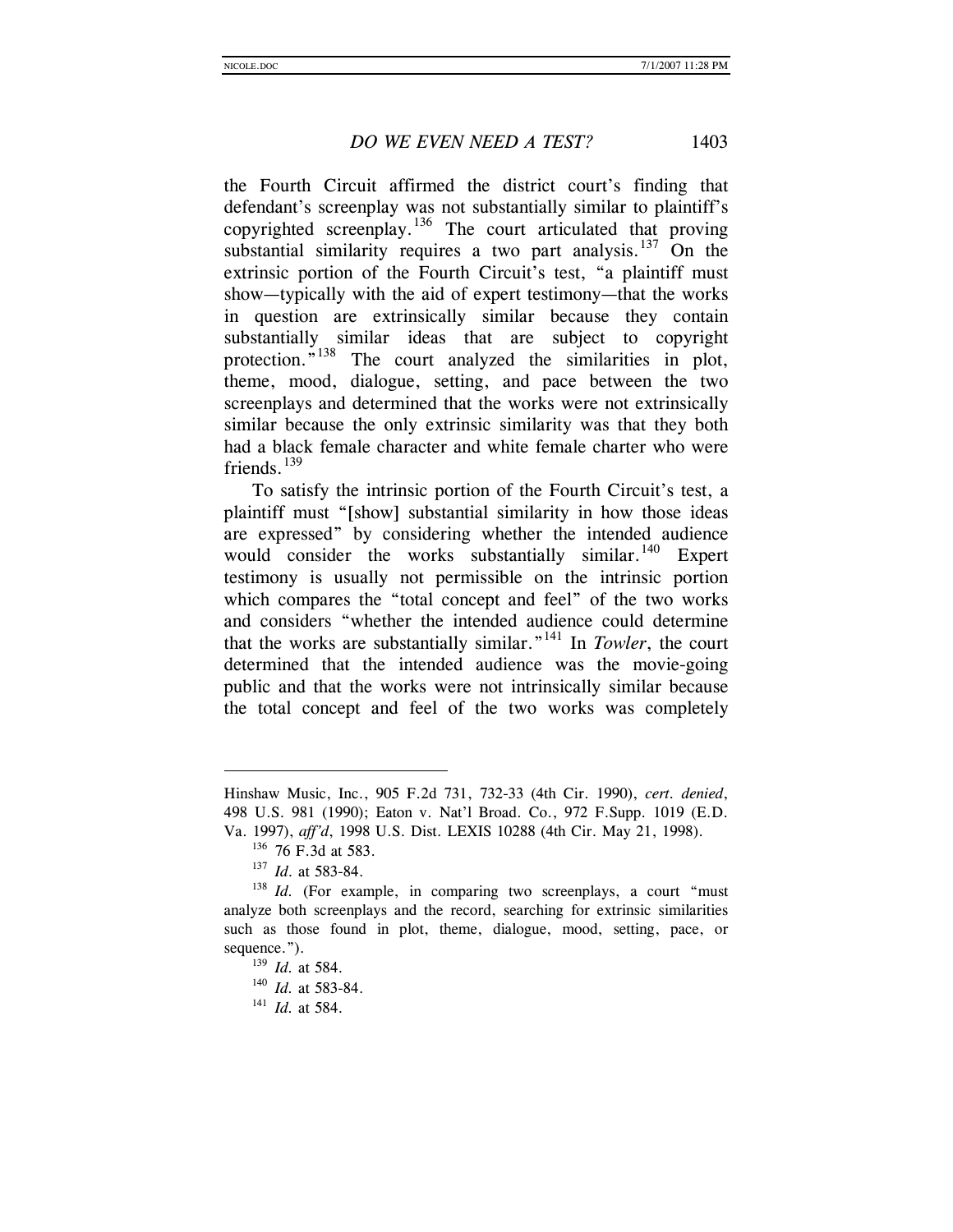the Fourth Circuit affirmed the district court's finding that defendant's screenplay was not substantially similar to plaintiff's copyrighted screenplay.<sup>[136](#page-29-0)</sup> The court articulated that proving substantial similarity requires a two part analysis.<sup>[137](#page-29-1)</sup> On the extrinsic portion of the Fourth Circuit's test, "a plaintiff must show—typically with the aid of expert testimony—that the works in question are extrinsically similar because they contain substantially similar ideas that are subject to copyright protection."<sup>[138](#page-29-2)</sup> The court analyzed the similarities in plot, theme, mood, dialogue, setting, and pace between the two screenplays and determined that the works were not extrinsically similar because the only extrinsic similarity was that they both had a black female character and white female charter who were friends. $^{139}$  $^{139}$  $^{139}$ 

To satisfy the intrinsic portion of the Fourth Circuit's test, a plaintiff must "[show] substantial similarity in how those ideas are expressed" by considering whether the intended audience would consider the works substantially similar.<sup>[140](#page-29-4)</sup> Expert testimony is usually not permissible on the intrinsic portion which compares the "total concept and feel" of the two works and considers "whether the intended audience could determine that the works are substantially similar."[141](#page-29-5) In *Towler*, the court determined that the intended audience was the movie-going public and that the works were not intrinsically similar because the total concept and feel of the two works was completely

Hinshaw Music, Inc., 905 F.2d 731, 732-33 (4th Cir. 1990), *cert. denied*, 498 U.S. 981 (1990); Eaton v. Nat'l Broad. Co., 972 F.Supp. 1019 (E.D. Va. 1997), *aff'd*, 1998 U.S. Dist. LEXIS 10288 (4th Cir. May 21, 1998).

<sup>&</sup>lt;sup>136</sup> 76 F.3d at 583.

<sup>137</sup> *Id*. at 583-84.

<span id="page-29-5"></span><span id="page-29-4"></span><span id="page-29-3"></span><span id="page-29-2"></span><span id="page-29-1"></span><span id="page-29-0"></span><sup>&</sup>lt;sup>138</sup> *Id.* (For example, in comparing two screenplays, a court "must" analyze both screenplays and the record, searching for extrinsic similarities such as those found in plot, theme, dialogue, mood, setting, pace, or sequence.").

<sup>139</sup> *Id.* at 584.

<sup>140</sup> *Id.* at 583-84. 141 *Id.* at 584.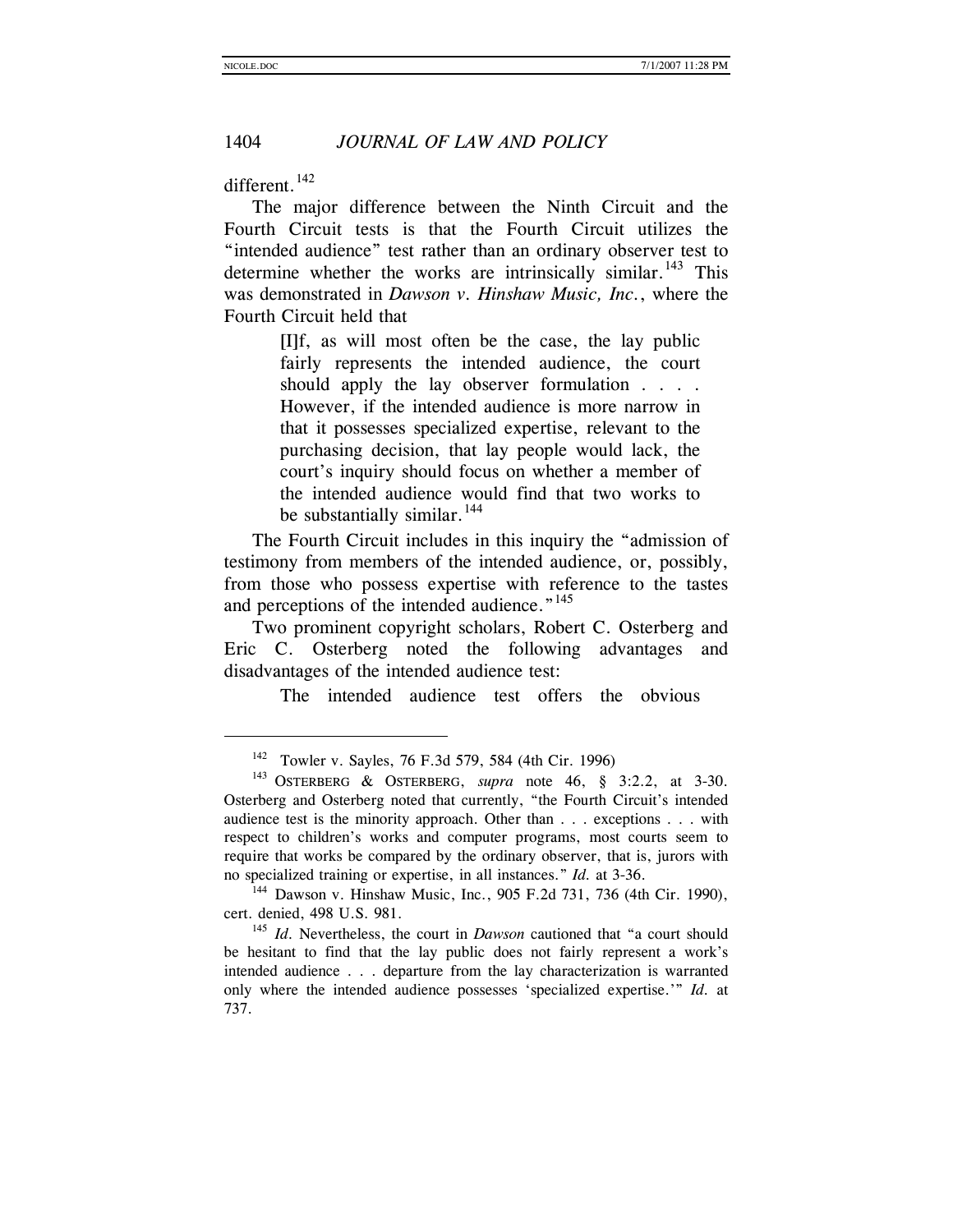different.<sup>[142](#page-30-0)</sup>

 $\overline{a}$ 

The major difference between the Ninth Circuit and the Fourth Circuit tests is that the Fourth Circuit utilizes the "intended audience" test rather than an ordinary observer test to determine whether the works are intrinsically similar.<sup>[143](#page-30-1)</sup> This was demonstrated in *Dawson v. Hinshaw Music, Inc.*, where the Fourth Circuit held that

> [I]f, as will most often be the case, the lay public fairly represents the intended audience, the court should apply the lay observer formulation . . . . However, if the intended audience is more narrow in that it possesses specialized expertise, relevant to the purchasing decision, that lay people would lack, the court's inquiry should focus on whether a member of the intended audience would find that two works to be substantially similar.  $144$

The Fourth Circuit includes in this inquiry the "admission of testimony from members of the intended audience, or, possibly, from those who possess expertise with reference to the tastes and perceptions of the intended audience."<sup>[145](#page-30-3)</sup>

Two prominent copyright scholars, Robert C. Osterberg and Eric C. Osterberg noted the following advantages and disadvantages of the intended audience test:

The intended audience test offers the obvious

<sup>142</sup> Towler v. Sayles, 76 F.3d 579, 584 (4th Cir. 1996)

<span id="page-30-1"></span><span id="page-30-0"></span><sup>143</sup> OSTERBERG & OSTERBERG, *supra* note 46, § 3:2.2, at 3-30. Osterberg and Osterberg noted that currently, "the Fourth Circuit's intended audience test is the minority approach. Other than . . . exceptions . . . with respect to children's works and computer programs, most courts seem to require that works be compared by the ordinary observer, that is, jurors with no specialized training or expertise, in all instances." *Id.* at 3-36.<br><sup>144</sup> Dawson v. Hinshaw Music, Inc., 905 F.2d 731, 736 (4th Cir. 1990),

<span id="page-30-2"></span>cert. denied, 498 U.S. 981.

<span id="page-30-3"></span><sup>&</sup>lt;sup>145</sup> *Id*. Nevertheless, the court in *Dawson* cautioned that "a court should be hesitant to find that the lay public does not fairly represent a work's intended audience . . . departure from the lay characterization is warranted only where the intended audience possesses 'specialized expertise.'" *Id.* at 737.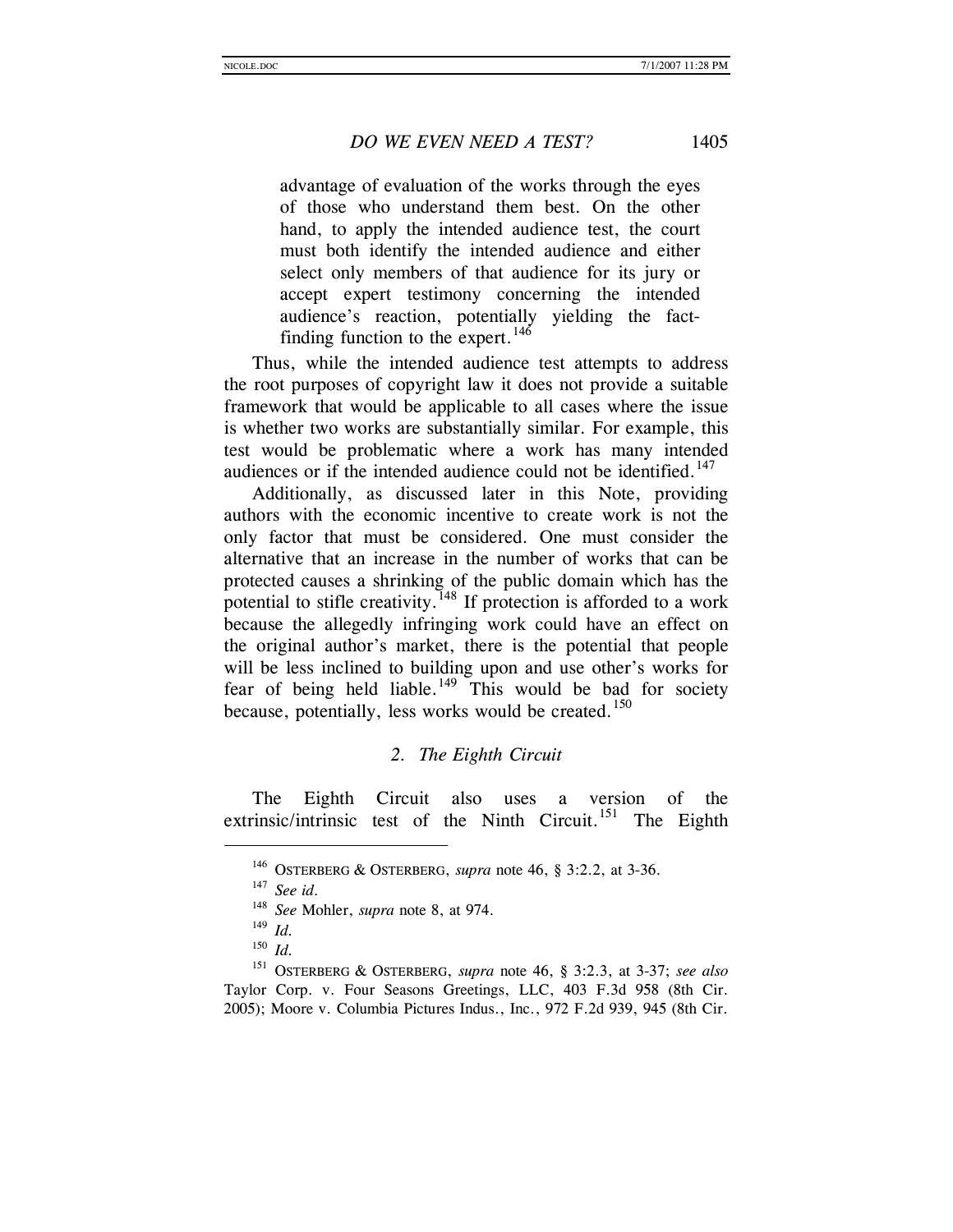advantage of evaluation of the works through the eyes of those who understand them best. On the other hand, to apply the intended audience test, the court must both identify the intended audience and either select only members of that audience for its jury or accept expert testimony concerning the intended audience's reaction, potentially yielding the factfinding function to the expert. $^{146}$  $^{146}$  $^{146}$ 

Thus, while the intended audience test attempts to address the root purposes of copyright law it does not provide a suitable framework that would be applicable to all cases where the issue is whether two works are substantially similar. For example, this test would be problematic where a work has many intended audiences or if the intended audience could not be identified.<sup>[147](#page-31-1)</sup>

Additionally, as discussed later in this Note, providing authors with the economic incentive to create work is not the only factor that must be considered. One must consider the alternative that an increase in the number of works that can be protected causes a shrinking of the public domain which has the potential to stifle creativity.<sup> $148$ </sup> If protection is afforded to a work because the allegedly infringing work could have an effect on the original author's market, there is the potential that people will be less inclined to building upon and use other's works for fear of being held liable.<sup>[149](#page-31-3)</sup> This would be bad for society because, potentially, less works would be created.<sup>[150](#page-31-4)</sup>

#### *2. The Eighth Circuit*

<span id="page-31-0"></span>The Eighth Circuit also uses a version of the extrinsic/intrinsic test of the Ninth Circuit.<sup>[151](#page-31-5)</sup> The Eighth

<sup>146</sup> OSTERBERG & OSTERBERG, *supra* note 46, § 3:2.2, at 3-36. 147 *See id.*

<sup>148</sup> *See* Mohler, *supra* note 8, at 974.

<sup>149</sup> *Id.*

<sup>150</sup> *Id.*

<span id="page-31-5"></span><span id="page-31-4"></span><span id="page-31-3"></span><span id="page-31-2"></span><span id="page-31-1"></span><sup>151</sup> OSTERBERG & OSTERBERG, *supra* note 46, § 3:2.3, at 3-37; *see also*  Taylor Corp. v. Four Seasons Greetings, LLC, 403 F.3d 958 (8th Cir. 2005); Moore v. Columbia Pictures Indus., Inc., 972 F.2d 939, 945 (8th Cir.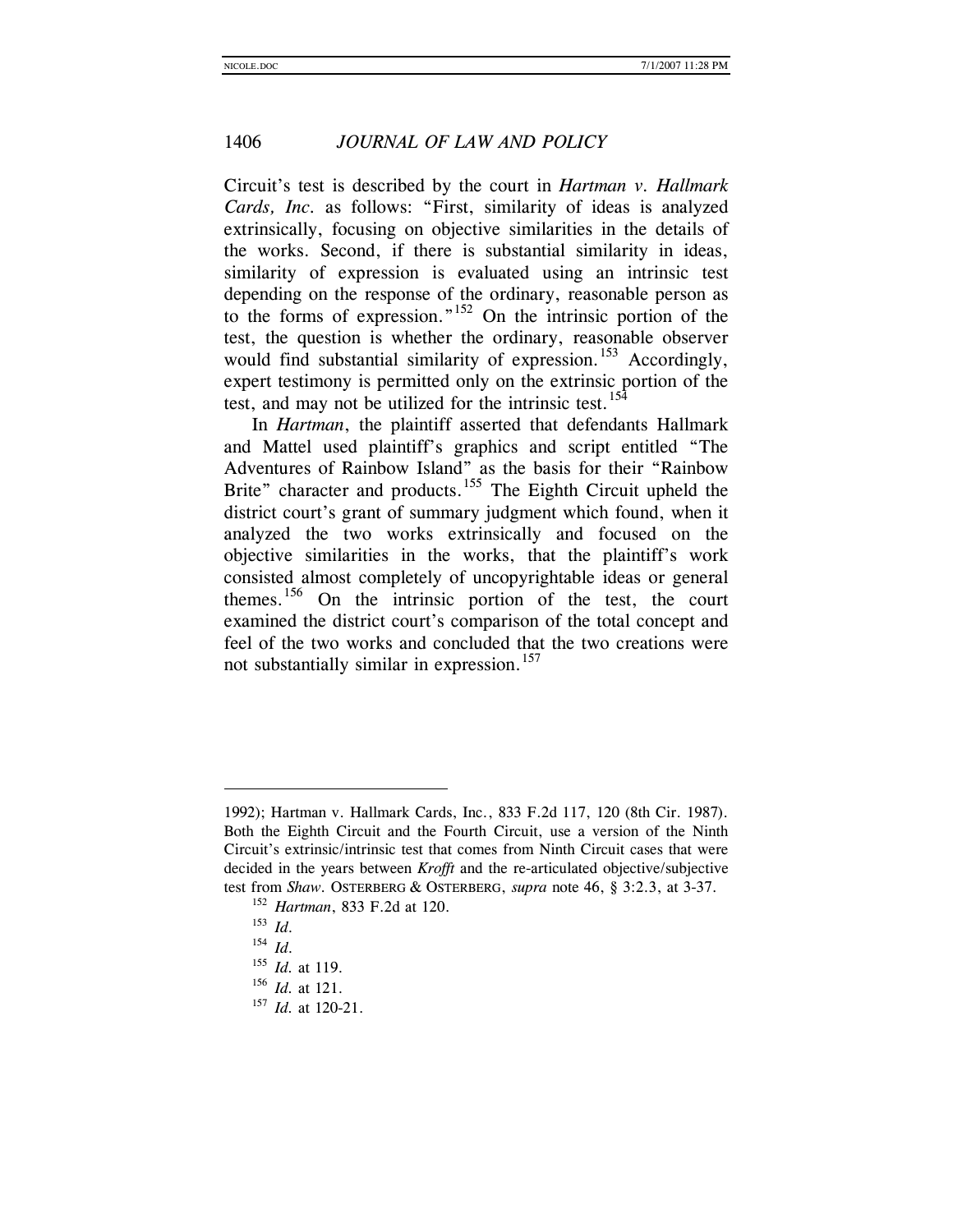Circuit's test is described by the court in *Hartman v. Hallmark Cards, Inc.* as follows: "First, similarity of ideas is analyzed extrinsically, focusing on objective similarities in the details of the works. Second, if there is substantial similarity in ideas, similarity of expression is evaluated using an intrinsic test depending on the response of the ordinary, reasonable person as to the forms of expression."[152](#page-32-0) On the intrinsic portion of the test, the question is whether the ordinary, reasonable observer would find substantial similarity of expression.<sup>[153](#page-32-1)</sup> Accordingly, expert testimony is permitted only on the extrinsic portion of the test, and may not be utilized for the intrinsic test.<sup>[154](#page-32-2)</sup>

In *Hartman*, the plaintiff asserted that defendants Hallmark and Mattel used plaintiff's graphics and script entitled "The Adventures of Rainbow Island" as the basis for their "Rainbow Brite" character and products.<sup>[155](#page-32-3)</sup> The Eighth Circuit upheld the district court's grant of summary judgment which found, when it analyzed the two works extrinsically and focused on the objective similarities in the works, that the plaintiff's work consisted almost completely of uncopyrightable ideas or general themes.<sup>[156](#page-32-4)</sup> On the intrinsic portion of the test, the court examined the district court's comparison of the total concept and feel of the two works and concluded that the two creations were not substantially similar in expression.<sup>[157](#page-32-5)</sup>

<span id="page-32-1"></span><span id="page-32-0"></span><sup>1992);</sup> Hartman v. Hallmark Cards, Inc., 833 F.2d 117, 120 (8th Cir. 1987). Both the Eighth Circuit and the Fourth Circuit, use a version of the Ninth Circuit's extrinsic/intrinsic test that comes from Ninth Circuit cases that were decided in the years between *Krofft* and the re-articulated objective/subjective test from *Shaw*. OSTERBERG & OSTERBERG, *supra* note 46, § 3:2.3, at 3-37.

<sup>&</sup>lt;sup>152</sup> *Hartman*, 833 F.2d at 120.<br><sup>153</sup> *Id* 

<span id="page-32-2"></span><sup>&</sup>lt;sup>154</sup> *Id. Id.* **at 119.** 

<span id="page-32-4"></span><span id="page-32-3"></span><sup>156</sup> *Id.* at 121.

<span id="page-32-5"></span><sup>157</sup> *Id.* at 120-21.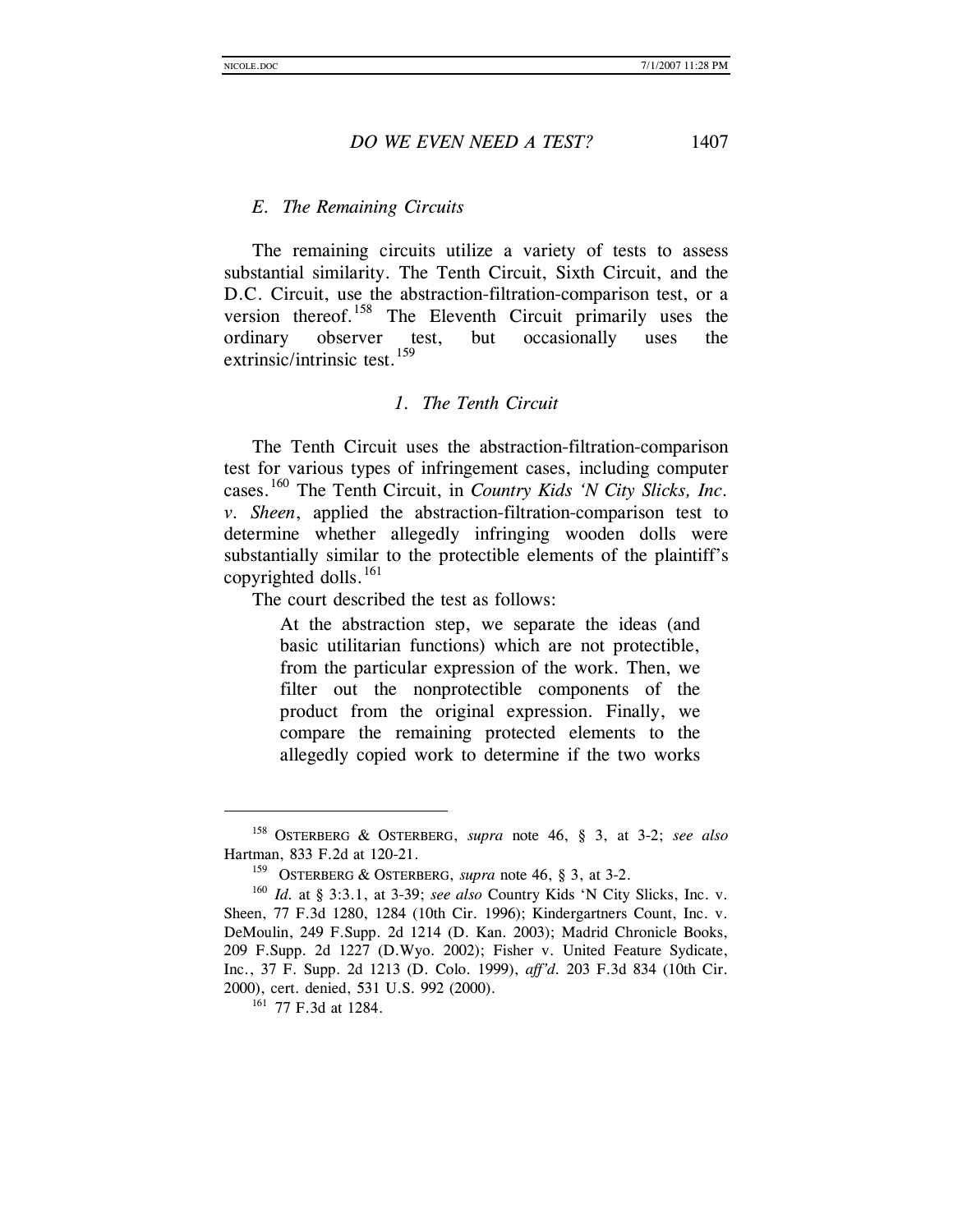#### *E. The Remaining Circuits*

The remaining circuits utilize a variety of tests to assess substantial similarity. The Tenth Circuit, Sixth Circuit, and the D.C. Circuit, use the abstraction-filtration-comparison test, or a version thereof.<sup>[158](#page-33-0)</sup> The Eleventh Circuit primarily uses the ordinary observer test, but occasionally uses the extrinsic/intrinsic test.<sup>[159](#page-33-1)</sup>

#### *1. The Tenth Circuit*

The Tenth Circuit uses the abstraction-filtration-comparison test for various types of infringement cases, including computer cases.[160](#page-33-2) The Tenth Circuit, in *Country Kids 'N City Slicks, Inc. v. Sheen*, applied the abstraction-filtration-comparison test to determine whether allegedly infringing wooden dolls were substantially similar to the protectible elements of the plaintiff's copyrighted dolls.<sup>[161](#page-33-3)</sup>

The court described the test as follows:

At the abstraction step, we separate the ideas (and basic utilitarian functions) which are not protectible, from the particular expression of the work. Then, we filter out the nonprotectible components of the product from the original expression. Finally, we compare the remaining protected elements to the allegedly copied work to determine if the two works

<span id="page-33-0"></span><sup>158</sup> OSTERBERG & OSTERBERG, *supra* note 46, § 3, at 3-2; *see also*  Hartman, 833 F.2d at 120-21.

<sup>159</sup> OSTERBERG & OSTERBERG, *supra* note 46, § 3, at 3-2.

<span id="page-33-3"></span><span id="page-33-2"></span><span id="page-33-1"></span><sup>160</sup> *Id.* at § 3:3.1, at 3-39; *see also* Country Kids 'N City Slicks, Inc. v. Sheen, 77 F.3d 1280, 1284 (10th Cir. 1996); Kindergartners Count, Inc. v. DeMoulin, 249 F.Supp. 2d 1214 (D. Kan. 2003); Madrid Chronicle Books, 209 F.Supp. 2d 1227 (D.Wyo. 2002); Fisher v. United Feature Sydicate, Inc., 37 F. Supp. 2d 1213 (D. Colo. 1999), *aff'd.* 203 F.3d 834 (10th Cir. 2000), cert. denied, 531 U.S. 992 (2000).

<sup>161</sup> 77 F.3d at 1284.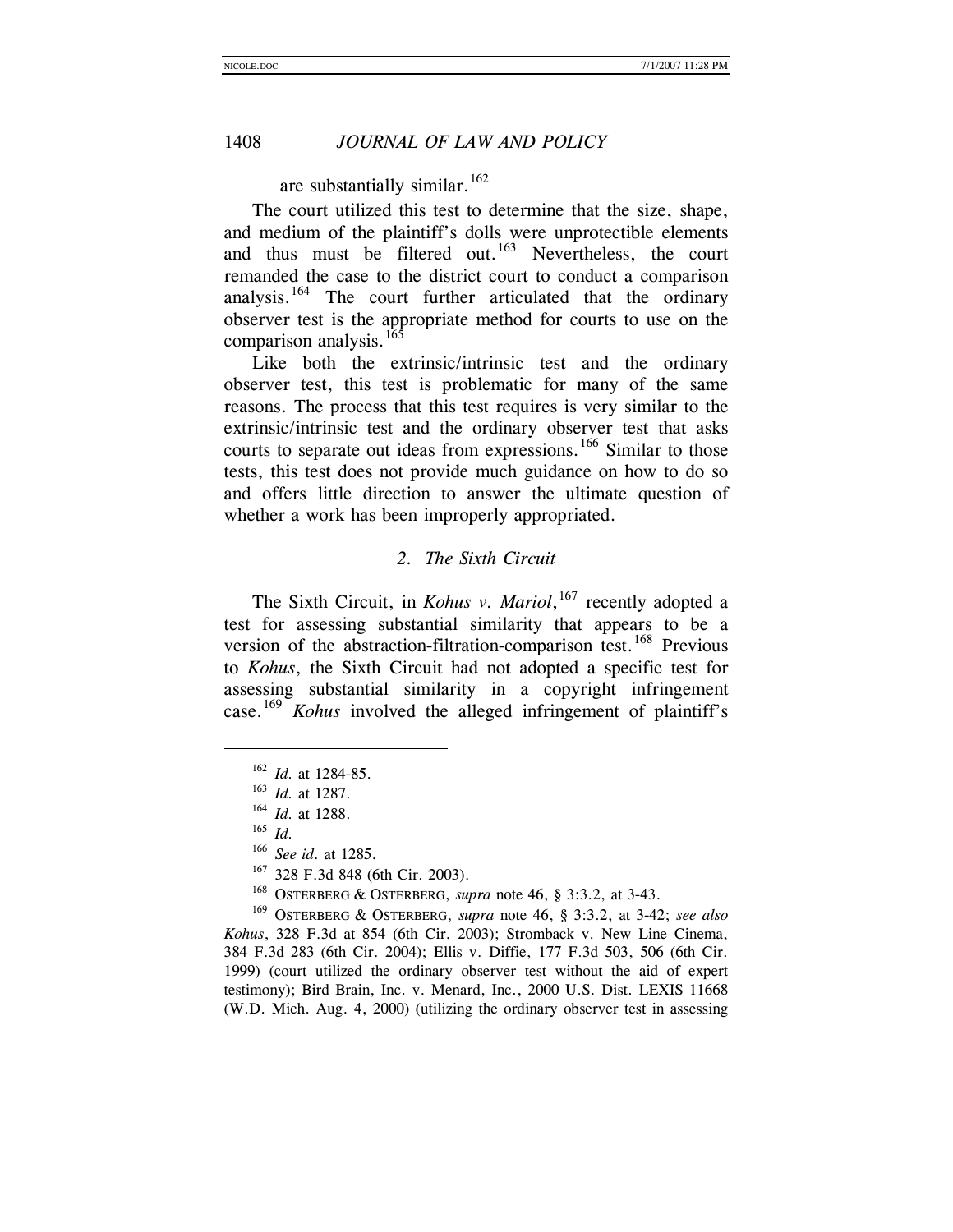#### are substantially similar.  $162$

The court utilized this test to determine that the size, shape, and medium of the plaintiff's dolls were unprotectible elements and thus must be filtered out.<sup>[163](#page-34-1)</sup> Nevertheless, the court remanded the case to the district court to conduct a comparison analysis.<sup>[164](#page-34-2)</sup> The court further articulated that the ordinary observer test is the appropriate method for courts to use on the comparison analysis.<sup>[165](#page-34-3)</sup>

Like both the extrinsic/intrinsic test and the ordinary observer test, this test is problematic for many of the same reasons. The process that this test requires is very similar to the extrinsic/intrinsic test and the ordinary observer test that asks courts to separate out ideas from expressions.<sup>[166](#page-34-4)</sup> Similar to those tests, this test does not provide much guidance on how to do so and offers little direction to answer the ultimate question of whether a work has been improperly appropriated.

#### *2. The Sixth Circuit*

The Sixth Circuit, in *Kohus v. Mariol*, [167](#page-34-5) recently adopted a test for assessing substantial similarity that appears to be a version of the abstraction-filtration-comparison test.<sup>[168](#page-34-6)</sup> Previous to *Kohus*, the Sixth Circuit had not adopted a specific test for assessing substantial similarity in a copyright infringement case.[169](#page-34-7) *Kohus* involved the alleged infringement of plaintiff's

<span id="page-34-2"></span><span id="page-34-1"></span><span id="page-34-0"></span>l

<span id="page-34-7"></span><span id="page-34-6"></span><span id="page-34-5"></span><span id="page-34-4"></span><span id="page-34-3"></span><sup>169</sup> OSTERBERG & OSTERBERG, *supra* note 46, § 3:3.2, at 3-42; *see also Kohus*, 328 F.3d at 854 (6th Cir. 2003); Stromback v. New Line Cinema, 384 F.3d 283 (6th Cir. 2004); Ellis v. Diffie, 177 F.3d 503, 506 (6th Cir. 1999) (court utilized the ordinary observer test without the aid of expert testimony); Bird Brain, Inc. v. Menard, Inc., 2000 U.S. Dist. LEXIS 11668 (W.D. Mich. Aug. 4, 2000) (utilizing the ordinary observer test in assessing

<sup>162</sup> *Id.* at 1284-85.

<sup>163</sup> *Id.* at 1287.

<sup>164</sup> *Id.* at 1288.

<sup>165</sup> *Id.*

<sup>166</sup> *See id.* at 1285.

<sup>167</sup> 328 F.3d 848 (6th Cir. 2003).

<sup>168</sup> OSTERBERG & OSTERBERG, *supra* note 46, § 3:3.2, at 3-43.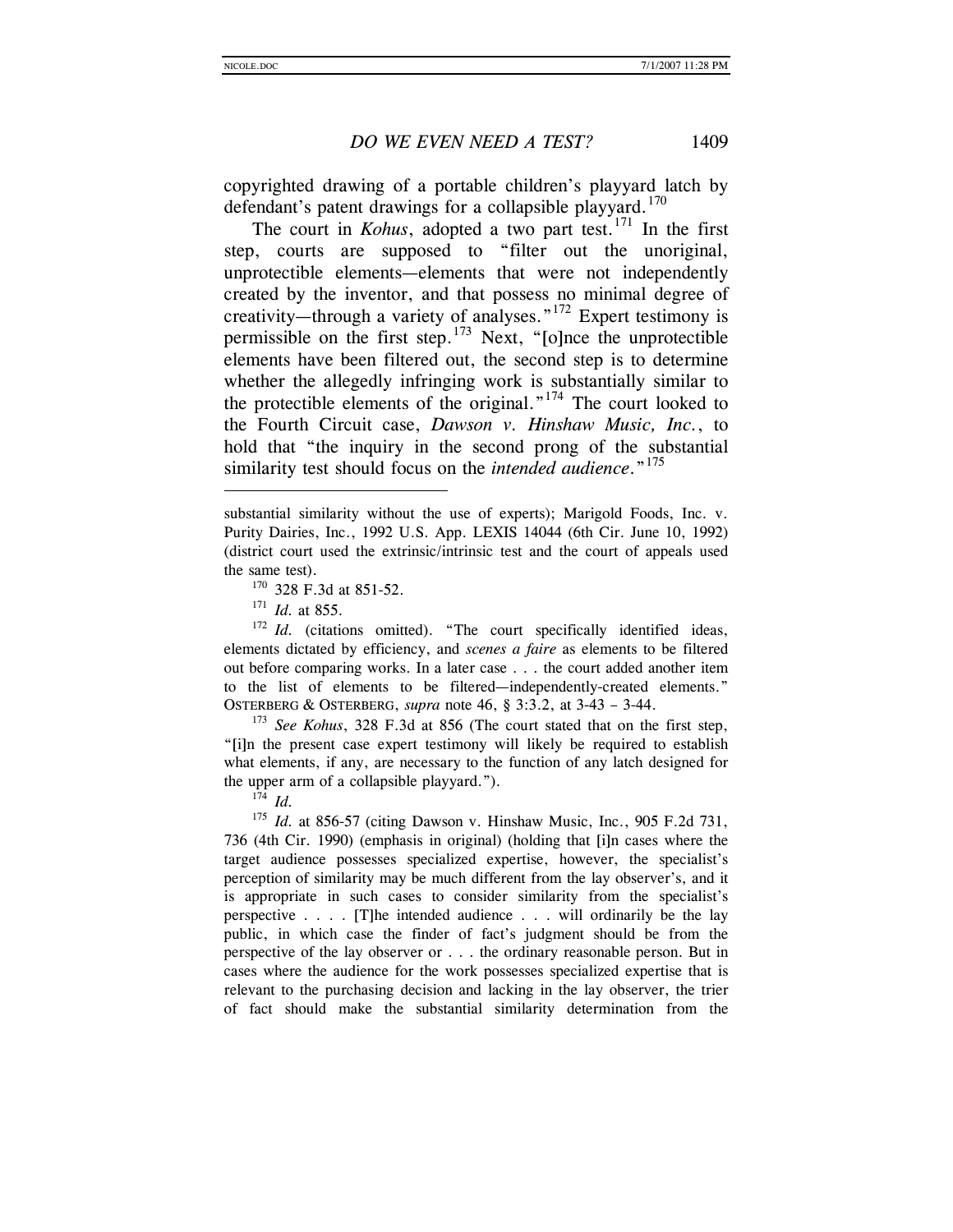copyrighted drawing of a portable children's playyard latch by defendant's patent drawings for a collapsible playyard.<sup>[170](#page-35-0)</sup>

The court in *Kohus*, adopted a two part test.<sup>[171](#page-35-1)</sup> In the first step, courts are supposed to "filter out the unoriginal, unprotectible elements—elements that were not independently created by the inventor, and that possess no minimal degree of creativity—through a variety of analyses."[172](#page-35-2) Expert testimony is permissible on the first step.<sup>[173](#page-35-3)</sup> Next, "[o]nce the unprotectible elements have been filtered out, the second step is to determine whether the allegedly infringing work is substantially similar to the protectible elements of the original."<sup>[174](#page-35-4)</sup> The court looked to the Fourth Circuit case, *Dawson v. Hinshaw Music, Inc.*, to hold that "the inquiry in the second prong of the substantial similarity test should focus on the *intended audience*."<sup>[175](#page-35-5)</sup>

 $\overline{a}$ 

<span id="page-35-2"></span><span id="page-35-1"></span><span id="page-35-0"></span><sup>170</sup> 328 F.3d at 851-52.<br><sup>171</sup> *Id.* at 855. <sup>172</sup> *Id.* (citations omitted). "The court specifically identified ideas, elements dictated by efficiency, and *scenes a faire* as elements to be filtered out before comparing works. In a later case . . . the court added another item to the list of elements to be filtered—independently-created elements." OSTERBERG & OSTERBERG, *supra* note 46, § 3:3.2, at 3-43 – 3-44.

<span id="page-35-3"></span><sup>173</sup> *See Kohus*, 328 F.3d at 856 (The court stated that on the first step, "[i]n the present case expert testimony will likely be required to establish what elements, if any, are necessary to the function of any latch designed for the upper arm of a collapsible playyard."). 174 *Id.* 

<span id="page-35-5"></span><span id="page-35-4"></span><sup>175</sup> *Id.* at 856-57 (citing Dawson v. Hinshaw Music, Inc., 905 F.2d 731, 736 (4th Cir. 1990) (emphasis in original) (holding that [i]n cases where the target audience possesses specialized expertise, however, the specialist's perception of similarity may be much different from the lay observer's, and it is appropriate in such cases to consider similarity from the specialist's perspective . . . . [T]he intended audience . . . will ordinarily be the lay public, in which case the finder of fact's judgment should be from the perspective of the lay observer or . . . the ordinary reasonable person. But in cases where the audience for the work possesses specialized expertise that is relevant to the purchasing decision and lacking in the lay observer, the trier of fact should make the substantial similarity determination from the

substantial similarity without the use of experts); Marigold Foods, Inc. v. Purity Dairies, Inc., 1992 U.S. App. LEXIS 14044 (6th Cir. June 10, 1992) (district court used the extrinsic/intrinsic test and the court of appeals used the same test).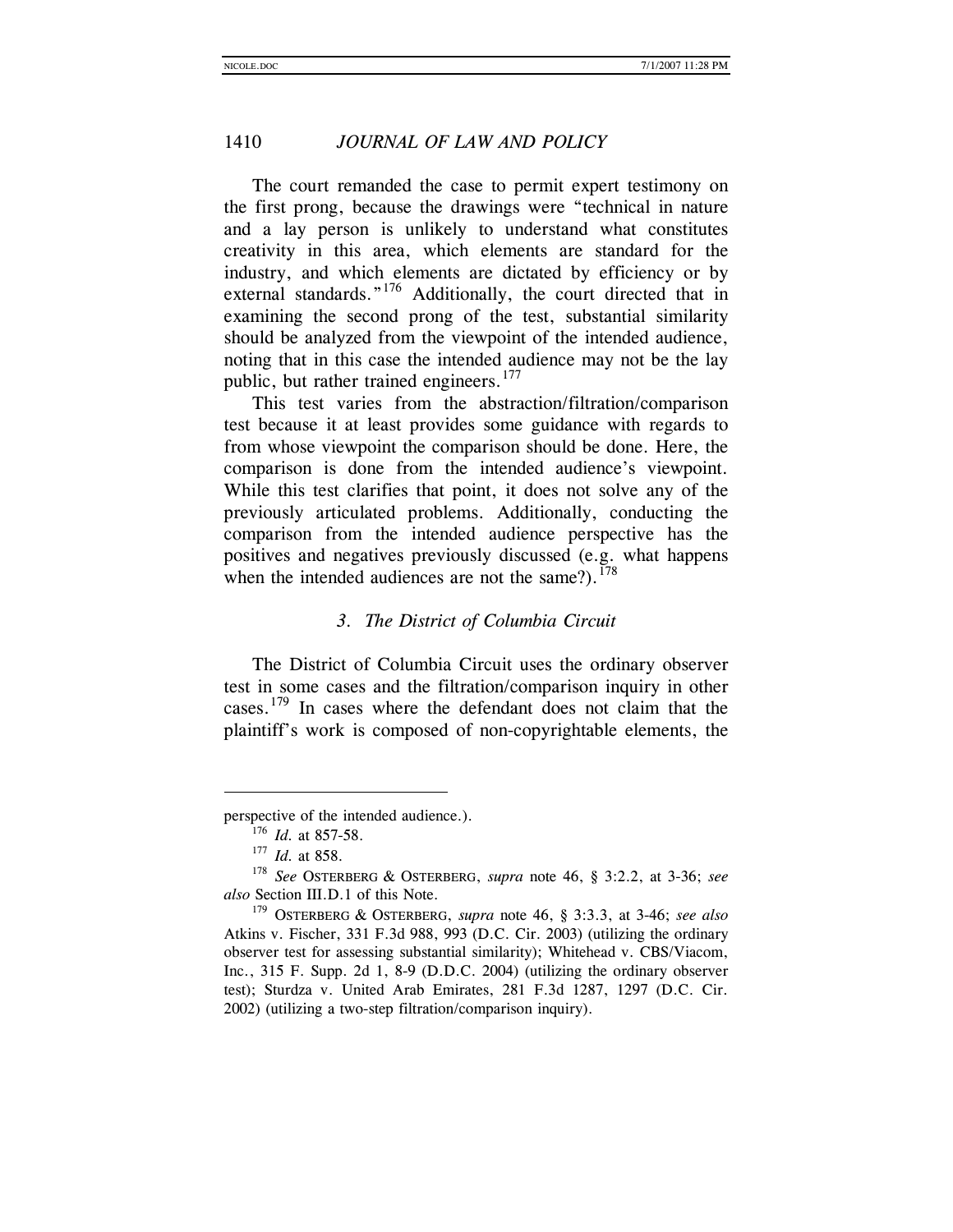The court remanded the case to permit expert testimony on the first prong, because the drawings were "technical in nature and a lay person is unlikely to understand what constitutes creativity in this area, which elements are standard for the industry, and which elements are dictated by efficiency or by external standards."<sup>[176](#page-36-0)</sup> Additionally, the court directed that in examining the second prong of the test, substantial similarity should be analyzed from the viewpoint of the intended audience, noting that in this case the intended audience may not be the lay public, but rather trained engineers.<sup>[177](#page-36-1)</sup>

This test varies from the abstraction/filtration/comparison test because it at least provides some guidance with regards to from whose viewpoint the comparison should be done. Here, the comparison is done from the intended audience's viewpoint. While this test clarifies that point, it does not solve any of the previously articulated problems. Additionally, conducting the comparison from the intended audience perspective has the positives and negatives previously discussed (e.g. what happens when the intended audiences are not the same?). $178$ 

#### *3. The District of Columbia Circuit*

The District of Columbia Circuit uses the ordinary observer test in some cases and the filtration/comparison inquiry in other cases.[179](#page-36-3) In cases where the defendant does not claim that the plaintiff's work is composed of non-copyrightable elements, the

<span id="page-36-0"></span>perspective of the intended audience.).

<sup>176</sup> *Id.* at 857-58. 177 *Id.* at 858.

<span id="page-36-2"></span><span id="page-36-1"></span><sup>178</sup> *See* OSTERBERG & OSTERBERG, *supra* note 46, § 3:2.2, at 3-36; *see also* Section III.D.1 of this Note.

<span id="page-36-3"></span><sup>179</sup> OSTERBERG & OSTERBERG, *supra* note 46, § 3:3.3, at 3-46; *see also*  Atkins v. Fischer, 331 F.3d 988, 993 (D.C. Cir. 2003) (utilizing the ordinary observer test for assessing substantial similarity); Whitehead v. CBS/Viacom, Inc., 315 F. Supp. 2d 1, 8-9 (D.D.C. 2004) (utilizing the ordinary observer test); Sturdza v. United Arab Emirates, 281 F.3d 1287, 1297 (D.C. Cir. 2002) (utilizing a two-step filtration/comparison inquiry).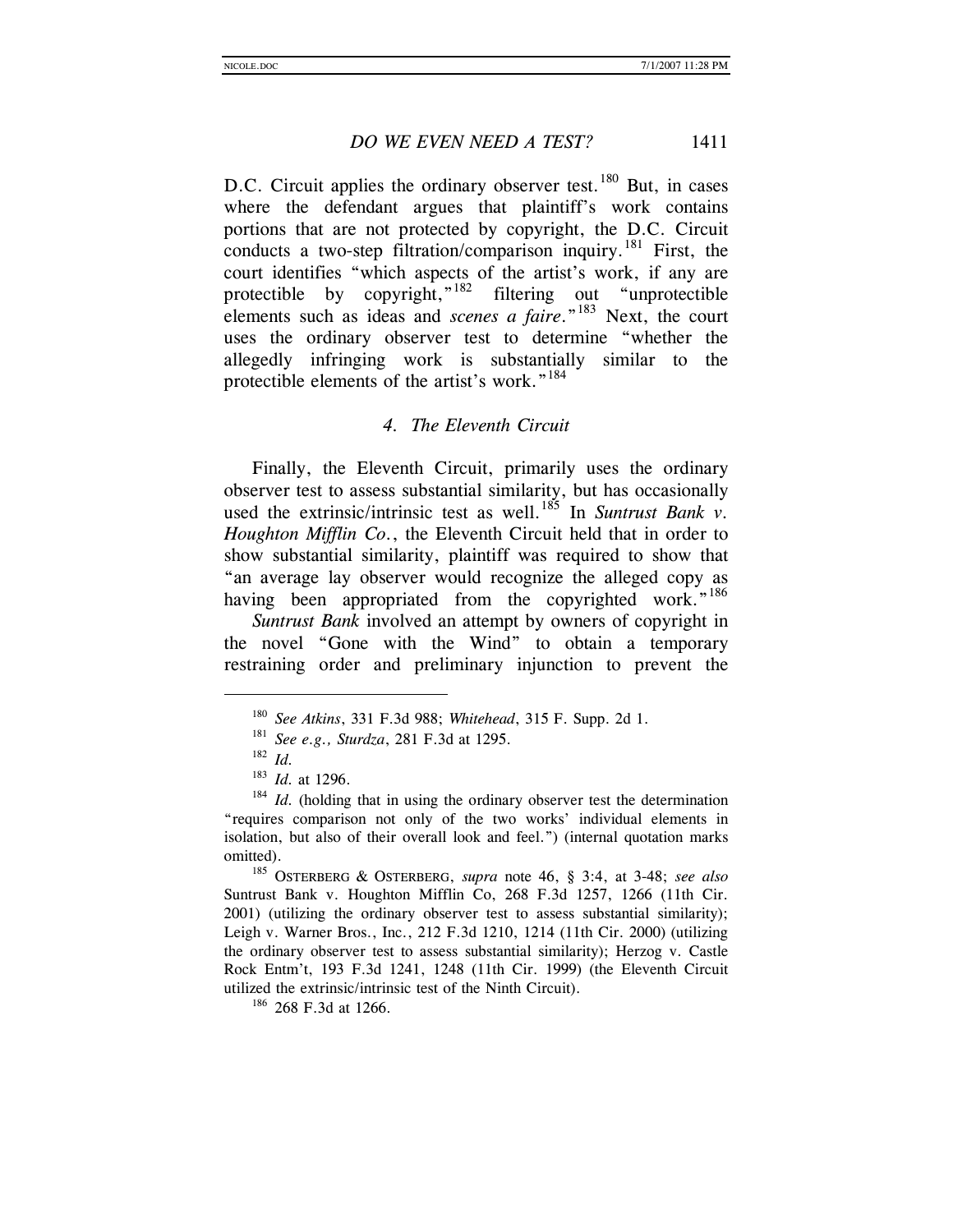D.C. Circuit applies the ordinary observer test.<sup>[180](#page-37-0)</sup> But, in cases where the defendant argues that plaintiff's work contains portions that are not protected by copyright, the D.C. Circuit conducts a two-step filtration/comparison inquiry.<sup>[181](#page-37-1)</sup> First, the court identifies "which aspects of the artist's work, if any are protectible by copyright, $n^{182}$  $n^{182}$  $n^{182}$  filtering out "unprotectible elements such as ideas and *scenes a faire*."[183](#page-37-3) Next, the court uses the ordinary observer test to determine "whether the allegedly infringing work is substantially similar to the protectible elements of the artist's work."[184](#page-37-4)

#### *4. The Eleventh Circuit*

Finally, the Eleventh Circuit, primarily uses the ordinary observer test to assess substantial similarity, but has occasionally used the extrinsic/intrinsic test as well.<sup>[185](#page-37-5)</sup> In *Suntrust Bank v*. *Houghton Mifflin Co.*, the Eleventh Circuit held that in order to show substantial similarity, plaintiff was required to show that "an average lay observer would recognize the alleged copy as having been appropriated from the copyrighted work."<sup>[186](#page-37-6)</sup>

*Suntrust Bank* involved an attempt by owners of copyright in the novel "Gone with the Wind" to obtain a temporary restraining order and preliminary injunction to prevent the

<span id="page-37-1"></span><span id="page-37-0"></span> $\overline{a}$ 

<span id="page-37-6"></span><sup>186</sup> 268 F.3d at 1266.

<sup>180</sup> *See Atkins*, 331 F.3d 988; *Whitehead*, 315 F. Supp. 2d 1.

<sup>181</sup> *See e.g., Sturdza*, 281 F.3d at 1295.

<sup>182</sup> *Id.*

<sup>183</sup> *Id.* at 1296.

<span id="page-37-4"></span><span id="page-37-3"></span><span id="page-37-2"></span><sup>&</sup>lt;sup>184</sup> *Id.* (holding that in using the ordinary observer test the determination "requires comparison not only of the two works' individual elements in isolation, but also of their overall look and feel.") (internal quotation marks omitted).

<span id="page-37-5"></span><sup>185</sup> OSTERBERG & OSTERBERG, *supra* note 46, § 3:4, at 3-48; *see also*  Suntrust Bank v. Houghton Mifflin Co, 268 F.3d 1257, 1266 (11th Cir. 2001) (utilizing the ordinary observer test to assess substantial similarity); Leigh v. Warner Bros., Inc., 212 F.3d 1210, 1214 (11th Cir. 2000) (utilizing the ordinary observer test to assess substantial similarity); Herzog v. Castle Rock Entm't, 193 F.3d 1241, 1248 (11th Cir. 1999) (the Eleventh Circuit utilized the extrinsic/intrinsic test of the Ninth Circuit).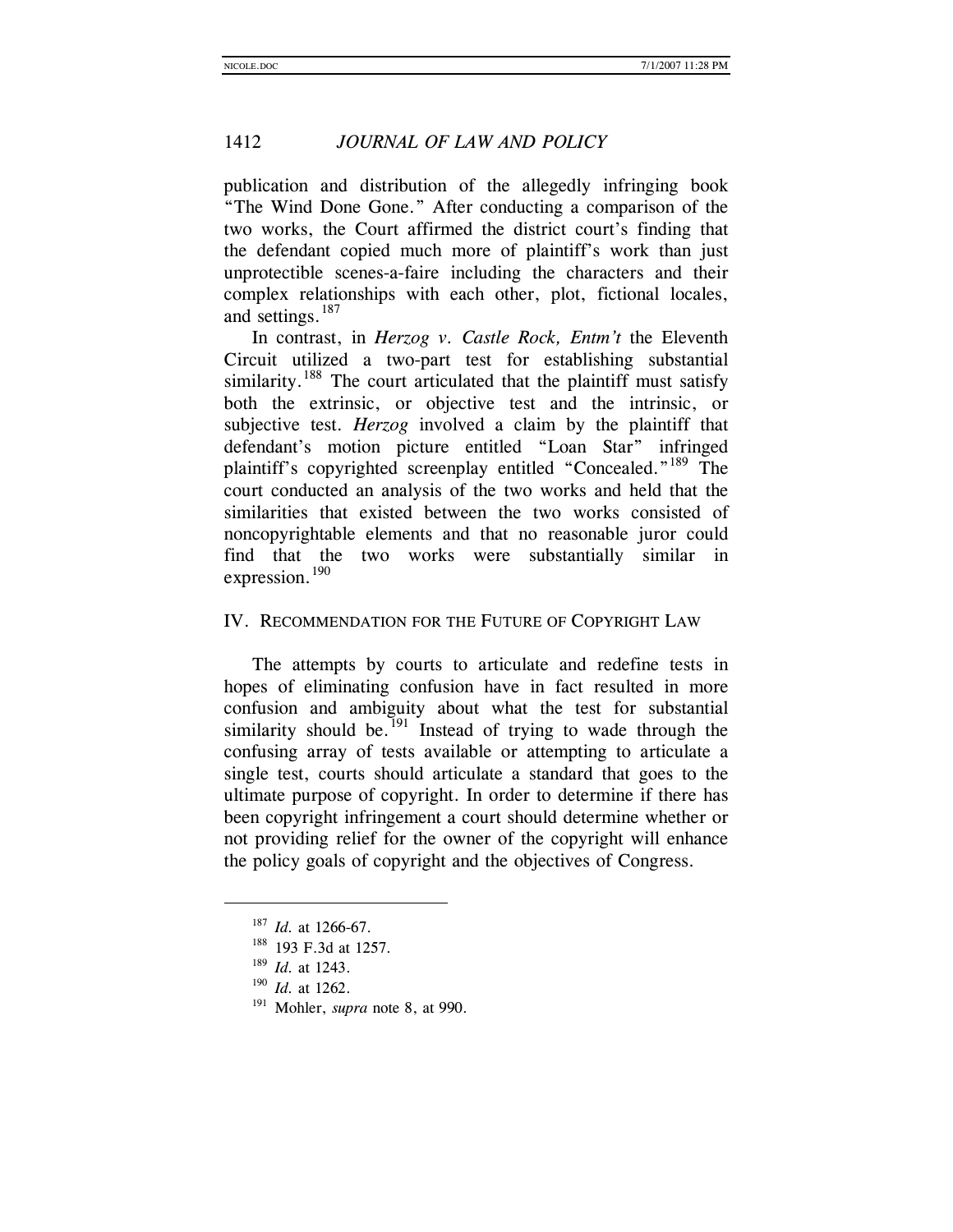publication and distribution of the allegedly infringing book "The Wind Done Gone." After conducting a comparison of the two works, the Court affirmed the district court's finding that the defendant copied much more of plaintiff's work than just unprotectible scenes-a-faire including the characters and their complex relationships with each other, plot, fictional locales, and settings.<sup>[187](#page-38-0)</sup>

In contrast, in *Herzog v. Castle Rock, Entm't* the Eleventh Circuit utilized a two-part test for establishing substantial similarity.<sup>[188](#page-38-1)</sup> The court articulated that the plaintiff must satisfy both the extrinsic, or objective test and the intrinsic, or subjective test. *Herzog* involved a claim by the plaintiff that defendant's motion picture entitled "Loan Star" infringed plaintiff's copyrighted screenplay entitled "Concealed."<sup>[189](#page-38-2)</sup> The court conducted an analysis of the two works and held that the similarities that existed between the two works consisted of noncopyrightable elements and that no reasonable juror could find that the two works were substantially similar in expression.<sup>[190](#page-38-3)</sup>

#### IV. RECOMMENDATION FOR THE FUTURE OF COPYRIGHT LAW

The attempts by courts to articulate and redefine tests in hopes of eliminating confusion have in fact resulted in more confusion and ambiguity about what the test for substantial similarity should be.<sup>[191](#page-38-4)</sup> Instead of trying to wade through the confusing array of tests available or attempting to articulate a single test, courts should articulate a standard that goes to the ultimate purpose of copyright. In order to determine if there has been copyright infringement a court should determine whether or not providing relief for the owner of the copyright will enhance the policy goals of copyright and the objectives of Congress.

<span id="page-38-4"></span><span id="page-38-3"></span><span id="page-38-2"></span><span id="page-38-1"></span><span id="page-38-0"></span>l

<sup>187</sup> *Id.* at 1266-67.

<sup>188</sup> 193 F.3d at 1257.

<sup>189</sup> *Id.* at 1243.

<sup>190</sup> *Id.* at 1262.

<sup>191</sup> Mohler, *supra* note 8, at 990.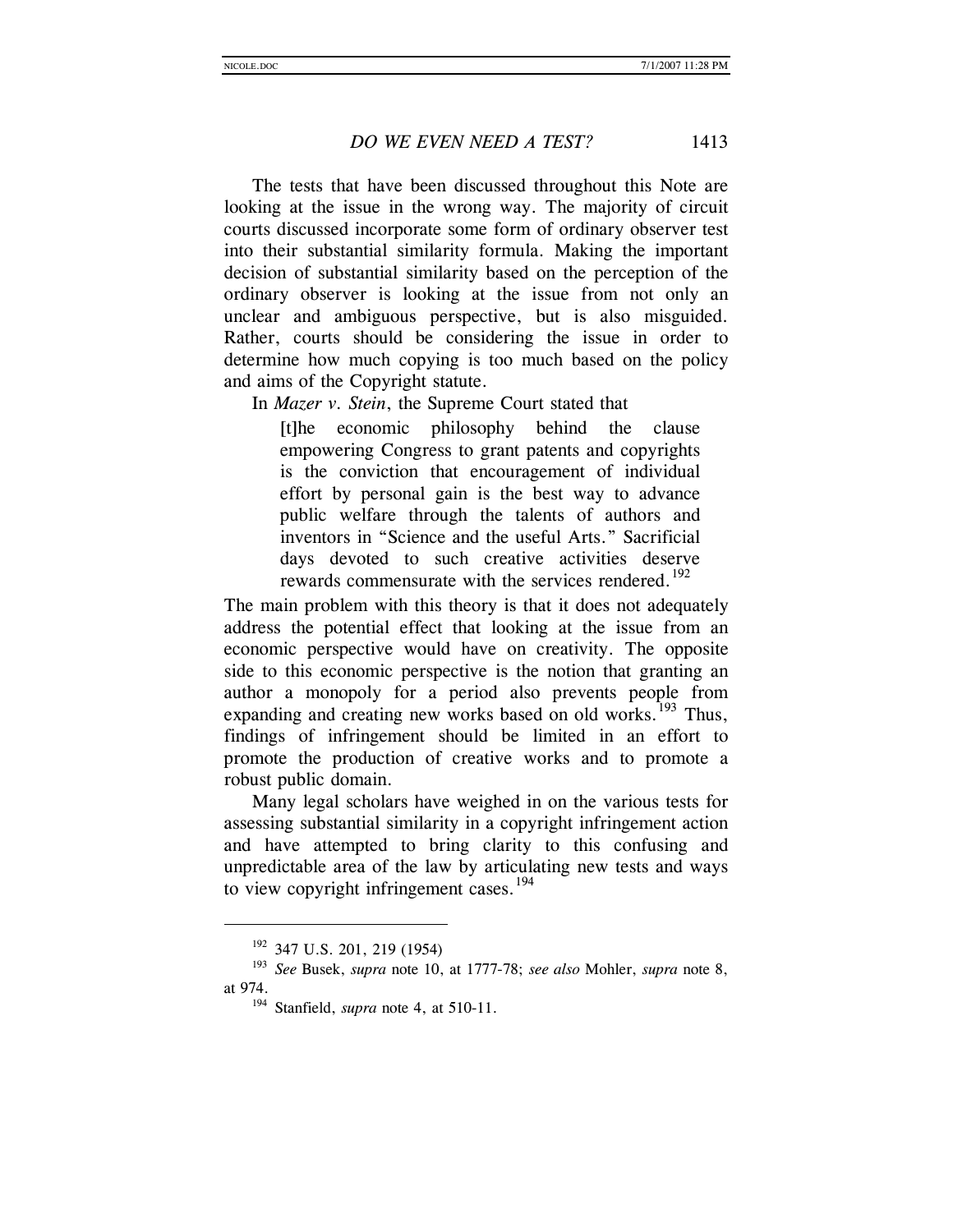The tests that have been discussed throughout this Note are looking at the issue in the wrong way. The majority of circuit courts discussed incorporate some form of ordinary observer test into their substantial similarity formula. Making the important decision of substantial similarity based on the perception of the ordinary observer is looking at the issue from not only an unclear and ambiguous perspective, but is also misguided. Rather, courts should be considering the issue in order to determine how much copying is too much based on the policy and aims of the Copyright statute.

In *Mazer v. Stein*, the Supreme Court stated that

[t]he economic philosophy behind the clause empowering Congress to grant patents and copyrights is the conviction that encouragement of individual effort by personal gain is the best way to advance public welfare through the talents of authors and inventors in "Science and the useful Arts." Sacrificial days devoted to such creative activities deserve rewards commensurate with the services rendered.<sup>[192](#page-39-0)</sup>

The main problem with this theory is that it does not adequately address the potential effect that looking at the issue from an economic perspective would have on creativity. The opposite side to this economic perspective is the notion that granting an author a monopoly for a period also prevents people from expanding and creating new works based on old works.<sup>[193](#page-39-1)</sup> Thus, findings of infringement should be limited in an effort to promote the production of creative works and to promote a robust public domain.

Many legal scholars have weighed in on the various tests for assessing substantial similarity in a copyright infringement action and have attempted to bring clarity to this confusing and unpredictable area of the law by articulating new tests and ways to view copyright infringement cases.<sup>[194](#page-39-2)</sup>

<sup>192</sup> 347 U.S. 201, 219 (1954)

<span id="page-39-2"></span><span id="page-39-1"></span><span id="page-39-0"></span><sup>193</sup> *See* Busek, *supra* note 10, at 1777-78; *see also* Mohler, *supra* note 8, at 974.

<sup>194</sup> Stanfield, *supra* note 4, at 510-11.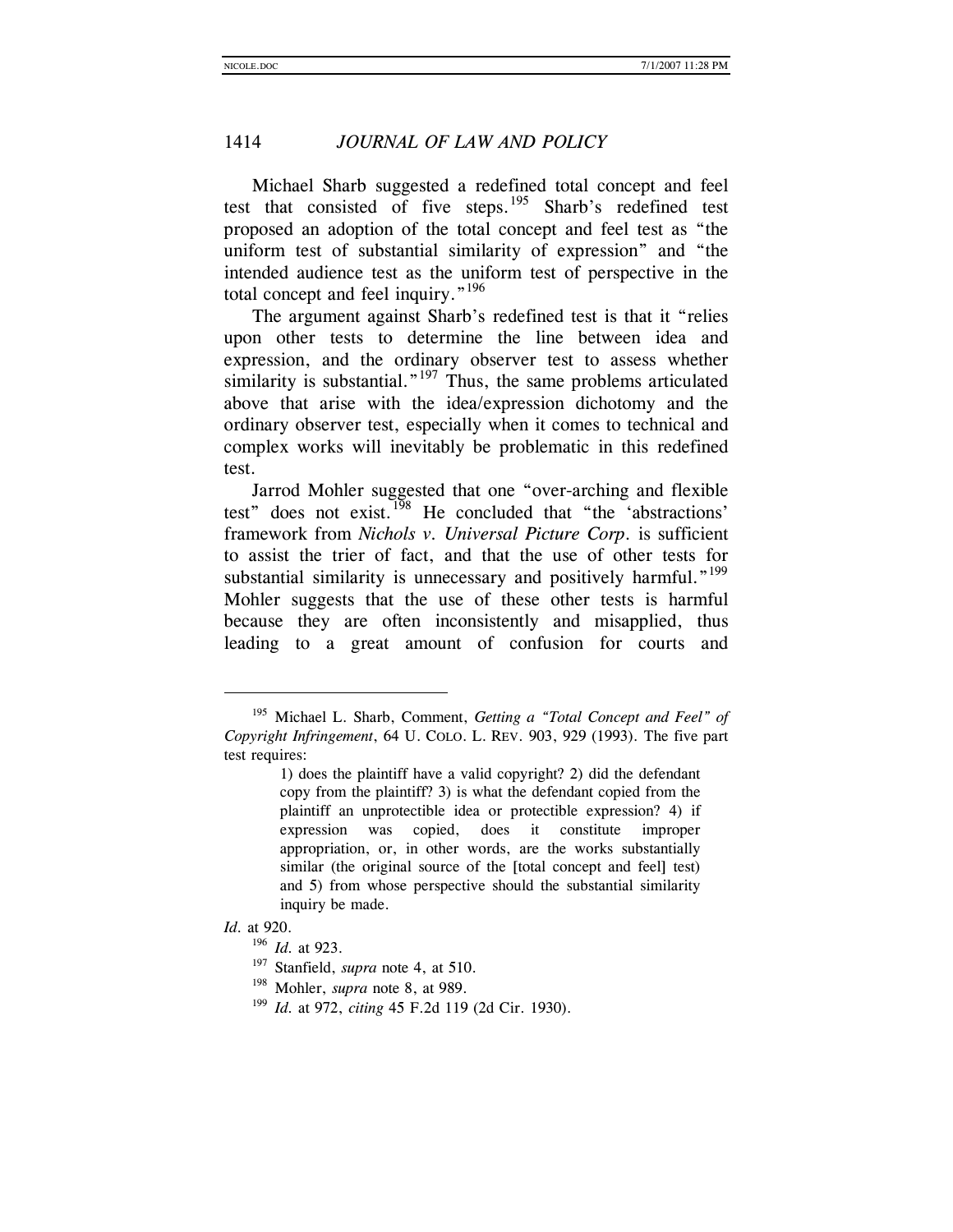Michael Sharb suggested a redefined total concept and feel test that consisted of five steps.<sup>[195](#page-40-0)</sup> Sharb's redefined test proposed an adoption of the total concept and feel test as "the uniform test of substantial similarity of expression" and "the intended audience test as the uniform test of perspective in the total concept and feel inquiry."<sup>[196](#page-40-1)</sup>

The argument against Sharb's redefined test is that it "relies upon other tests to determine the line between idea and expression, and the ordinary observer test to assess whether similarity is substantial."<sup>[197](#page-40-2)</sup> Thus, the same problems articulated above that arise with the idea/expression dichotomy and the ordinary observer test, especially when it comes to technical and complex works will inevitably be problematic in this redefined test.

Jarrod Mohler suggested that one "over-arching and flexible test" does not exist.<sup>[198](#page-40-3)</sup> He concluded that "the 'abstractions' framework from *Nichols v. Universal Picture Corp.* is sufficient to assist the trier of fact, and that the use of other tests for substantial similarity is unnecessary and positively harmful."<sup>[199](#page-40-4)</sup> Mohler suggests that the use of these other tests is harmful because they are often inconsistently and misapplied, thus leading to a great amount of confusion for courts and

<span id="page-40-4"></span><span id="page-40-3"></span><span id="page-40-2"></span><span id="page-40-1"></span>*Id.* at 920.

l

<span id="page-40-0"></span><sup>195</sup> Michael L. Sharb, Comment, *Getting a "Total Concept and Feel" of Copyright Infringement*, 64 U. COLO. L. REV. 903, 929 (1993). The five part test requires:

<sup>1)</sup> does the plaintiff have a valid copyright? 2) did the defendant copy from the plaintiff? 3) is what the defendant copied from the plaintiff an unprotectible idea or protectible expression? 4) if expression was copied, does it constitute improper appropriation, or, in other words, are the works substantially similar (the original source of the [total concept and feel] test) and 5) from whose perspective should the substantial similarity inquiry be made.

<sup>196</sup> *Id.* at 923.

<sup>197</sup> Stanfield, *supra* note 4, at 510.

<sup>198</sup> Mohler, *supra* note 8, at 989.

<sup>199</sup> *Id.* at 972, *citing* 45 F.2d 119 (2d Cir. 1930).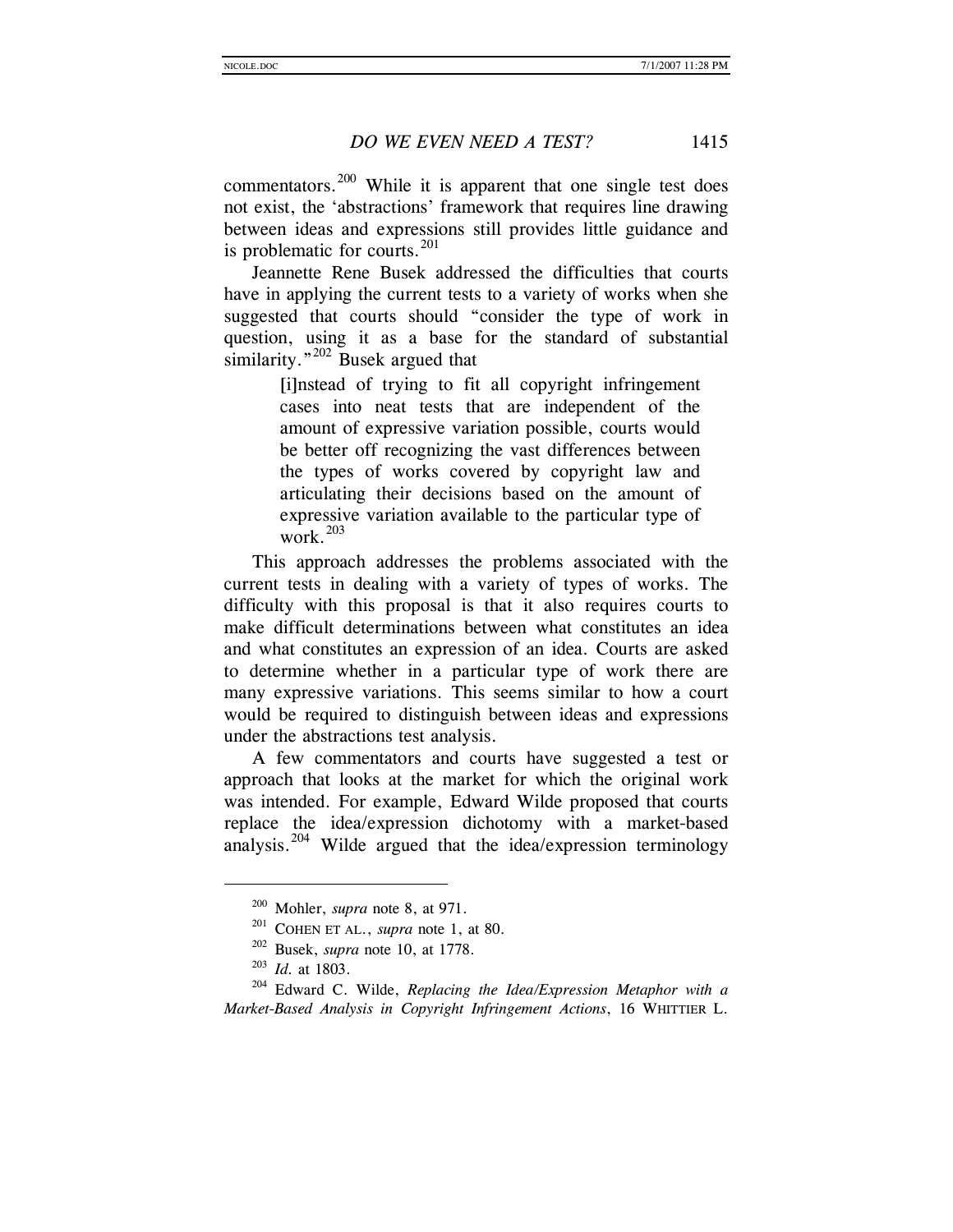commentators.<sup>[200](#page-41-0)</sup> While it is apparent that one single test does not exist, the 'abstractions' framework that requires line drawing between ideas and expressions still provides little guidance and is problematic for courts.<sup>[201](#page-41-1)</sup>

Jeannette Rene Busek addressed the difficulties that courts have in applying the current tests to a variety of works when she suggested that courts should "consider the type of work in question, using it as a base for the standard of substantial similarity." $^{202}$  $^{202}$  $^{202}$  Busek argued that

> [i]nstead of trying to fit all copyright infringement cases into neat tests that are independent of the amount of expressive variation possible, courts would be better off recognizing the vast differences between the types of works covered by copyright law and articulating their decisions based on the amount of expressive variation available to the particular type of work.<sup>[203](#page-41-3)</sup>

This approach addresses the problems associated with the current tests in dealing with a variety of types of works. The difficulty with this proposal is that it also requires courts to make difficult determinations between what constitutes an idea and what constitutes an expression of an idea. Courts are asked to determine whether in a particular type of work there are many expressive variations. This seems similar to how a court would be required to distinguish between ideas and expressions under the abstractions test analysis.

A few commentators and courts have suggested a test or approach that looks at the market for which the original work was intended. For example, Edward Wilde proposed that courts replace the idea/expression dichotomy with a market-based analysis.<sup>[204](#page-41-4)</sup> Wilde argued that the idea/expression terminology

<span id="page-41-1"></span><span id="page-41-0"></span>l

<sup>200</sup> Mohler, *supra* note 8, at 971.

<sup>201</sup> COHEN ET AL., *supra* note 1, at 80.

<sup>202</sup> Busek, *supra* note 10, at 1778.

<sup>203</sup> *Id.* at 1803.

<span id="page-41-4"></span><span id="page-41-3"></span><span id="page-41-2"></span><sup>204</sup> Edward C. Wilde, *Replacing the Idea/Expression Metaphor with a Market-Based Analysis in Copyright Infringement Actions*, 16 WHITTIER L.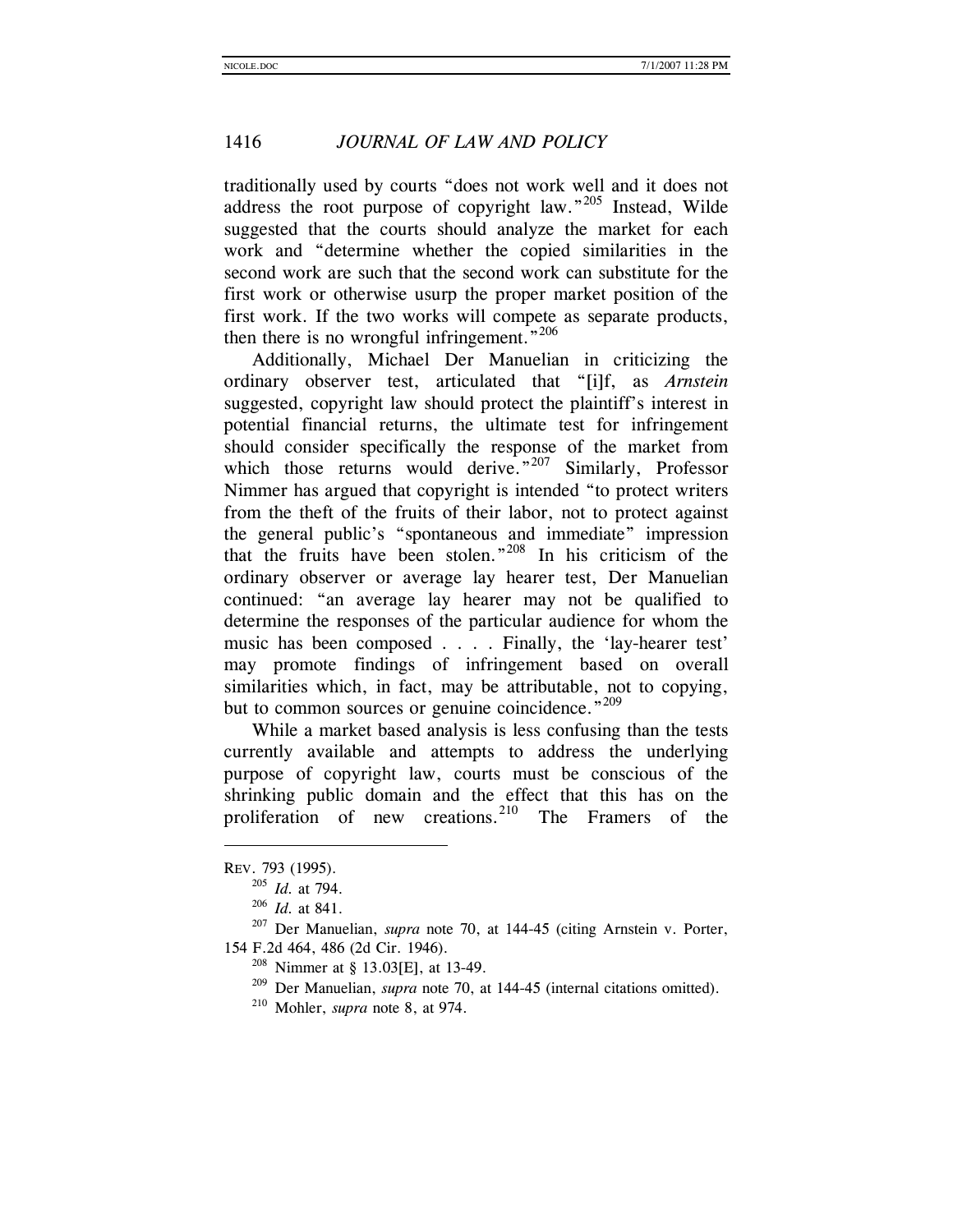traditionally used by courts "does not work well and it does not address the root purpose of copyright law."<sup>[205](#page-42-0)</sup> Instead, Wilde suggested that the courts should analyze the market for each work and "determine whether the copied similarities in the second work are such that the second work can substitute for the first work or otherwise usurp the proper market position of the first work. If the two works will compete as separate products, then there is no wrongful infringement." $206$ 

Additionally, Michael Der Manuelian in criticizing the ordinary observer test, articulated that "[i]f, as *Arnstein*  suggested, copyright law should protect the plaintiff's interest in potential financial returns, the ultimate test for infringement should consider specifically the response of the market from which those returns would derive."<sup>[207](#page-42-2)</sup> Similarly, Professor Nimmer has argued that copyright is intended "to protect writers from the theft of the fruits of their labor, not to protect against the general public's "spontaneous and immediate" impression that the fruits have been stolen."[208](#page-42-3) In his criticism of the ordinary observer or average lay hearer test, Der Manuelian continued: "an average lay hearer may not be qualified to determine the responses of the particular audience for whom the music has been composed . . . . Finally, the 'lay-hearer test' may promote findings of infringement based on overall similarities which, in fact, may be attributable, not to copying, but to common sources or genuine coincidence."<sup>[209](#page-42-4)</sup>

While a market based analysis is less confusing than the tests currently available and attempts to address the underlying purpose of copyright law, courts must be conscious of the shrinking public domain and the effect that this has on the proliferation of new creations.<sup>[210](#page-42-5)</sup> The Framers of the

<span id="page-42-0"></span>REV. 793 (1995).

<sup>205</sup> *Id.* at 794.

<sup>206</sup> *Id.* at 841.

<span id="page-42-5"></span><span id="page-42-4"></span><span id="page-42-3"></span><span id="page-42-2"></span><span id="page-42-1"></span><sup>207</sup> Der Manuelian, *supra* note 70, at 144-45 (citing Arnstein v. Porter, 154 F.2d 464, 486 (2d Cir. 1946).

<sup>208</sup> Nimmer at § 13.03[E], at 13-49.

<sup>209</sup> Der Manuelian, *supra* note 70, at 144-45 (internal citations omitted).

<sup>210</sup> Mohler, *supra* note 8, at 974.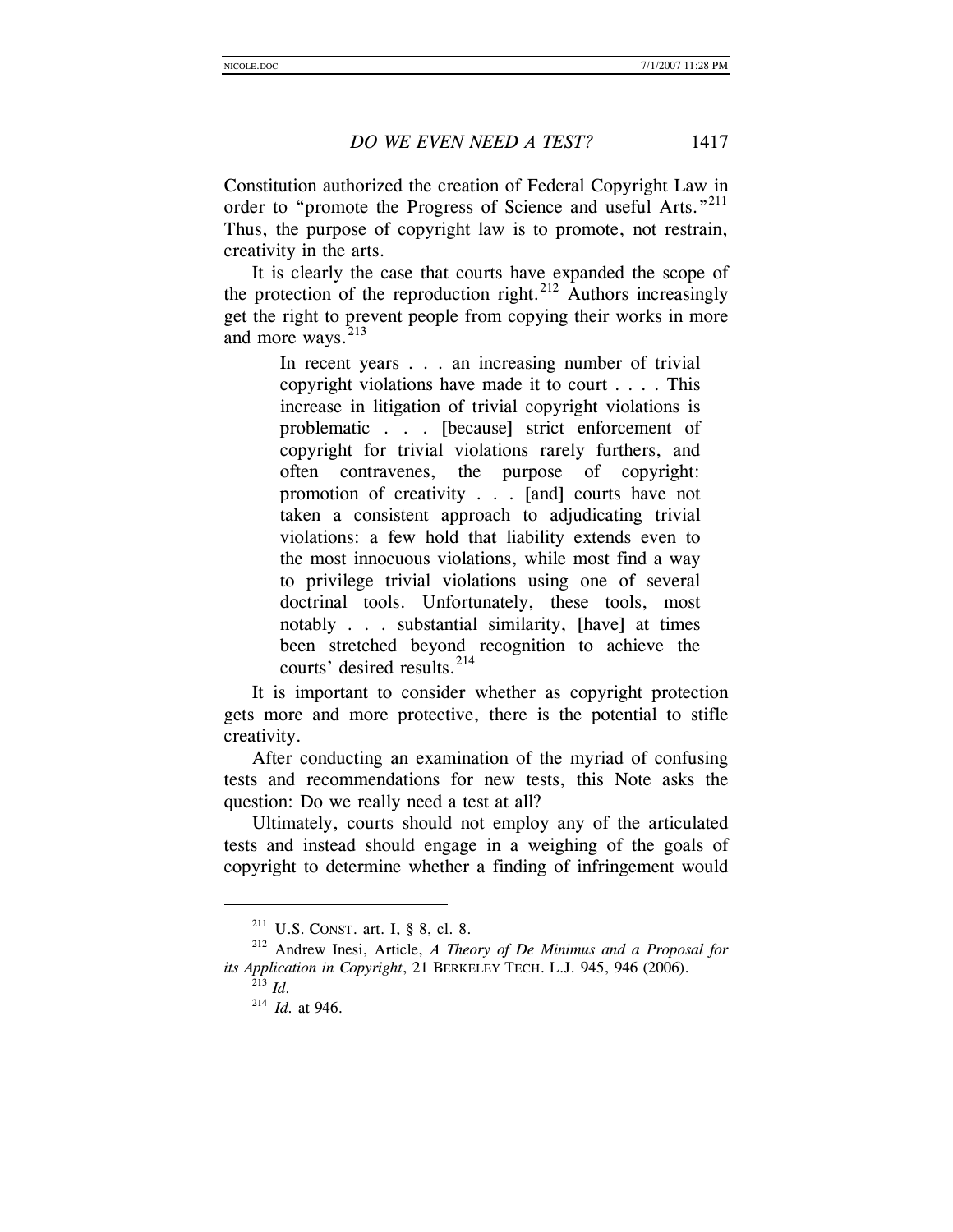Constitution authorized the creation of Federal Copyright Law in order to "promote the Progress of Science and useful Arts."<sup>[211](#page-43-0)</sup> Thus, the purpose of copyright law is to promote, not restrain, creativity in the arts.

It is clearly the case that courts have expanded the scope of the protection of the reproduction right.<sup>[212](#page-43-1)</sup> Authors increasingly get the right to prevent people from copying their works in more and more ways. $213$ 

> In recent years . . . an increasing number of trivial copyright violations have made it to court . . . . This increase in litigation of trivial copyright violations is problematic . . . [because] strict enforcement of copyright for trivial violations rarely furthers, and often contravenes, the purpose of copyright: promotion of creativity . . . [and] courts have not taken a consistent approach to adjudicating trivial violations: a few hold that liability extends even to the most innocuous violations, while most find a way to privilege trivial violations using one of several doctrinal tools. Unfortunately, these tools, most notably . . . substantial similarity, [have] at times been stretched beyond recognition to achieve the courts' desired results.<sup>[214](#page-43-3)</sup>

It is important to consider whether as copyright protection gets more and more protective, there is the potential to stifle creativity.

After conducting an examination of the myriad of confusing tests and recommendations for new tests, this Note asks the question: Do we really need a test at all?

Ultimately, courts should not employ any of the articulated tests and instead should engage in a weighing of the goals of copyright to determine whether a finding of infringement would

<span id="page-43-3"></span><span id="page-43-2"></span><span id="page-43-1"></span><span id="page-43-0"></span><sup>211</sup> U.S. CONST. art. I, § 8, cl. 8. 212 Andrew Inesi, Article, *A Theory of De Minimus and a Proposal for its Application in Copyright*, 21 BERKELEY TECH. L.J. 945, 946 (2006).

<sup>213</sup> *Id.*

<sup>214</sup> *Id.* at 946.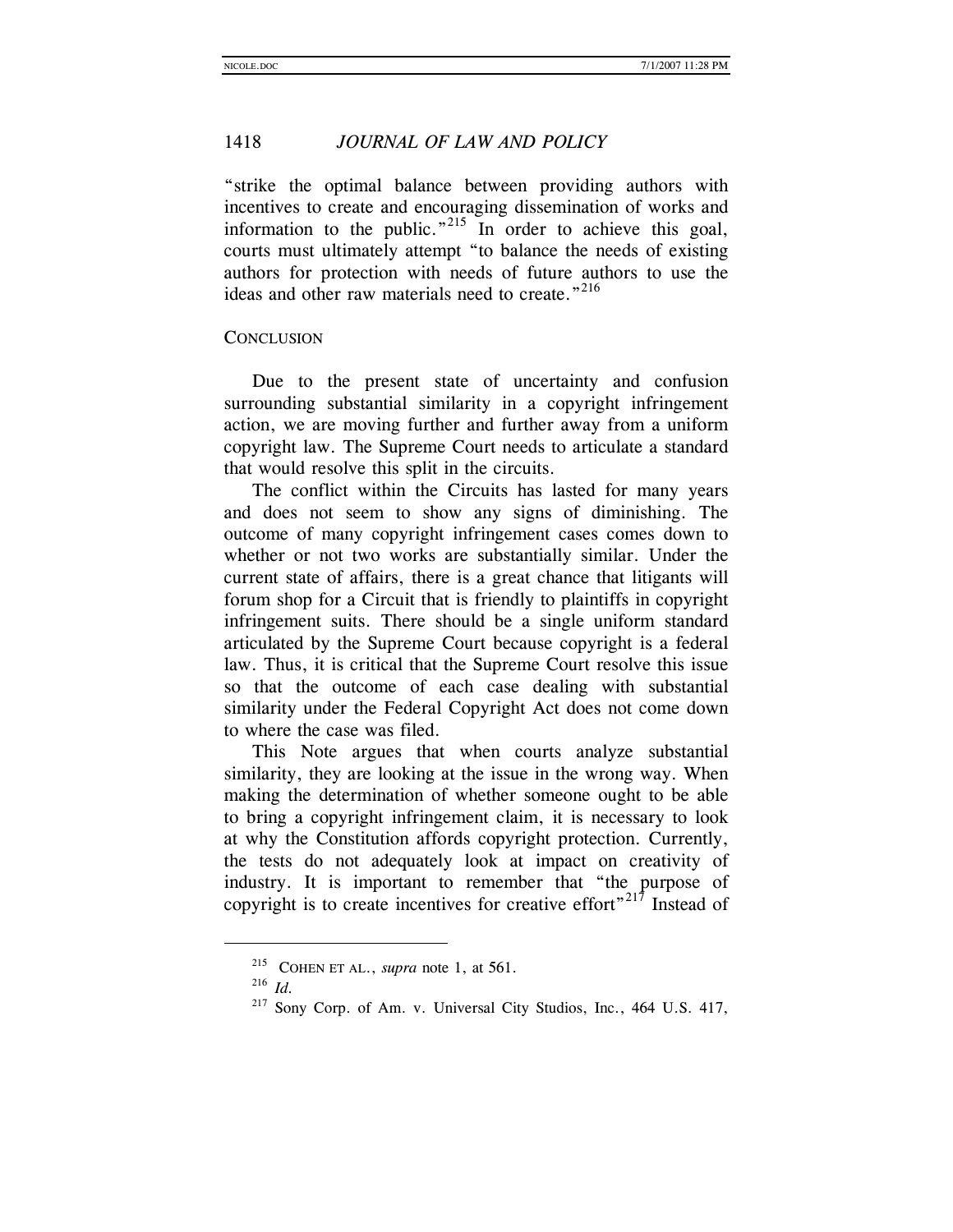"strike the optimal balance between providing authors with incentives to create and encouraging dissemination of works and information to the public."<sup>[215](#page-44-0)</sup> In order to achieve this goal, courts must ultimately attempt "to balance the needs of existing authors for protection with needs of future authors to use the ideas and other raw materials need to create."<sup>[216](#page-44-1)</sup>

#### **CONCLUSION**

Due to the present state of uncertainty and confusion surrounding substantial similarity in a copyright infringement action, we are moving further and further away from a uniform copyright law. The Supreme Court needs to articulate a standard that would resolve this split in the circuits.

The conflict within the Circuits has lasted for many years and does not seem to show any signs of diminishing. The outcome of many copyright infringement cases comes down to whether or not two works are substantially similar. Under the current state of affairs, there is a great chance that litigants will forum shop for a Circuit that is friendly to plaintiffs in copyright infringement suits. There should be a single uniform standard articulated by the Supreme Court because copyright is a federal law. Thus, it is critical that the Supreme Court resolve this issue so that the outcome of each case dealing with substantial similarity under the Federal Copyright Act does not come down to where the case was filed.

This Note argues that when courts analyze substantial similarity, they are looking at the issue in the wrong way. When making the determination of whether someone ought to be able to bring a copyright infringement claim, it is necessary to look at why the Constitution affords copyright protection. Currently, the tests do not adequately look at impact on creativity of industry. It is important to remember that "the purpose of copyright is to create incentives for creative effort<sup>"[217](#page-44-2)</sup> Instead of

<sup>215</sup> COHEN ET AL., *supra* note 1, at 561.

<span id="page-44-2"></span><span id="page-44-1"></span><span id="page-44-0"></span><sup>216</sup> *Id.*

<sup>&</sup>lt;sup>217</sup> Sony Corp. of Am. v. Universal City Studios, Inc., 464 U.S. 417,